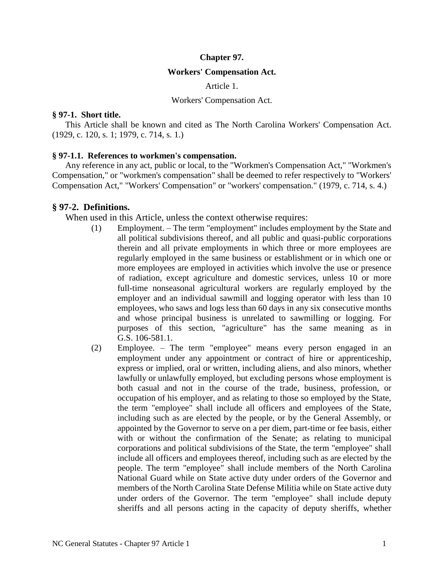#### **Chapter 97.**

#### **Workers' Compensation Act.**

Article 1.

#### Workers' Compensation Act.

#### **§ 97-1. Short title.**

This Article shall be known and cited as The North Carolina Workers' Compensation Act. (1929, c. 120, s. 1; 1979, c. 714, s. 1.)

#### **§ 97-1.1. References to workmen's compensation.**

Any reference in any act, public or local, to the "Workmen's Compensation Act," "Workmen's Compensation," or "workmen's compensation" shall be deemed to refer respectively to "Workers' Compensation Act," "Workers' Compensation" or "workers' compensation." (1979, c. 714, s. 4.)

#### **§ 97-2. Definitions.**

When used in this Article, unless the context otherwise requires:

- (1) Employment. The term "employment" includes employment by the State and all political subdivisions thereof, and all public and quasi-public corporations therein and all private employments in which three or more employees are regularly employed in the same business or establishment or in which one or more employees are employed in activities which involve the use or presence of radiation, except agriculture and domestic services, unless 10 or more full-time nonseasonal agricultural workers are regularly employed by the employer and an individual sawmill and logging operator with less than 10 employees, who saws and logs less than 60 days in any six consecutive months and whose principal business is unrelated to sawmilling or logging. For purposes of this section, "agriculture" has the same meaning as in G.S. 106-581.1.
- (2) Employee. The term "employee" means every person engaged in an employment under any appointment or contract of hire or apprenticeship, express or implied, oral or written, including aliens, and also minors, whether lawfully or unlawfully employed, but excluding persons whose employment is both casual and not in the course of the trade, business, profession, or occupation of his employer, and as relating to those so employed by the State, the term "employee" shall include all officers and employees of the State, including such as are elected by the people, or by the General Assembly, or appointed by the Governor to serve on a per diem, part-time or fee basis, either with or without the confirmation of the Senate; as relating to municipal corporations and political subdivisions of the State, the term "employee" shall include all officers and employees thereof, including such as are elected by the people. The term "employee" shall include members of the North Carolina National Guard while on State active duty under orders of the Governor and members of the North Carolina State Defense Militia while on State active duty under orders of the Governor. The term "employee" shall include deputy sheriffs and all persons acting in the capacity of deputy sheriffs, whether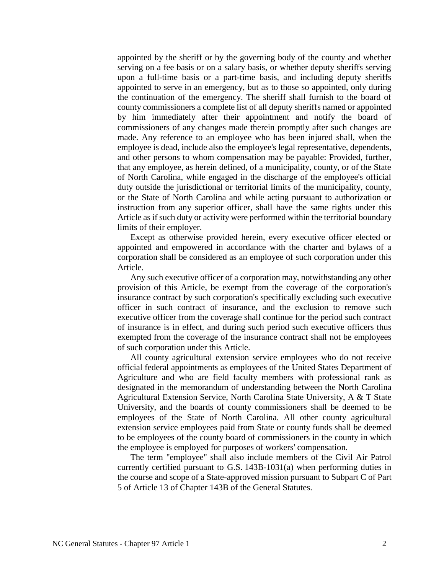appointed by the sheriff or by the governing body of the county and whether serving on a fee basis or on a salary basis, or whether deputy sheriffs serving upon a full-time basis or a part-time basis, and including deputy sheriffs appointed to serve in an emergency, but as to those so appointed, only during the continuation of the emergency. The sheriff shall furnish to the board of county commissioners a complete list of all deputy sheriffs named or appointed by him immediately after their appointment and notify the board of commissioners of any changes made therein promptly after such changes are made. Any reference to an employee who has been injured shall, when the employee is dead, include also the employee's legal representative, dependents, and other persons to whom compensation may be payable: Provided, further, that any employee, as herein defined, of a municipality, county, or of the State of North Carolina, while engaged in the discharge of the employee's official duty outside the jurisdictional or territorial limits of the municipality, county, or the State of North Carolina and while acting pursuant to authorization or instruction from any superior officer, shall have the same rights under this Article as if such duty or activity were performed within the territorial boundary limits of their employer.

Except as otherwise provided herein, every executive officer elected or appointed and empowered in accordance with the charter and bylaws of a corporation shall be considered as an employee of such corporation under this Article.

Any such executive officer of a corporation may, notwithstanding any other provision of this Article, be exempt from the coverage of the corporation's insurance contract by such corporation's specifically excluding such executive officer in such contract of insurance, and the exclusion to remove such executive officer from the coverage shall continue for the period such contract of insurance is in effect, and during such period such executive officers thus exempted from the coverage of the insurance contract shall not be employees of such corporation under this Article.

All county agricultural extension service employees who do not receive official federal appointments as employees of the United States Department of Agriculture and who are field faculty members with professional rank as designated in the memorandum of understanding between the North Carolina Agricultural Extension Service, North Carolina State University, A & T State University, and the boards of county commissioners shall be deemed to be employees of the State of North Carolina. All other county agricultural extension service employees paid from State or county funds shall be deemed to be employees of the county board of commissioners in the county in which the employee is employed for purposes of workers' compensation.

The term "employee" shall also include members of the Civil Air Patrol currently certified pursuant to G.S. 143B-1031(a) when performing duties in the course and scope of a State-approved mission pursuant to Subpart C of Part 5 of Article 13 of Chapter 143B of the General Statutes.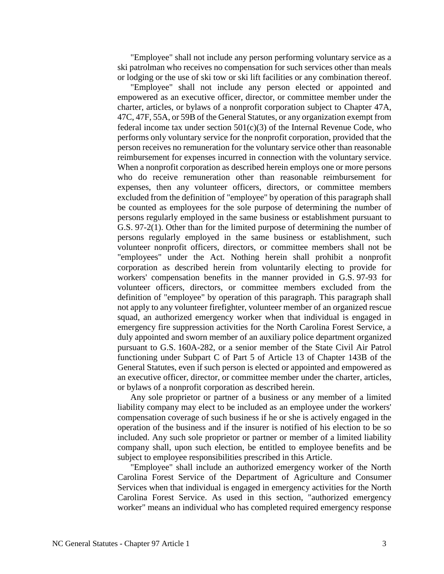"Employee" shall not include any person performing voluntary service as a ski patrolman who receives no compensation for such services other than meals or lodging or the use of ski tow or ski lift facilities or any combination thereof.

"Employee" shall not include any person elected or appointed and empowered as an executive officer, director, or committee member under the charter, articles, or bylaws of a nonprofit corporation subject to Chapter 47A, 47C, 47F, 55A, or 59B of the General Statutes, or any organization exempt from federal income tax under section  $501(c)(3)$  of the Internal Revenue Code, who performs only voluntary service for the nonprofit corporation, provided that the person receives no remuneration for the voluntary service other than reasonable reimbursement for expenses incurred in connection with the voluntary service. When a nonprofit corporation as described herein employs one or more persons who do receive remuneration other than reasonable reimbursement for expenses, then any volunteer officers, directors, or committee members excluded from the definition of "employee" by operation of this paragraph shall be counted as employees for the sole purpose of determining the number of persons regularly employed in the same business or establishment pursuant to G.S. 97-2(1). Other than for the limited purpose of determining the number of persons regularly employed in the same business or establishment, such volunteer nonprofit officers, directors, or committee members shall not be "employees" under the Act. Nothing herein shall prohibit a nonprofit corporation as described herein from voluntarily electing to provide for workers' compensation benefits in the manner provided in G.S. 97-93 for volunteer officers, directors, or committee members excluded from the definition of "employee" by operation of this paragraph. This paragraph shall not apply to any volunteer firefighter, volunteer member of an organized rescue squad, an authorized emergency worker when that individual is engaged in emergency fire suppression activities for the North Carolina Forest Service, a duly appointed and sworn member of an auxiliary police department organized pursuant to G.S. 160A-282, or a senior member of the State Civil Air Patrol functioning under Subpart C of Part 5 of Article 13 of Chapter 143B of the General Statutes, even if such person is elected or appointed and empowered as an executive officer, director, or committee member under the charter, articles, or bylaws of a nonprofit corporation as described herein.

Any sole proprietor or partner of a business or any member of a limited liability company may elect to be included as an employee under the workers' compensation coverage of such business if he or she is actively engaged in the operation of the business and if the insurer is notified of his election to be so included. Any such sole proprietor or partner or member of a limited liability company shall, upon such election, be entitled to employee benefits and be subject to employee responsibilities prescribed in this Article.

"Employee" shall include an authorized emergency worker of the North Carolina Forest Service of the Department of Agriculture and Consumer Services when that individual is engaged in emergency activities for the North Carolina Forest Service. As used in this section, "authorized emergency worker" means an individual who has completed required emergency response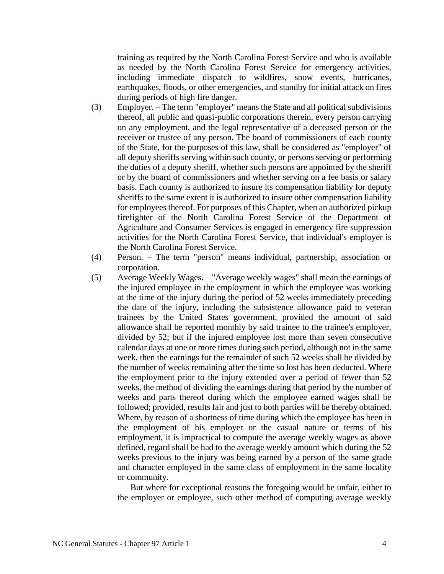training as required by the North Carolina Forest Service and who is available as needed by the North Carolina Forest Service for emergency activities, including immediate dispatch to wildfires, snow events, hurricanes, earthquakes, floods, or other emergencies, and standby for initial attack on fires during periods of high fire danger.

- (3) Employer. The term "employer" means the State and all political subdivisions thereof, all public and quasi-public corporations therein, every person carrying on any employment, and the legal representative of a deceased person or the receiver or trustee of any person. The board of commissioners of each county of the State, for the purposes of this law, shall be considered as "employer" of all deputy sheriffs serving within such county, or persons serving or performing the duties of a deputy sheriff, whether such persons are appointed by the sheriff or by the board of commissioners and whether serving on a fee basis or salary basis. Each county is authorized to insure its compensation liability for deputy sheriffs to the same extent it is authorized to insure other compensation liability for employees thereof. For purposes of this Chapter, when an authorized pickup firefighter of the North Carolina Forest Service of the Department of Agriculture and Consumer Services is engaged in emergency fire suppression activities for the North Carolina Forest Service, that individual's employer is the North Carolina Forest Service.
- (4) Person. The term "person" means individual, partnership, association or corporation.
- (5) Average Weekly Wages. "Average weekly wages" shall mean the earnings of the injured employee in the employment in which the employee was working at the time of the injury during the period of 52 weeks immediately preceding the date of the injury, including the subsistence allowance paid to veteran trainees by the United States government, provided the amount of said allowance shall be reported monthly by said trainee to the trainee's employer, divided by 52; but if the injured employee lost more than seven consecutive calendar days at one or more times during such period, although not in the same week, then the earnings for the remainder of such 52 weeks shall be divided by the number of weeks remaining after the time so lost has been deducted. Where the employment prior to the injury extended over a period of fewer than 52 weeks, the method of dividing the earnings during that period by the number of weeks and parts thereof during which the employee earned wages shall be followed; provided, results fair and just to both parties will be thereby obtained. Where, by reason of a shortness of time during which the employee has been in the employment of his employer or the casual nature or terms of his employment, it is impractical to compute the average weekly wages as above defined, regard shall be had to the average weekly amount which during the 52 weeks previous to the injury was being earned by a person of the same grade and character employed in the same class of employment in the same locality or community.

But where for exceptional reasons the foregoing would be unfair, either to the employer or employee, such other method of computing average weekly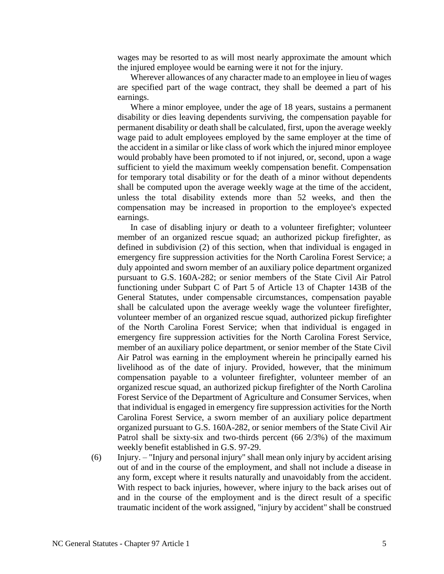wages may be resorted to as will most nearly approximate the amount which the injured employee would be earning were it not for the injury.

Wherever allowances of any character made to an employee in lieu of wages are specified part of the wage contract, they shall be deemed a part of his earnings.

Where a minor employee, under the age of 18 years, sustains a permanent disability or dies leaving dependents surviving, the compensation payable for permanent disability or death shall be calculated, first, upon the average weekly wage paid to adult employees employed by the same employer at the time of the accident in a similar or like class of work which the injured minor employee would probably have been promoted to if not injured, or, second, upon a wage sufficient to yield the maximum weekly compensation benefit. Compensation for temporary total disability or for the death of a minor without dependents shall be computed upon the average weekly wage at the time of the accident, unless the total disability extends more than 52 weeks, and then the compensation may be increased in proportion to the employee's expected earnings.

In case of disabling injury or death to a volunteer firefighter; volunteer member of an organized rescue squad; an authorized pickup firefighter, as defined in subdivision (2) of this section, when that individual is engaged in emergency fire suppression activities for the North Carolina Forest Service; a duly appointed and sworn member of an auxiliary police department organized pursuant to G.S. 160A-282; or senior members of the State Civil Air Patrol functioning under Subpart C of Part 5 of Article 13 of Chapter 143B of the General Statutes, under compensable circumstances, compensation payable shall be calculated upon the average weekly wage the volunteer firefighter, volunteer member of an organized rescue squad, authorized pickup firefighter of the North Carolina Forest Service; when that individual is engaged in emergency fire suppression activities for the North Carolina Forest Service, member of an auxiliary police department, or senior member of the State Civil Air Patrol was earning in the employment wherein he principally earned his livelihood as of the date of injury. Provided, however, that the minimum compensation payable to a volunteer firefighter, volunteer member of an organized rescue squad, an authorized pickup firefighter of the North Carolina Forest Service of the Department of Agriculture and Consumer Services, when that individual is engaged in emergency fire suppression activities for the North Carolina Forest Service, a sworn member of an auxiliary police department organized pursuant to G.S. 160A-282, or senior members of the State Civil Air Patrol shall be sixty-six and two-thirds percent (66 2/3%) of the maximum weekly benefit established in G.S. 97-29.

(6) Injury. – "Injury and personal injury" shall mean only injury by accident arising out of and in the course of the employment, and shall not include a disease in any form, except where it results naturally and unavoidably from the accident. With respect to back injuries, however, where injury to the back arises out of and in the course of the employment and is the direct result of a specific traumatic incident of the work assigned, "injury by accident" shall be construed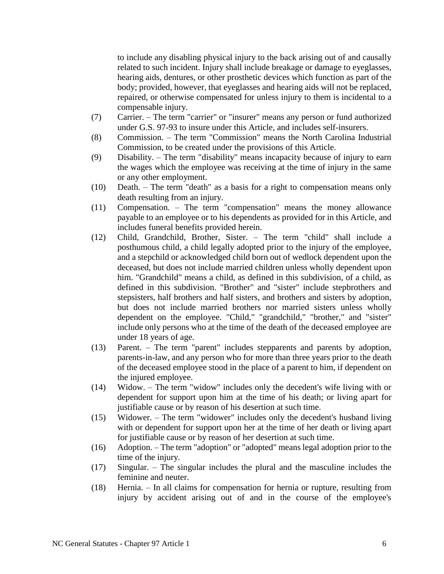to include any disabling physical injury to the back arising out of and causally related to such incident. Injury shall include breakage or damage to eyeglasses, hearing aids, dentures, or other prosthetic devices which function as part of the body; provided, however, that eyeglasses and hearing aids will not be replaced, repaired, or otherwise compensated for unless injury to them is incidental to a compensable injury.

- (7) Carrier. The term "carrier" or "insurer" means any person or fund authorized under G.S. 97-93 to insure under this Article, and includes self-insurers.
- (8) Commission. The term "Commission" means the North Carolina Industrial Commission, to be created under the provisions of this Article.
- (9) Disability. The term "disability" means incapacity because of injury to earn the wages which the employee was receiving at the time of injury in the same or any other employment.
- (10) Death. The term "death" as a basis for a right to compensation means only death resulting from an injury.
- (11) Compensation. The term "compensation" means the money allowance payable to an employee or to his dependents as provided for in this Article, and includes funeral benefits provided herein.
- (12) Child, Grandchild, Brother, Sister. The term "child" shall include a posthumous child, a child legally adopted prior to the injury of the employee, and a stepchild or acknowledged child born out of wedlock dependent upon the deceased, but does not include married children unless wholly dependent upon him. "Grandchild" means a child, as defined in this subdivision, of a child, as defined in this subdivision. "Brother" and "sister" include stepbrothers and stepsisters, half brothers and half sisters, and brothers and sisters by adoption, but does not include married brothers nor married sisters unless wholly dependent on the employee. "Child," "grandchild," "brother," and "sister" include only persons who at the time of the death of the deceased employee are under 18 years of age.
- (13) Parent. The term "parent" includes stepparents and parents by adoption, parents-in-law, and any person who for more than three years prior to the death of the deceased employee stood in the place of a parent to him, if dependent on the injured employee.
- (14) Widow. The term "widow" includes only the decedent's wife living with or dependent for support upon him at the time of his death; or living apart for justifiable cause or by reason of his desertion at such time.
- (15) Widower. The term "widower" includes only the decedent's husband living with or dependent for support upon her at the time of her death or living apart for justifiable cause or by reason of her desertion at such time.
- (16) Adoption. The term "adoption" or "adopted" means legal adoption prior to the time of the injury.
- (17) Singular. The singular includes the plural and the masculine includes the feminine and neuter.
- (18) Hernia. In all claims for compensation for hernia or rupture, resulting from injury by accident arising out of and in the course of the employee's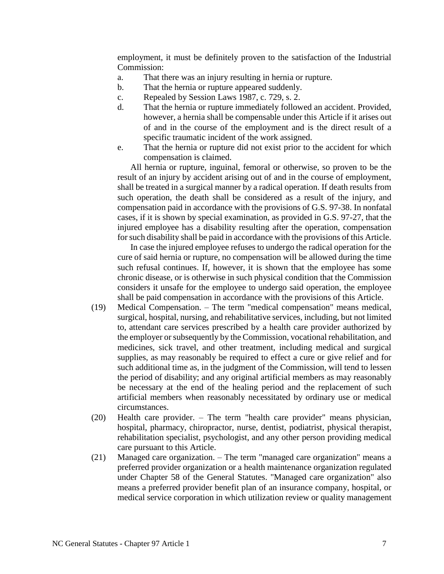employment, it must be definitely proven to the satisfaction of the Industrial Commission:

- a. That there was an injury resulting in hernia or rupture.
- b. That the hernia or rupture appeared suddenly.
- c. Repealed by Session Laws 1987, c. 729, s. 2.
- d. That the hernia or rupture immediately followed an accident. Provided, however, a hernia shall be compensable under this Article if it arises out of and in the course of the employment and is the direct result of a specific traumatic incident of the work assigned.
- e. That the hernia or rupture did not exist prior to the accident for which compensation is claimed.

All hernia or rupture, inguinal, femoral or otherwise, so proven to be the result of an injury by accident arising out of and in the course of employment, shall be treated in a surgical manner by a radical operation. If death results from such operation, the death shall be considered as a result of the injury, and compensation paid in accordance with the provisions of G.S. 97-38. In nonfatal cases, if it is shown by special examination, as provided in G.S. 97-27, that the injured employee has a disability resulting after the operation, compensation for such disability shall be paid in accordance with the provisions of this Article.

In case the injured employee refuses to undergo the radical operation for the cure of said hernia or rupture, no compensation will be allowed during the time such refusal continues. If, however, it is shown that the employee has some chronic disease, or is otherwise in such physical condition that the Commission considers it unsafe for the employee to undergo said operation, the employee shall be paid compensation in accordance with the provisions of this Article.

- (19) Medical Compensation. The term "medical compensation" means medical, surgical, hospital, nursing, and rehabilitative services, including, but not limited to, attendant care services prescribed by a health care provider authorized by the employer or subsequently by the Commission, vocational rehabilitation, and medicines, sick travel, and other treatment, including medical and surgical supplies, as may reasonably be required to effect a cure or give relief and for such additional time as, in the judgment of the Commission, will tend to lessen the period of disability; and any original artificial members as may reasonably be necessary at the end of the healing period and the replacement of such artificial members when reasonably necessitated by ordinary use or medical circumstances.
- (20) Health care provider. The term "health care provider" means physician, hospital, pharmacy, chiropractor, nurse, dentist, podiatrist, physical therapist, rehabilitation specialist, psychologist, and any other person providing medical care pursuant to this Article.
- (21) Managed care organization. The term "managed care organization" means a preferred provider organization or a health maintenance organization regulated under Chapter 58 of the General Statutes. "Managed care organization" also means a preferred provider benefit plan of an insurance company, hospital, or medical service corporation in which utilization review or quality management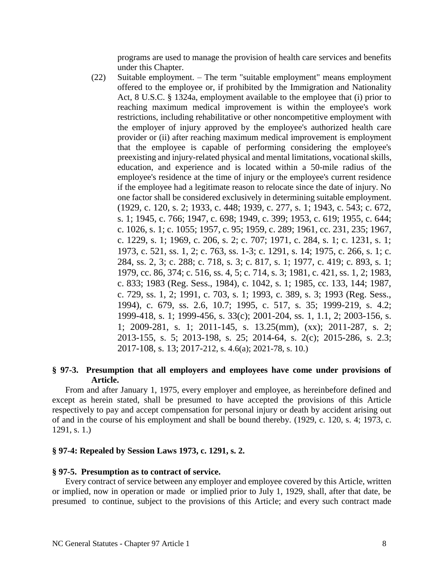programs are used to manage the provision of health care services and benefits under this Chapter.

(22) Suitable employment. – The term "suitable employment" means employment offered to the employee or, if prohibited by the Immigration and Nationality Act, 8 U.S.C. § 1324a, employment available to the employee that (i) prior to reaching maximum medical improvement is within the employee's work restrictions, including rehabilitative or other noncompetitive employment with the employer of injury approved by the employee's authorized health care provider or (ii) after reaching maximum medical improvement is employment that the employee is capable of performing considering the employee's preexisting and injury-related physical and mental limitations, vocational skills, education, and experience and is located within a 50-mile radius of the employee's residence at the time of injury or the employee's current residence if the employee had a legitimate reason to relocate since the date of injury. No one factor shall be considered exclusively in determining suitable employment. (1929, c. 120, s. 2; 1933, c. 448; 1939, c. 277, s. 1; 1943, c. 543; c. 672, s. 1; 1945, c. 766; 1947, c. 698; 1949, c. 399; 1953, c. 619; 1955, c. 644; c. 1026, s. 1; c. 1055; 1957, c. 95; 1959, c. 289; 1961, cc. 231, 235; 1967, c. 1229, s. 1; 1969, c. 206, s. 2; c. 707; 1971, c. 284, s. 1; c. 1231, s. 1; 1973, c. 521, ss. 1, 2; c. 763, ss. 1-3; c. 1291, s. 14; 1975, c. 266, s. 1; c. 284, ss. 2, 3; c. 288; c. 718, s. 3; c. 817, s. 1; 1977, c. 419; c. 893, s. 1; 1979, cc. 86, 374; c. 516, ss. 4, 5; c. 714, s. 3; 1981, c. 421, ss. 1, 2; 1983, c. 833; 1983 (Reg. Sess., 1984), c. 1042, s. 1; 1985, cc. 133, 144; 1987, c. 729, ss. 1, 2; 1991, c. 703, s. 1; 1993, c. 389, s. 3; 1993 (Reg. Sess., 1994), c. 679, ss. 2.6, 10.7; 1995, c. 517, s. 35; 1999-219, s. 4.2; 1999-418, s. 1; 1999-456, s. 33(c); 2001-204, ss. 1, 1.1, 2; 2003-156, s. 1; 2009-281, s. 1; 2011-145, s. 13.25(mm), (xx); 2011-287, s. 2; 2013-155, s. 5; 2013-198, s. 25; 2014-64, s. 2(c); 2015-286, s. 2.3; 2017-108, s. 13; 2017-212, s. 4.6(a); 2021-78, s. 10.)

#### **§ 97-3. Presumption that all employers and employees have come under provisions of Article.**

From and after January 1, 1975, every employer and employee, as hereinbefore defined and except as herein stated, shall be presumed to have accepted the provisions of this Article respectively to pay and accept compensation for personal injury or death by accident arising out of and in the course of his employment and shall be bound thereby. (1929, c. 120, s. 4; 1973, c. 1291, s. 1.)

#### **§ 97-4: Repealed by Session Laws 1973, c. 1291, s. 2.**

#### **§ 97-5. Presumption as to contract of service.**

Every contract of service between any employer and employee covered by this Article, written or implied, now in operation or made or implied prior to July 1, 1929, shall, after that date, be presumed to continue, subject to the provisions of this Article; and every such contract made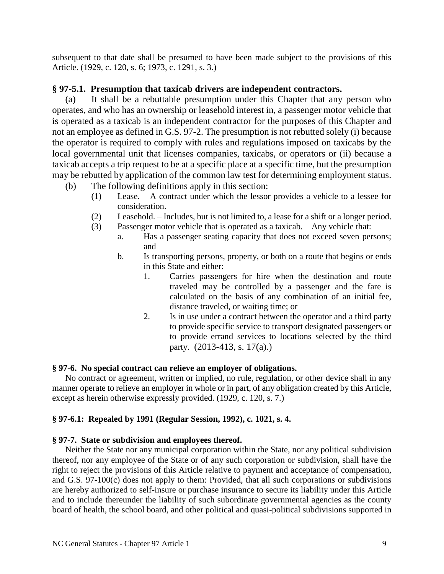subsequent to that date shall be presumed to have been made subject to the provisions of this Article. (1929, c. 120, s. 6; 1973, c. 1291, s. 3.)

## **§ 97-5.1. Presumption that taxicab drivers are independent contractors.**

(a) It shall be a rebuttable presumption under this Chapter that any person who operates, and who has an ownership or leasehold interest in, a passenger motor vehicle that is operated as a taxicab is an independent contractor for the purposes of this Chapter and not an employee as defined in G.S. 97-2. The presumption is not rebutted solely (i) because the operator is required to comply with rules and regulations imposed on taxicabs by the local governmental unit that licenses companies, taxicabs, or operators or (ii) because a taxicab accepts a trip request to be at a specific place at a specific time, but the presumption may be rebutted by application of the common law test for determining employment status.

- (b) The following definitions apply in this section:
	- (1) Lease. A contract under which the lessor provides a vehicle to a lessee for consideration.
	- (2) Leasehold. Includes, but is not limited to, a lease for a shift or a longer period.
	- (3) Passenger motor vehicle that is operated as a taxicab. Any vehicle that:
		- a. Has a passenger seating capacity that does not exceed seven persons; and
		- b. Is transporting persons, property, or both on a route that begins or ends in this State and either:
			- 1. Carries passengers for hire when the destination and route traveled may be controlled by a passenger and the fare is calculated on the basis of any combination of an initial fee, distance traveled, or waiting time; or
			- 2. Is in use under a contract between the operator and a third party to provide specific service to transport designated passengers or to provide errand services to locations selected by the third party. (2013-413, s. 17(a).)

## **§ 97-6. No special contract can relieve an employer of obligations.**

No contract or agreement, written or implied, no rule, regulation, or other device shall in any manner operate to relieve an employer in whole or in part, of any obligation created by this Article, except as herein otherwise expressly provided. (1929, c. 120, s. 7.)

## **§ 97-6.1: Repealed by 1991 (Regular Session, 1992), c. 1021, s. 4.**

## **§ 97-7. State or subdivision and employees thereof.**

Neither the State nor any municipal corporation within the State, nor any political subdivision thereof, nor any employee of the State or of any such corporation or subdivision, shall have the right to reject the provisions of this Article relative to payment and acceptance of compensation, and G.S. 97-100(c) does not apply to them: Provided, that all such corporations or subdivisions are hereby authorized to self-insure or purchase insurance to secure its liability under this Article and to include thereunder the liability of such subordinate governmental agencies as the county board of health, the school board, and other political and quasi-political subdivisions supported in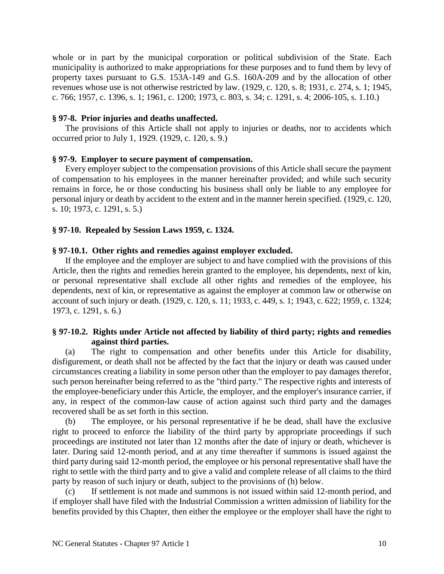whole or in part by the municipal corporation or political subdivision of the State. Each municipality is authorized to make appropriations for these purposes and to fund them by levy of property taxes pursuant to G.S. 153A-149 and G.S. 160A-209 and by the allocation of other revenues whose use is not otherwise restricted by law. (1929, c. 120, s. 8; 1931, c. 274, s. 1; 1945, c. 766; 1957, c. 1396, s. 1; 1961, c. 1200; 1973, c. 803, s. 34; c. 1291, s. 4; 2006-105, s. 1.10.)

#### **§ 97-8. Prior injuries and deaths unaffected.**

The provisions of this Article shall not apply to injuries or deaths, nor to accidents which occurred prior to July 1, 1929. (1929, c. 120, s. 9.)

### **§ 97-9. Employer to secure payment of compensation.**

Every employer subject to the compensation provisions of this Article shall secure the payment of compensation to his employees in the manner hereinafter provided; and while such security remains in force, he or those conducting his business shall only be liable to any employee for personal injury or death by accident to the extent and in the manner herein specified. (1929, c. 120, s. 10; 1973, c. 1291, s. 5.)

### **§ 97-10. Repealed by Session Laws 1959, c. 1324.**

#### **§ 97-10.1. Other rights and remedies against employer excluded.**

If the employee and the employer are subject to and have complied with the provisions of this Article, then the rights and remedies herein granted to the employee, his dependents, next of kin, or personal representative shall exclude all other rights and remedies of the employee, his dependents, next of kin, or representative as against the employer at common law or otherwise on account of such injury or death. (1929, c. 120, s. 11; 1933, c. 449, s. 1; 1943, c. 622; 1959, c. 1324; 1973, c. 1291, s. 6.)

### **§ 97-10.2. Rights under Article not affected by liability of third party; rights and remedies against third parties.**

(a) The right to compensation and other benefits under this Article for disability, disfigurement, or death shall not be affected by the fact that the injury or death was caused under circumstances creating a liability in some person other than the employer to pay damages therefor, such person hereinafter being referred to as the "third party." The respective rights and interests of the employee-beneficiary under this Article, the employer, and the employer's insurance carrier, if any, in respect of the common-law cause of action against such third party and the damages recovered shall be as set forth in this section.

(b) The employee, or his personal representative if he be dead, shall have the exclusive right to proceed to enforce the liability of the third party by appropriate proceedings if such proceedings are instituted not later than 12 months after the date of injury or death, whichever is later. During said 12-month period, and at any time thereafter if summons is issued against the third party during said 12-month period, the employee or his personal representative shall have the right to settle with the third party and to give a valid and complete release of all claims to the third party by reason of such injury or death, subject to the provisions of (h) below.

(c) If settlement is not made and summons is not issued within said 12-month period, and if employer shall have filed with the Industrial Commission a written admission of liability for the benefits provided by this Chapter, then either the employee or the employer shall have the right to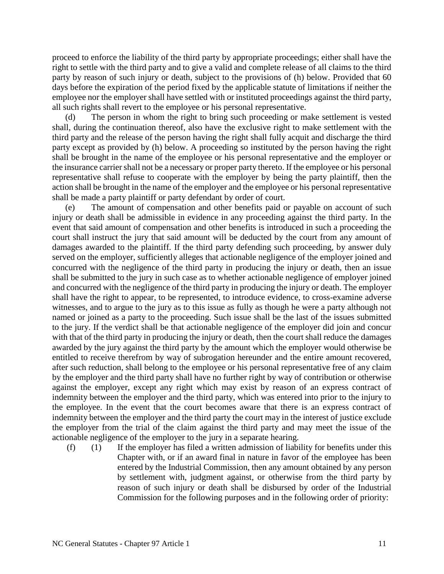proceed to enforce the liability of the third party by appropriate proceedings; either shall have the right to settle with the third party and to give a valid and complete release of all claims to the third party by reason of such injury or death, subject to the provisions of (h) below. Provided that 60 days before the expiration of the period fixed by the applicable statute of limitations if neither the employee nor the employer shall have settled with or instituted proceedings against the third party, all such rights shall revert to the employee or his personal representative.

The person in whom the right to bring such proceeding or make settlement is vested shall, during the continuation thereof, also have the exclusive right to make settlement with the third party and the release of the person having the right shall fully acquit and discharge the third party except as provided by (h) below. A proceeding so instituted by the person having the right shall be brought in the name of the employee or his personal representative and the employer or the insurance carrier shall not be a necessary or proper party thereto. If the employee or his personal representative shall refuse to cooperate with the employer by being the party plaintiff, then the action shall be brought in the name of the employer and the employee or his personal representative shall be made a party plaintiff or party defendant by order of court.

(e) The amount of compensation and other benefits paid or payable on account of such injury or death shall be admissible in evidence in any proceeding against the third party. In the event that said amount of compensation and other benefits is introduced in such a proceeding the court shall instruct the jury that said amount will be deducted by the court from any amount of damages awarded to the plaintiff. If the third party defending such proceeding, by answer duly served on the employer, sufficiently alleges that actionable negligence of the employer joined and concurred with the negligence of the third party in producing the injury or death, then an issue shall be submitted to the jury in such case as to whether actionable negligence of employer joined and concurred with the negligence of the third party in producing the injury or death. The employer shall have the right to appear, to be represented, to introduce evidence, to cross-examine adverse witnesses, and to argue to the jury as to this issue as fully as though he were a party although not named or joined as a party to the proceeding. Such issue shall be the last of the issues submitted to the jury. If the verdict shall be that actionable negligence of the employer did join and concur with that of the third party in producing the injury or death, then the court shall reduce the damages awarded by the jury against the third party by the amount which the employer would otherwise be entitled to receive therefrom by way of subrogation hereunder and the entire amount recovered, after such reduction, shall belong to the employee or his personal representative free of any claim by the employer and the third party shall have no further right by way of contribution or otherwise against the employer, except any right which may exist by reason of an express contract of indemnity between the employer and the third party, which was entered into prior to the injury to the employee. In the event that the court becomes aware that there is an express contract of indemnity between the employer and the third party the court may in the interest of justice exclude the employer from the trial of the claim against the third party and may meet the issue of the actionable negligence of the employer to the jury in a separate hearing.

(f) (1) If the employer has filed a written admission of liability for benefits under this Chapter with, or if an award final in nature in favor of the employee has been entered by the Industrial Commission, then any amount obtained by any person by settlement with, judgment against, or otherwise from the third party by reason of such injury or death shall be disbursed by order of the Industrial Commission for the following purposes and in the following order of priority: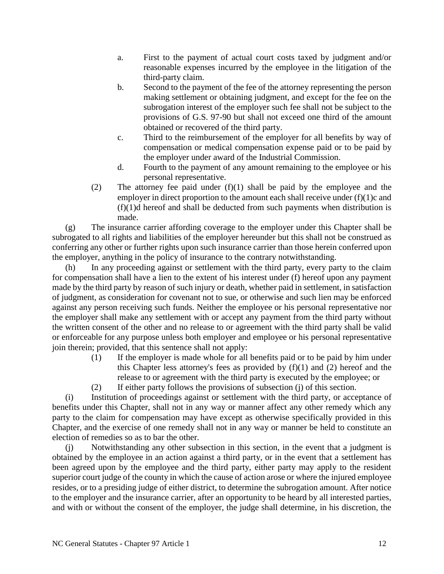- a. First to the payment of actual court costs taxed by judgment and/or reasonable expenses incurred by the employee in the litigation of the third-party claim.
- b. Second to the payment of the fee of the attorney representing the person making settlement or obtaining judgment, and except for the fee on the subrogation interest of the employer such fee shall not be subject to the provisions of G.S. 97-90 but shall not exceed one third of the amount obtained or recovered of the third party.
- c. Third to the reimbursement of the employer for all benefits by way of compensation or medical compensation expense paid or to be paid by the employer under award of the Industrial Commission.
- d. Fourth to the payment of any amount remaining to the employee or his personal representative.
- (2) The attorney fee paid under (f)(1) shall be paid by the employee and the employer in direct proportion to the amount each shall receive under  $(f)(1)c$  and (f)(1)d hereof and shall be deducted from such payments when distribution is made.

(g) The insurance carrier affording coverage to the employer under this Chapter shall be subrogated to all rights and liabilities of the employer hereunder but this shall not be construed as conferring any other or further rights upon such insurance carrier than those herein conferred upon the employer, anything in the policy of insurance to the contrary notwithstanding.

(h) In any proceeding against or settlement with the third party, every party to the claim for compensation shall have a lien to the extent of his interest under (f) hereof upon any payment made by the third party by reason of such injury or death, whether paid in settlement, in satisfaction of judgment, as consideration for covenant not to sue, or otherwise and such lien may be enforced against any person receiving such funds. Neither the employee or his personal representative nor the employer shall make any settlement with or accept any payment from the third party without the written consent of the other and no release to or agreement with the third party shall be valid or enforceable for any purpose unless both employer and employee or his personal representative join therein; provided, that this sentence shall not apply:

- (1) If the employer is made whole for all benefits paid or to be paid by him under this Chapter less attorney's fees as provided by  $(f)(1)$  and  $(2)$  hereof and the release to or agreement with the third party is executed by the employee; or
- (2) If either party follows the provisions of subsection (j) of this section.

(i) Institution of proceedings against or settlement with the third party, or acceptance of benefits under this Chapter, shall not in any way or manner affect any other remedy which any party to the claim for compensation may have except as otherwise specifically provided in this Chapter, and the exercise of one remedy shall not in any way or manner be held to constitute an election of remedies so as to bar the other.

(j) Notwithstanding any other subsection in this section, in the event that a judgment is obtained by the employee in an action against a third party, or in the event that a settlement has been agreed upon by the employee and the third party, either party may apply to the resident superior court judge of the county in which the cause of action arose or where the injured employee resides, or to a presiding judge of either district, to determine the subrogation amount. After notice to the employer and the insurance carrier, after an opportunity to be heard by all interested parties, and with or without the consent of the employer, the judge shall determine, in his discretion, the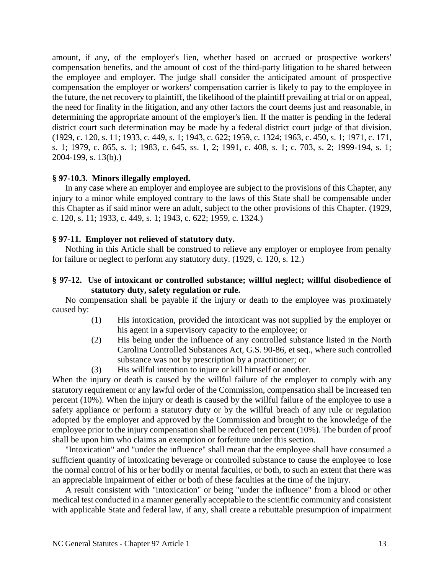amount, if any, of the employer's lien, whether based on accrued or prospective workers' compensation benefits, and the amount of cost of the third-party litigation to be shared between the employee and employer. The judge shall consider the anticipated amount of prospective compensation the employer or workers' compensation carrier is likely to pay to the employee in the future, the net recovery to plaintiff, the likelihood of the plaintiff prevailing at trial or on appeal, the need for finality in the litigation, and any other factors the court deems just and reasonable, in determining the appropriate amount of the employer's lien. If the matter is pending in the federal district court such determination may be made by a federal district court judge of that division. (1929, c. 120, s. 11; 1933, c. 449, s. 1; 1943, c. 622; 1959, c. 1324; 1963, c. 450, s. 1; 1971, c. 171, s. 1; 1979, c. 865, s. 1; 1983, c. 645, ss. 1, 2; 1991, c. 408, s. 1; c. 703, s. 2; 1999-194, s. 1; 2004-199, s. 13(b).)

#### **§ 97-10.3. Minors illegally employed.**

In any case where an employer and employee are subject to the provisions of this Chapter, any injury to a minor while employed contrary to the laws of this State shall be compensable under this Chapter as if said minor were an adult, subject to the other provisions of this Chapter. (1929, c. 120, s. 11; 1933, c. 449, s. 1; 1943, c. 622; 1959, c. 1324.)

#### **§ 97-11. Employer not relieved of statutory duty.**

Nothing in this Article shall be construed to relieve any employer or employee from penalty for failure or neglect to perform any statutory duty. (1929, c. 120, s. 12.)

### **§ 97-12. Use of intoxicant or controlled substance; willful neglect; willful disobedience of statutory duty, safety regulation or rule.**

No compensation shall be payable if the injury or death to the employee was proximately caused by:

- (1) His intoxication, provided the intoxicant was not supplied by the employer or his agent in a supervisory capacity to the employee; or
- (2) His being under the influence of any controlled substance listed in the North Carolina Controlled Substances Act, G.S. 90-86, et seq., where such controlled substance was not by prescription by a practitioner; or
- (3) His willful intention to injure or kill himself or another.

When the injury or death is caused by the willful failure of the employer to comply with any statutory requirement or any lawful order of the Commission, compensation shall be increased ten percent (10%). When the injury or death is caused by the willful failure of the employee to use a safety appliance or perform a statutory duty or by the willful breach of any rule or regulation adopted by the employer and approved by the Commission and brought to the knowledge of the employee prior to the injury compensation shall be reduced ten percent (10%). The burden of proof shall be upon him who claims an exemption or forfeiture under this section.

"Intoxication" and "under the influence" shall mean that the employee shall have consumed a sufficient quantity of intoxicating beverage or controlled substance to cause the employee to lose the normal control of his or her bodily or mental faculties, or both, to such an extent that there was an appreciable impairment of either or both of these faculties at the time of the injury.

A result consistent with "intoxication" or being "under the influence" from a blood or other medical test conducted in a manner generally acceptable to the scientific community and consistent with applicable State and federal law, if any, shall create a rebuttable presumption of impairment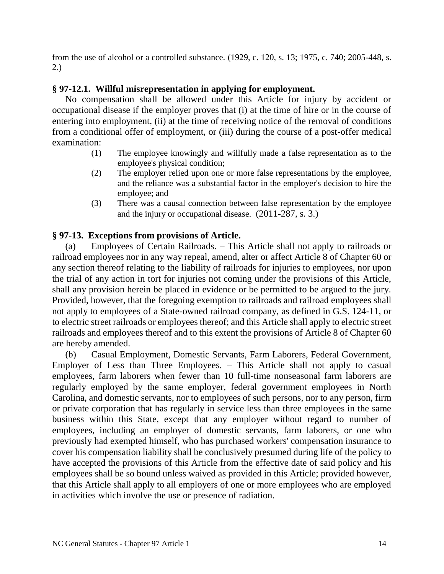from the use of alcohol or a controlled substance. (1929, c. 120, s. 13; 1975, c. 740; 2005-448, s. 2.)

# **§ 97-12.1. Willful misrepresentation in applying for employment.**

No compensation shall be allowed under this Article for injury by accident or occupational disease if the employer proves that (i) at the time of hire or in the course of entering into employment, (ii) at the time of receiving notice of the removal of conditions from a conditional offer of employment, or (iii) during the course of a post-offer medical examination:

- (1) The employee knowingly and willfully made a false representation as to the employee's physical condition;
- (2) The employer relied upon one or more false representations by the employee, and the reliance was a substantial factor in the employer's decision to hire the employee; and
- (3) There was a causal connection between false representation by the employee and the injury or occupational disease. (2011-287, s. 3.)

## **§ 97-13. Exceptions from provisions of Article.**

(a) Employees of Certain Railroads. – This Article shall not apply to railroads or railroad employees nor in any way repeal, amend, alter or affect Article 8 of Chapter 60 or any section thereof relating to the liability of railroads for injuries to employees, nor upon the trial of any action in tort for injuries not coming under the provisions of this Article, shall any provision herein be placed in evidence or be permitted to be argued to the jury. Provided, however, that the foregoing exemption to railroads and railroad employees shall not apply to employees of a State-owned railroad company, as defined in G.S. 124-11, or to electric street railroads or employees thereof; and this Article shall apply to electric street railroads and employees thereof and to this extent the provisions of Article 8 of Chapter 60 are hereby amended.

(b) Casual Employment, Domestic Servants, Farm Laborers, Federal Government, Employer of Less than Three Employees. – This Article shall not apply to casual employees, farm laborers when fewer than 10 full-time nonseasonal farm laborers are regularly employed by the same employer, federal government employees in North Carolina, and domestic servants, nor to employees of such persons, nor to any person, firm or private corporation that has regularly in service less than three employees in the same business within this State, except that any employer without regard to number of employees, including an employer of domestic servants, farm laborers, or one who previously had exempted himself, who has purchased workers' compensation insurance to cover his compensation liability shall be conclusively presumed during life of the policy to have accepted the provisions of this Article from the effective date of said policy and his employees shall be so bound unless waived as provided in this Article; provided however, that this Article shall apply to all employers of one or more employees who are employed in activities which involve the use or presence of radiation.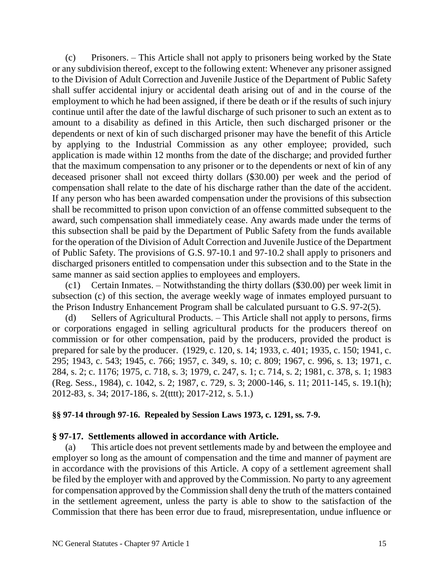(c) Prisoners. – This Article shall not apply to prisoners being worked by the State or any subdivision thereof, except to the following extent: Whenever any prisoner assigned to the Division of Adult Correction and Juvenile Justice of the Department of Public Safety shall suffer accidental injury or accidental death arising out of and in the course of the employment to which he had been assigned, if there be death or if the results of such injury continue until after the date of the lawful discharge of such prisoner to such an extent as to amount to a disability as defined in this Article, then such discharged prisoner or the dependents or next of kin of such discharged prisoner may have the benefit of this Article by applying to the Industrial Commission as any other employee; provided, such application is made within 12 months from the date of the discharge; and provided further that the maximum compensation to any prisoner or to the dependents or next of kin of any deceased prisoner shall not exceed thirty dollars (\$30.00) per week and the period of compensation shall relate to the date of his discharge rather than the date of the accident. If any person who has been awarded compensation under the provisions of this subsection shall be recommitted to prison upon conviction of an offense committed subsequent to the award, such compensation shall immediately cease. Any awards made under the terms of this subsection shall be paid by the Department of Public Safety from the funds available for the operation of the Division of Adult Correction and Juvenile Justice of the Department of Public Safety. The provisions of G.S. 97-10.1 and 97-10.2 shall apply to prisoners and discharged prisoners entitled to compensation under this subsection and to the State in the same manner as said section applies to employees and employers.

(c1) Certain Inmates. – Notwithstanding the thirty dollars (\$30.00) per week limit in subsection (c) of this section, the average weekly wage of inmates employed pursuant to the Prison Industry Enhancement Program shall be calculated pursuant to G.S. 97-2(5).

(d) Sellers of Agricultural Products. – This Article shall not apply to persons, firms or corporations engaged in selling agricultural products for the producers thereof on commission or for other compensation, paid by the producers, provided the product is prepared for sale by the producer. (1929, c. 120, s. 14; 1933, c. 401; 1935, c. 150; 1941, c. 295; 1943, c. 543; 1945, c. 766; 1957, c. 349, s. 10; c. 809; 1967, c. 996, s. 13; 1971, c. 284, s. 2; c. 1176; 1975, c. 718, s. 3; 1979, c. 247, s. 1; c. 714, s. 2; 1981, c. 378, s. 1; 1983 (Reg. Sess., 1984), c. 1042, s. 2; 1987, c. 729, s. 3; 2000-146, s. 11; 2011-145, s. 19.1(h); 2012-83, s. 34; 2017-186, s. 2(tttt); 2017-212, s. 5.1.)

### **§§ 97-14 through 97-16. Repealed by Session Laws 1973, c. 1291, ss. 7-9.**

### **§ 97-17. Settlements allowed in accordance with Article.**

(a) This article does not prevent settlements made by and between the employee and employer so long as the amount of compensation and the time and manner of payment are in accordance with the provisions of this Article. A copy of a settlement agreement shall be filed by the employer with and approved by the Commission. No party to any agreement for compensation approved by the Commission shall deny the truth of the matters contained in the settlement agreement, unless the party is able to show to the satisfaction of the Commission that there has been error due to fraud, misrepresentation, undue influence or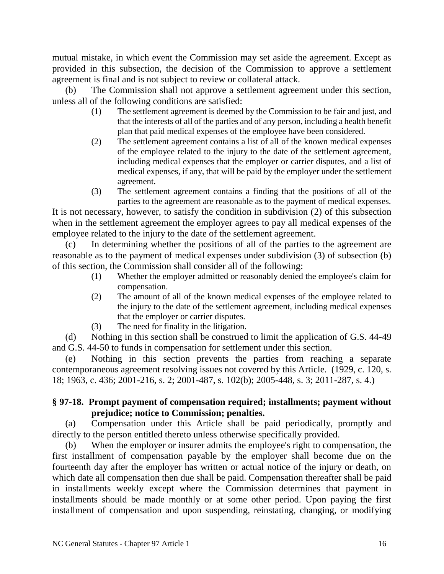mutual mistake, in which event the Commission may set aside the agreement. Except as provided in this subsection, the decision of the Commission to approve a settlement agreement is final and is not subject to review or collateral attack.

(b) The Commission shall not approve a settlement agreement under this section, unless all of the following conditions are satisfied:

- (1) The settlement agreement is deemed by the Commission to be fair and just, and that the interests of all of the parties and of any person, including a health benefit plan that paid medical expenses of the employee have been considered.
- (2) The settlement agreement contains a list of all of the known medical expenses of the employee related to the injury to the date of the settlement agreement, including medical expenses that the employer or carrier disputes, and a list of medical expenses, if any, that will be paid by the employer under the settlement agreement.
- (3) The settlement agreement contains a finding that the positions of all of the parties to the agreement are reasonable as to the payment of medical expenses.

It is not necessary, however, to satisfy the condition in subdivision (2) of this subsection when in the settlement agreement the employer agrees to pay all medical expenses of the employee related to the injury to the date of the settlement agreement.

(c) In determining whether the positions of all of the parties to the agreement are reasonable as to the payment of medical expenses under subdivision (3) of subsection (b) of this section, the Commission shall consider all of the following:

- (1) Whether the employer admitted or reasonably denied the employee's claim for compensation.
- (2) The amount of all of the known medical expenses of the employee related to the injury to the date of the settlement agreement, including medical expenses that the employer or carrier disputes.
- (3) The need for finality in the litigation.

(d) Nothing in this section shall be construed to limit the application of G.S. 44-49 and G.S. 44-50 to funds in compensation for settlement under this section.

(e) Nothing in this section prevents the parties from reaching a separate contemporaneous agreement resolving issues not covered by this Article. (1929, c. 120, s. 18; 1963, c. 436; 2001-216, s. 2; 2001-487, s. 102(b); 2005-448, s. 3; 2011-287, s. 4.)

# **§ 97-18. Prompt payment of compensation required; installments; payment without prejudice; notice to Commission; penalties.**

(a) Compensation under this Article shall be paid periodically, promptly and directly to the person entitled thereto unless otherwise specifically provided.

(b) When the employer or insurer admits the employee's right to compensation, the first installment of compensation payable by the employer shall become due on the fourteenth day after the employer has written or actual notice of the injury or death, on which date all compensation then due shall be paid. Compensation thereafter shall be paid in installments weekly except where the Commission determines that payment in installments should be made monthly or at some other period. Upon paying the first installment of compensation and upon suspending, reinstating, changing, or modifying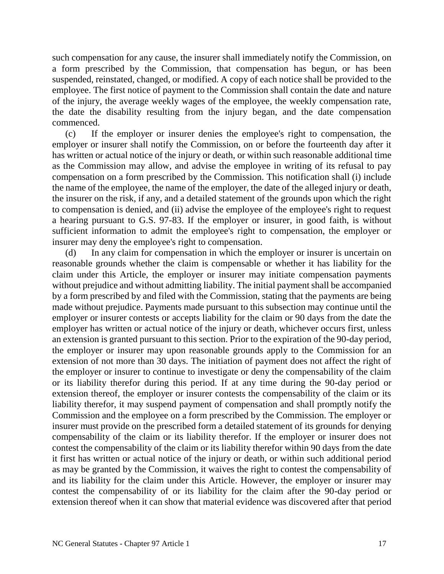such compensation for any cause, the insurer shall immediately notify the Commission, on a form prescribed by the Commission, that compensation has begun, or has been suspended, reinstated, changed, or modified. A copy of each notice shall be provided to the employee. The first notice of payment to the Commission shall contain the date and nature of the injury, the average weekly wages of the employee, the weekly compensation rate, the date the disability resulting from the injury began, and the date compensation commenced.

(c) If the employer or insurer denies the employee's right to compensation, the employer or insurer shall notify the Commission, on or before the fourteenth day after it has written or actual notice of the injury or death, or within such reasonable additional time as the Commission may allow, and advise the employee in writing of its refusal to pay compensation on a form prescribed by the Commission. This notification shall (i) include the name of the employee, the name of the employer, the date of the alleged injury or death, the insurer on the risk, if any, and a detailed statement of the grounds upon which the right to compensation is denied, and (ii) advise the employee of the employee's right to request a hearing pursuant to G.S. 97-83. If the employer or insurer, in good faith, is without sufficient information to admit the employee's right to compensation, the employer or insurer may deny the employee's right to compensation.

(d) In any claim for compensation in which the employer or insurer is uncertain on reasonable grounds whether the claim is compensable or whether it has liability for the claim under this Article, the employer or insurer may initiate compensation payments without prejudice and without admitting liability. The initial payment shall be accompanied by a form prescribed by and filed with the Commission, stating that the payments are being made without prejudice. Payments made pursuant to this subsection may continue until the employer or insurer contests or accepts liability for the claim or 90 days from the date the employer has written or actual notice of the injury or death, whichever occurs first, unless an extension is granted pursuant to this section. Prior to the expiration of the 90-day period, the employer or insurer may upon reasonable grounds apply to the Commission for an extension of not more than 30 days. The initiation of payment does not affect the right of the employer or insurer to continue to investigate or deny the compensability of the claim or its liability therefor during this period. If at any time during the 90-day period or extension thereof, the employer or insurer contests the compensability of the claim or its liability therefor, it may suspend payment of compensation and shall promptly notify the Commission and the employee on a form prescribed by the Commission. The employer or insurer must provide on the prescribed form a detailed statement of its grounds for denying compensability of the claim or its liability therefor. If the employer or insurer does not contest the compensability of the claim or its liability therefor within 90 days from the date it first has written or actual notice of the injury or death, or within such additional period as may be granted by the Commission, it waives the right to contest the compensability of and its liability for the claim under this Article. However, the employer or insurer may contest the compensability of or its liability for the claim after the 90-day period or extension thereof when it can show that material evidence was discovered after that period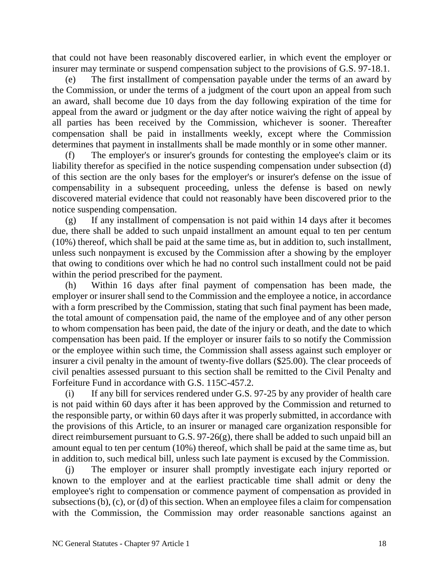that could not have been reasonably discovered earlier, in which event the employer or insurer may terminate or suspend compensation subject to the provisions of G.S. 97-18.1.

(e) The first installment of compensation payable under the terms of an award by the Commission, or under the terms of a judgment of the court upon an appeal from such an award, shall become due 10 days from the day following expiration of the time for appeal from the award or judgment or the day after notice waiving the right of appeal by all parties has been received by the Commission, whichever is sooner. Thereafter compensation shall be paid in installments weekly, except where the Commission determines that payment in installments shall be made monthly or in some other manner.

(f) The employer's or insurer's grounds for contesting the employee's claim or its liability therefor as specified in the notice suspending compensation under subsection (d) of this section are the only bases for the employer's or insurer's defense on the issue of compensability in a subsequent proceeding, unless the defense is based on newly discovered material evidence that could not reasonably have been discovered prior to the notice suspending compensation.

(g) If any installment of compensation is not paid within 14 days after it becomes due, there shall be added to such unpaid installment an amount equal to ten per centum (10%) thereof, which shall be paid at the same time as, but in addition to, such installment, unless such nonpayment is excused by the Commission after a showing by the employer that owing to conditions over which he had no control such installment could not be paid within the period prescribed for the payment.

(h) Within 16 days after final payment of compensation has been made, the employer or insurer shall send to the Commission and the employee a notice, in accordance with a form prescribed by the Commission, stating that such final payment has been made, the total amount of compensation paid, the name of the employee and of any other person to whom compensation has been paid, the date of the injury or death, and the date to which compensation has been paid. If the employer or insurer fails to so notify the Commission or the employee within such time, the Commission shall assess against such employer or insurer a civil penalty in the amount of twenty-five dollars (\$25.00). The clear proceeds of civil penalties assessed pursuant to this section shall be remitted to the Civil Penalty and Forfeiture Fund in accordance with G.S. 115C-457.2.

(i) If any bill for services rendered under G.S. 97-25 by any provider of health care is not paid within 60 days after it has been approved by the Commission and returned to the responsible party, or within 60 days after it was properly submitted, in accordance with the provisions of this Article, to an insurer or managed care organization responsible for direct reimbursement pursuant to G.S. 97-26(g), there shall be added to such unpaid bill an amount equal to ten per centum (10%) thereof, which shall be paid at the same time as, but in addition to, such medical bill, unless such late payment is excused by the Commission.

(j) The employer or insurer shall promptly investigate each injury reported or known to the employer and at the earliest practicable time shall admit or deny the employee's right to compensation or commence payment of compensation as provided in subsections (b), (c), or (d) of this section. When an employee files a claim for compensation with the Commission, the Commission may order reasonable sanctions against an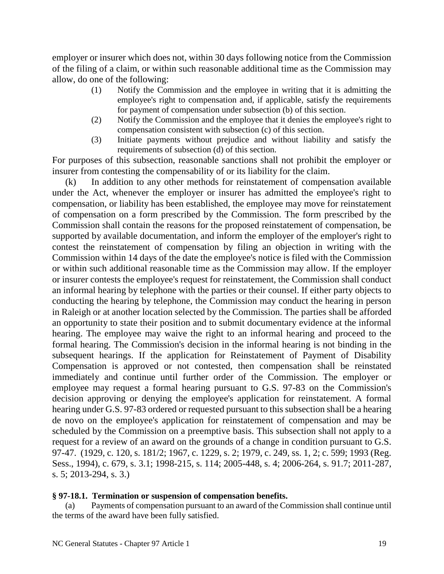employer or insurer which does not, within 30 days following notice from the Commission of the filing of a claim, or within such reasonable additional time as the Commission may allow, do one of the following:

- (1) Notify the Commission and the employee in writing that it is admitting the employee's right to compensation and, if applicable, satisfy the requirements for payment of compensation under subsection (b) of this section.
- (2) Notify the Commission and the employee that it denies the employee's right to compensation consistent with subsection (c) of this section.
- (3) Initiate payments without prejudice and without liability and satisfy the requirements of subsection (d) of this section.

For purposes of this subsection, reasonable sanctions shall not prohibit the employer or insurer from contesting the compensability of or its liability for the claim.

(k) In addition to any other methods for reinstatement of compensation available under the Act, whenever the employer or insurer has admitted the employee's right to compensation, or liability has been established, the employee may move for reinstatement of compensation on a form prescribed by the Commission. The form prescribed by the Commission shall contain the reasons for the proposed reinstatement of compensation, be supported by available documentation, and inform the employer of the employer's right to contest the reinstatement of compensation by filing an objection in writing with the Commission within 14 days of the date the employee's notice is filed with the Commission or within such additional reasonable time as the Commission may allow. If the employer or insurer contests the employee's request for reinstatement, the Commission shall conduct an informal hearing by telephone with the parties or their counsel. If either party objects to conducting the hearing by telephone, the Commission may conduct the hearing in person in Raleigh or at another location selected by the Commission. The parties shall be afforded an opportunity to state their position and to submit documentary evidence at the informal hearing. The employee may waive the right to an informal hearing and proceed to the formal hearing. The Commission's decision in the informal hearing is not binding in the subsequent hearings. If the application for Reinstatement of Payment of Disability Compensation is approved or not contested, then compensation shall be reinstated immediately and continue until further order of the Commission. The employer or employee may request a formal hearing pursuant to G.S. 97-83 on the Commission's decision approving or denying the employee's application for reinstatement. A formal hearing under G.S. 97-83 ordered or requested pursuant to this subsection shall be a hearing de novo on the employee's application for reinstatement of compensation and may be scheduled by the Commission on a preemptive basis. This subsection shall not apply to a request for a review of an award on the grounds of a change in condition pursuant to G.S. 97-47. (1929, c. 120, s. 181/2; 1967, c. 1229, s. 2; 1979, c. 249, ss. 1, 2; c. 599; 1993 (Reg. Sess., 1994), c. 679, s. 3.1; 1998-215, s. 114; 2005-448, s. 4; 2006-264, s. 91.7; 2011-287, s. 5; 2013-294, s. 3.)

## **§ 97-18.1. Termination or suspension of compensation benefits.**

(a) Payments of compensation pursuant to an award of the Commission shall continue until the terms of the award have been fully satisfied.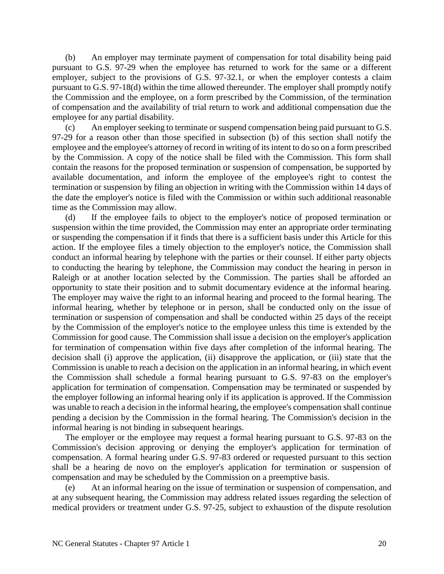(b) An employer may terminate payment of compensation for total disability being paid pursuant to G.S. 97-29 when the employee has returned to work for the same or a different employer, subject to the provisions of G.S. 97-32.1, or when the employer contests a claim pursuant to G.S. 97-18(d) within the time allowed thereunder. The employer shall promptly notify the Commission and the employee, on a form prescribed by the Commission, of the termination of compensation and the availability of trial return to work and additional compensation due the employee for any partial disability.

(c) An employer seeking to terminate or suspend compensation being paid pursuant to G.S. 97-29 for a reason other than those specified in subsection (b) of this section shall notify the employee and the employee's attorney of record in writing of its intent to do so on a form prescribed by the Commission. A copy of the notice shall be filed with the Commission. This form shall contain the reasons for the proposed termination or suspension of compensation, be supported by available documentation, and inform the employee of the employee's right to contest the termination or suspension by filing an objection in writing with the Commission within 14 days of the date the employer's notice is filed with the Commission or within such additional reasonable time as the Commission may allow.

(d) If the employee fails to object to the employer's notice of proposed termination or suspension within the time provided, the Commission may enter an appropriate order terminating or suspending the compensation if it finds that there is a sufficient basis under this Article for this action. If the employee files a timely objection to the employer's notice, the Commission shall conduct an informal hearing by telephone with the parties or their counsel. If either party objects to conducting the hearing by telephone, the Commission may conduct the hearing in person in Raleigh or at another location selected by the Commission. The parties shall be afforded an opportunity to state their position and to submit documentary evidence at the informal hearing. The employer may waive the right to an informal hearing and proceed to the formal hearing. The informal hearing, whether by telephone or in person, shall be conducted only on the issue of termination or suspension of compensation and shall be conducted within 25 days of the receipt by the Commission of the employer's notice to the employee unless this time is extended by the Commission for good cause. The Commission shall issue a decision on the employer's application for termination of compensation within five days after completion of the informal hearing. The decision shall (i) approve the application, (ii) disapprove the application, or (iii) state that the Commission is unable to reach a decision on the application in an informal hearing, in which event the Commission shall schedule a formal hearing pursuant to G.S. 97-83 on the employer's application for termination of compensation. Compensation may be terminated or suspended by the employer following an informal hearing only if its application is approved. If the Commission was unable to reach a decision in the informal hearing, the employee's compensation shall continue pending a decision by the Commission in the formal hearing. The Commission's decision in the informal hearing is not binding in subsequent hearings.

The employer or the employee may request a formal hearing pursuant to G.S. 97-83 on the Commission's decision approving or denying the employer's application for termination of compensation. A formal hearing under G.S. 97-83 ordered or requested pursuant to this section shall be a hearing de novo on the employer's application for termination or suspension of compensation and may be scheduled by the Commission on a preemptive basis.

(e) At an informal hearing on the issue of termination or suspension of compensation, and at any subsequent hearing, the Commission may address related issues regarding the selection of medical providers or treatment under G.S. 97-25, subject to exhaustion of the dispute resolution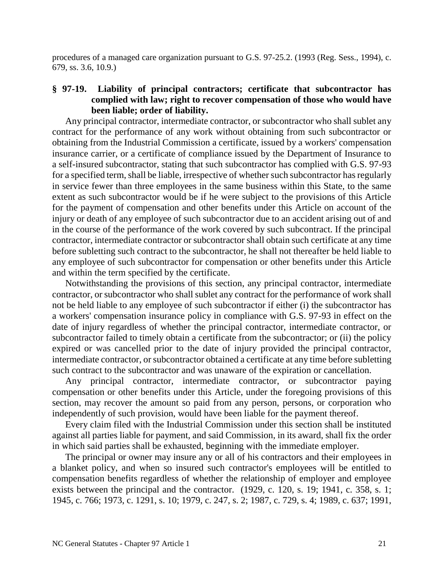procedures of a managed care organization pursuant to G.S. 97-25.2. (1993 (Reg. Sess., 1994), c. 679, ss. 3.6, 10.9.)

# **§ 97-19. Liability of principal contractors; certificate that subcontractor has complied with law; right to recover compensation of those who would have been liable; order of liability.**

Any principal contractor, intermediate contractor, or subcontractor who shall sublet any contract for the performance of any work without obtaining from such subcontractor or obtaining from the Industrial Commission a certificate, issued by a workers' compensation insurance carrier, or a certificate of compliance issued by the Department of Insurance to a self-insured subcontractor, stating that such subcontractor has complied with G.S. 97-93 for a specified term, shall be liable, irrespective of whether such subcontractor has regularly in service fewer than three employees in the same business within this State, to the same extent as such subcontractor would be if he were subject to the provisions of this Article for the payment of compensation and other benefits under this Article on account of the injury or death of any employee of such subcontractor due to an accident arising out of and in the course of the performance of the work covered by such subcontract. If the principal contractor, intermediate contractor or subcontractor shall obtain such certificate at any time before subletting such contract to the subcontractor, he shall not thereafter be held liable to any employee of such subcontractor for compensation or other benefits under this Article and within the term specified by the certificate.

Notwithstanding the provisions of this section, any principal contractor, intermediate contractor, or subcontractor who shall sublet any contract for the performance of work shall not be held liable to any employee of such subcontractor if either (i) the subcontractor has a workers' compensation insurance policy in compliance with G.S. 97-93 in effect on the date of injury regardless of whether the principal contractor, intermediate contractor, or subcontractor failed to timely obtain a certificate from the subcontractor; or (ii) the policy expired or was cancelled prior to the date of injury provided the principal contractor, intermediate contractor, or subcontractor obtained a certificate at any time before subletting such contract to the subcontractor and was unaware of the expiration or cancellation.

Any principal contractor, intermediate contractor, or subcontractor paying compensation or other benefits under this Article, under the foregoing provisions of this section, may recover the amount so paid from any person, persons, or corporation who independently of such provision, would have been liable for the payment thereof.

Every claim filed with the Industrial Commission under this section shall be instituted against all parties liable for payment, and said Commission, in its award, shall fix the order in which said parties shall be exhausted, beginning with the immediate employer.

The principal or owner may insure any or all of his contractors and their employees in a blanket policy, and when so insured such contractor's employees will be entitled to compensation benefits regardless of whether the relationship of employer and employee exists between the principal and the contractor. (1929, c. 120, s. 19; 1941, c. 358, s. 1; 1945, c. 766; 1973, c. 1291, s. 10; 1979, c. 247, s. 2; 1987, c. 729, s. 4; 1989, c. 637; 1991,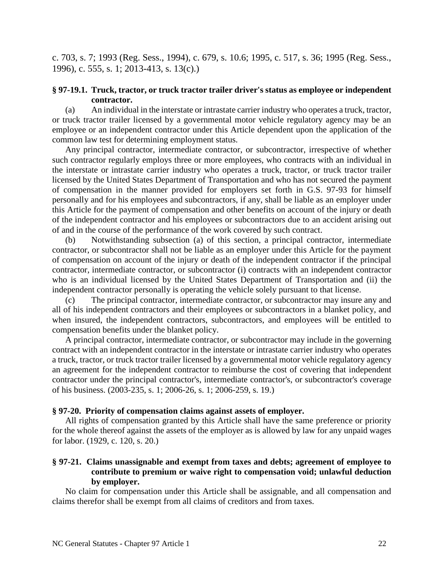c. 703, s. 7; 1993 (Reg. Sess., 1994), c. 679, s. 10.6; 1995, c. 517, s. 36; 1995 (Reg. Sess., 1996), c. 555, s. 1; 2013-413, s. 13(c).)

### **§ 97-19.1. Truck, tractor, or truck tractor trailer driver's status as employee or independent contractor.**

(a) An individual in the interstate or intrastate carrier industry who operates a truck, tractor, or truck tractor trailer licensed by a governmental motor vehicle regulatory agency may be an employee or an independent contractor under this Article dependent upon the application of the common law test for determining employment status.

Any principal contractor, intermediate contractor, or subcontractor, irrespective of whether such contractor regularly employs three or more employees, who contracts with an individual in the interstate or intrastate carrier industry who operates a truck, tractor, or truck tractor trailer licensed by the United States Department of Transportation and who has not secured the payment of compensation in the manner provided for employers set forth in G.S. 97-93 for himself personally and for his employees and subcontractors, if any, shall be liable as an employer under this Article for the payment of compensation and other benefits on account of the injury or death of the independent contractor and his employees or subcontractors due to an accident arising out of and in the course of the performance of the work covered by such contract.

(b) Notwithstanding subsection (a) of this section, a principal contractor, intermediate contractor, or subcontractor shall not be liable as an employer under this Article for the payment of compensation on account of the injury or death of the independent contractor if the principal contractor, intermediate contractor, or subcontractor (i) contracts with an independent contractor who is an individual licensed by the United States Department of Transportation and (ii) the independent contractor personally is operating the vehicle solely pursuant to that license.

(c) The principal contractor, intermediate contractor, or subcontractor may insure any and all of his independent contractors and their employees or subcontractors in a blanket policy, and when insured, the independent contractors, subcontractors, and employees will be entitled to compensation benefits under the blanket policy.

A principal contractor, intermediate contractor, or subcontractor may include in the governing contract with an independent contractor in the interstate or intrastate carrier industry who operates a truck, tractor, or truck tractor trailer licensed by a governmental motor vehicle regulatory agency an agreement for the independent contractor to reimburse the cost of covering that independent contractor under the principal contractor's, intermediate contractor's, or subcontractor's coverage of his business. (2003-235, s. 1; 2006-26, s. 1; 2006-259, s. 19.)

### **§ 97-20. Priority of compensation claims against assets of employer.**

All rights of compensation granted by this Article shall have the same preference or priority for the whole thereof against the assets of the employer as is allowed by law for any unpaid wages for labor. (1929, c. 120, s. 20.)

## **§ 97-21. Claims unassignable and exempt from taxes and debts; agreement of employee to contribute to premium or waive right to compensation void; unlawful deduction by employer.**

No claim for compensation under this Article shall be assignable, and all compensation and claims therefor shall be exempt from all claims of creditors and from taxes.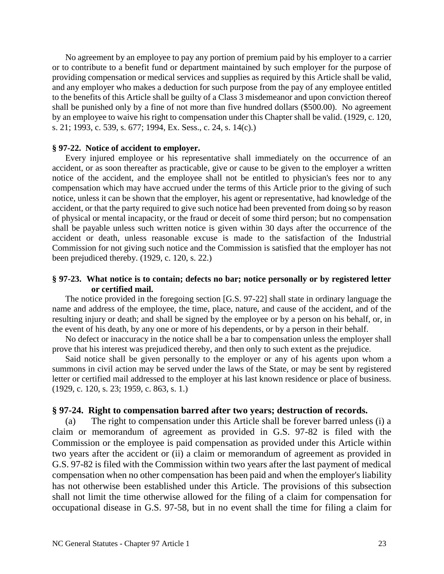No agreement by an employee to pay any portion of premium paid by his employer to a carrier or to contribute to a benefit fund or department maintained by such employer for the purpose of providing compensation or medical services and supplies as required by this Article shall be valid, and any employer who makes a deduction for such purpose from the pay of any employee entitled to the benefits of this Article shall be guilty of a Class 3 misdemeanor and upon conviction thereof shall be punished only by a fine of not more than five hundred dollars (\$500.00). No agreement by an employee to waive his right to compensation under this Chapter shall be valid. (1929, c. 120, s. 21; 1993, c. 539, s. 677; 1994, Ex. Sess., c. 24, s. 14(c).)

#### **§ 97-22. Notice of accident to employer.**

Every injured employee or his representative shall immediately on the occurrence of an accident, or as soon thereafter as practicable, give or cause to be given to the employer a written notice of the accident, and the employee shall not be entitled to physician's fees nor to any compensation which may have accrued under the terms of this Article prior to the giving of such notice, unless it can be shown that the employer, his agent or representative, had knowledge of the accident, or that the party required to give such notice had been prevented from doing so by reason of physical or mental incapacity, or the fraud or deceit of some third person; but no compensation shall be payable unless such written notice is given within 30 days after the occurrence of the accident or death, unless reasonable excuse is made to the satisfaction of the Industrial Commission for not giving such notice and the Commission is satisfied that the employer has not been prejudiced thereby. (1929, c. 120, s. 22.)

#### **§ 97-23. What notice is to contain; defects no bar; notice personally or by registered letter or certified mail.**

The notice provided in the foregoing section [G.S. 97-22] shall state in ordinary language the name and address of the employee, the time, place, nature, and cause of the accident, and of the resulting injury or death; and shall be signed by the employee or by a person on his behalf, or, in the event of his death, by any one or more of his dependents, or by a person in their behalf.

No defect or inaccuracy in the notice shall be a bar to compensation unless the employer shall prove that his interest was prejudiced thereby, and then only to such extent as the prejudice.

Said notice shall be given personally to the employer or any of his agents upon whom a summons in civil action may be served under the laws of the State, or may be sent by registered letter or certified mail addressed to the employer at his last known residence or place of business. (1929, c. 120, s. 23; 1959, c. 863, s. 1.)

#### **§ 97-24. Right to compensation barred after two years; destruction of records.**

(a) The right to compensation under this Article shall be forever barred unless (i) a claim or memorandum of agreement as provided in G.S. 97-82 is filed with the Commission or the employee is paid compensation as provided under this Article within two years after the accident or (ii) a claim or memorandum of agreement as provided in G.S. 97-82 is filed with the Commission within two years after the last payment of medical compensation when no other compensation has been paid and when the employer's liability has not otherwise been established under this Article. The provisions of this subsection shall not limit the time otherwise allowed for the filing of a claim for compensation for occupational disease in G.S. 97-58, but in no event shall the time for filing a claim for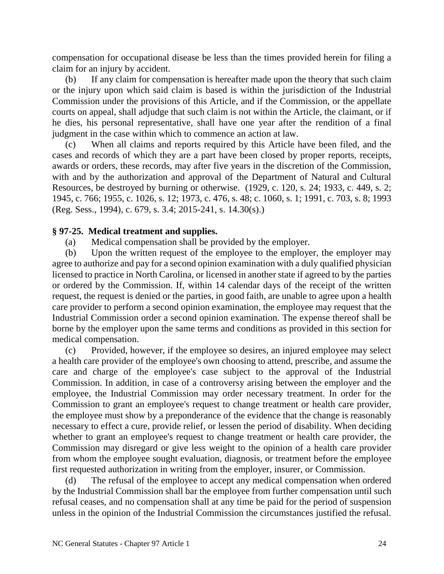compensation for occupational disease be less than the times provided herein for filing a claim for an injury by accident.

(b) If any claim for compensation is hereafter made upon the theory that such claim or the injury upon which said claim is based is within the jurisdiction of the Industrial Commission under the provisions of this Article, and if the Commission, or the appellate courts on appeal, shall adjudge that such claim is not within the Article, the claimant, or if he dies, his personal representative, shall have one year after the rendition of a final judgment in the case within which to commence an action at law.

(c) When all claims and reports required by this Article have been filed, and the cases and records of which they are a part have been closed by proper reports, receipts, awards or orders, these records, may after five years in the discretion of the Commission, with and by the authorization and approval of the Department of Natural and Cultural Resources, be destroyed by burning or otherwise. (1929, c. 120, s. 24; 1933, c. 449, s. 2; 1945, c. 766; 1955, c. 1026, s. 12; 1973, c. 476, s. 48; c. 1060, s. 1; 1991, c. 703, s. 8; 1993 (Reg. Sess., 1994), c. 679, s. 3.4; 2015-241, s. 14.30(s).)

# **§ 97-25. Medical treatment and supplies.**

(a) Medical compensation shall be provided by the employer.

(b) Upon the written request of the employee to the employer, the employer may agree to authorize and pay for a second opinion examination with a duly qualified physician licensed to practice in North Carolina, or licensed in another state if agreed to by the parties or ordered by the Commission. If, within 14 calendar days of the receipt of the written request, the request is denied or the parties, in good faith, are unable to agree upon a health care provider to perform a second opinion examination, the employee may request that the Industrial Commission order a second opinion examination. The expense thereof shall be borne by the employer upon the same terms and conditions as provided in this section for medical compensation.

(c) Provided, however, if the employee so desires, an injured employee may select a health care provider of the employee's own choosing to attend, prescribe, and assume the care and charge of the employee's case subject to the approval of the Industrial Commission. In addition, in case of a controversy arising between the employer and the employee, the Industrial Commission may order necessary treatment. In order for the Commission to grant an employee's request to change treatment or health care provider, the employee must show by a preponderance of the evidence that the change is reasonably necessary to effect a cure, provide relief, or lessen the period of disability. When deciding whether to grant an employee's request to change treatment or health care provider, the Commission may disregard or give less weight to the opinion of a health care provider from whom the employee sought evaluation, diagnosis, or treatment before the employee first requested authorization in writing from the employer, insurer, or Commission.

(d) The refusal of the employee to accept any medical compensation when ordered by the Industrial Commission shall bar the employee from further compensation until such refusal ceases, and no compensation shall at any time be paid for the period of suspension unless in the opinion of the Industrial Commission the circumstances justified the refusal.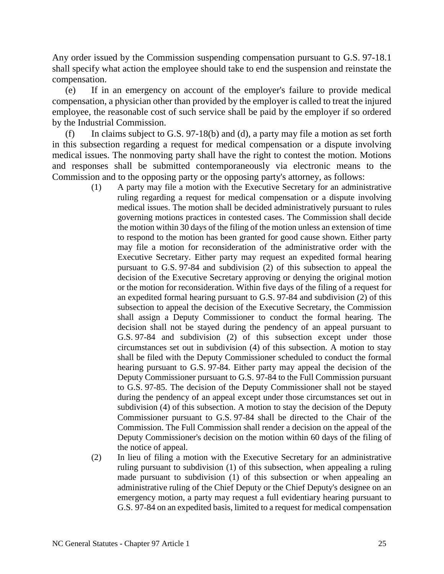Any order issued by the Commission suspending compensation pursuant to G.S. 97-18.1 shall specify what action the employee should take to end the suspension and reinstate the compensation.

(e) If in an emergency on account of the employer's failure to provide medical compensation, a physician other than provided by the employer is called to treat the injured employee, the reasonable cost of such service shall be paid by the employer if so ordered by the Industrial Commission.

(f) In claims subject to G.S. 97-18(b) and (d), a party may file a motion as set forth in this subsection regarding a request for medical compensation or a dispute involving medical issues. The nonmoving party shall have the right to contest the motion. Motions and responses shall be submitted contemporaneously via electronic means to the Commission and to the opposing party or the opposing party's attorney, as follows:

- (1) A party may file a motion with the Executive Secretary for an administrative ruling regarding a request for medical compensation or a dispute involving medical issues. The motion shall be decided administratively pursuant to rules governing motions practices in contested cases. The Commission shall decide the motion within 30 days of the filing of the motion unless an extension of time to respond to the motion has been granted for good cause shown. Either party may file a motion for reconsideration of the administrative order with the Executive Secretary. Either party may request an expedited formal hearing pursuant to G.S. 97-84 and subdivision (2) of this subsection to appeal the decision of the Executive Secretary approving or denying the original motion or the motion for reconsideration. Within five days of the filing of a request for an expedited formal hearing pursuant to G.S. 97-84 and subdivision (2) of this subsection to appeal the decision of the Executive Secretary, the Commission shall assign a Deputy Commissioner to conduct the formal hearing. The decision shall not be stayed during the pendency of an appeal pursuant to G.S. 97-84 and subdivision (2) of this subsection except under those circumstances set out in subdivision (4) of this subsection. A motion to stay shall be filed with the Deputy Commissioner scheduled to conduct the formal hearing pursuant to G.S. 97-84. Either party may appeal the decision of the Deputy Commissioner pursuant to G.S. 97-84 to the Full Commission pursuant to G.S. 97-85. The decision of the Deputy Commissioner shall not be stayed during the pendency of an appeal except under those circumstances set out in subdivision (4) of this subsection. A motion to stay the decision of the Deputy Commissioner pursuant to G.S. 97-84 shall be directed to the Chair of the Commission. The Full Commission shall render a decision on the appeal of the Deputy Commissioner's decision on the motion within 60 days of the filing of the notice of appeal.
- (2) In lieu of filing a motion with the Executive Secretary for an administrative ruling pursuant to subdivision (1) of this subsection, when appealing a ruling made pursuant to subdivision (1) of this subsection or when appealing an administrative ruling of the Chief Deputy or the Chief Deputy's designee on an emergency motion, a party may request a full evidentiary hearing pursuant to G.S. 97-84 on an expedited basis, limited to a request for medical compensation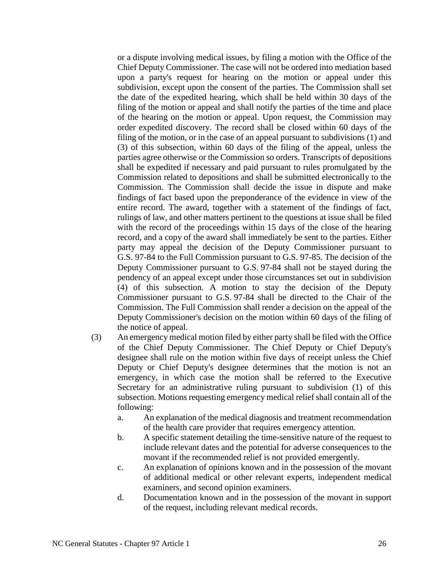or a dispute involving medical issues, by filing a motion with the Office of the Chief Deputy Commissioner. The case will not be ordered into mediation based upon a party's request for hearing on the motion or appeal under this subdivision, except upon the consent of the parties. The Commission shall set the date of the expedited hearing, which shall be held within 30 days of the filing of the motion or appeal and shall notify the parties of the time and place of the hearing on the motion or appeal. Upon request, the Commission may order expedited discovery. The record shall be closed within 60 days of the filing of the motion, or in the case of an appeal pursuant to subdivisions (1) and (3) of this subsection, within 60 days of the filing of the appeal, unless the parties agree otherwise or the Commission so orders. Transcripts of depositions shall be expedited if necessary and paid pursuant to rules promulgated by the Commission related to depositions and shall be submitted electronically to the Commission. The Commission shall decide the issue in dispute and make findings of fact based upon the preponderance of the evidence in view of the entire record. The award, together with a statement of the findings of fact, rulings of law, and other matters pertinent to the questions at issue shall be filed with the record of the proceedings within 15 days of the close of the hearing record, and a copy of the award shall immediately be sent to the parties. Either party may appeal the decision of the Deputy Commissioner pursuant to G.S. 97-84 to the Full Commission pursuant to G.S. 97-85. The decision of the Deputy Commissioner pursuant to G.S. 97-84 shall not be stayed during the pendency of an appeal except under those circumstances set out in subdivision (4) of this subsection. A motion to stay the decision of the Deputy Commissioner pursuant to G.S. 97-84 shall be directed to the Chair of the Commission. The Full Commission shall render a decision on the appeal of the Deputy Commissioner's decision on the motion within 60 days of the filing of the notice of appeal.

- (3) An emergency medical motion filed by either party shall be filed with the Office of the Chief Deputy Commissioner. The Chief Deputy or Chief Deputy's designee shall rule on the motion within five days of receipt unless the Chief Deputy or Chief Deputy's designee determines that the motion is not an emergency, in which case the motion shall be referred to the Executive Secretary for an administrative ruling pursuant to subdivision (1) of this subsection. Motions requesting emergency medical relief shall contain all of the following:
	- a. An explanation of the medical diagnosis and treatment recommendation of the health care provider that requires emergency attention.
	- b. A specific statement detailing the time-sensitive nature of the request to include relevant dates and the potential for adverse consequences to the movant if the recommended relief is not provided emergently.
	- c. An explanation of opinions known and in the possession of the movant of additional medical or other relevant experts, independent medical examiners, and second opinion examiners.
	- d. Documentation known and in the possession of the movant in support of the request, including relevant medical records.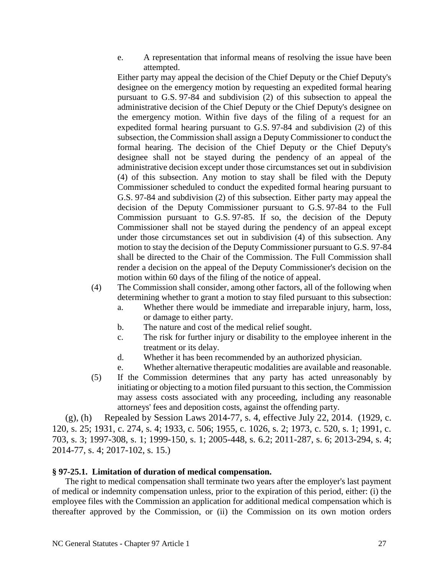e. A representation that informal means of resolving the issue have been attempted.

Either party may appeal the decision of the Chief Deputy or the Chief Deputy's designee on the emergency motion by requesting an expedited formal hearing pursuant to G.S. 97-84 and subdivision (2) of this subsection to appeal the administrative decision of the Chief Deputy or the Chief Deputy's designee on the emergency motion. Within five days of the filing of a request for an expedited formal hearing pursuant to G.S. 97-84 and subdivision (2) of this subsection, the Commission shall assign a Deputy Commissioner to conduct the formal hearing. The decision of the Chief Deputy or the Chief Deputy's designee shall not be stayed during the pendency of an appeal of the administrative decision except under those circumstances set out in subdivision (4) of this subsection. Any motion to stay shall be filed with the Deputy Commissioner scheduled to conduct the expedited formal hearing pursuant to G.S. 97-84 and subdivision (2) of this subsection. Either party may appeal the decision of the Deputy Commissioner pursuant to G.S. 97-84 to the Full Commission pursuant to G.S. 97-85. If so, the decision of the Deputy Commissioner shall not be stayed during the pendency of an appeal except under those circumstances set out in subdivision (4) of this subsection. Any motion to stay the decision of the Deputy Commissioner pursuant to G.S. 97-84 shall be directed to the Chair of the Commission. The Full Commission shall render a decision on the appeal of the Deputy Commissioner's decision on the motion within 60 days of the filing of the notice of appeal.

- (4) The Commission shall consider, among other factors, all of the following when determining whether to grant a motion to stay filed pursuant to this subsection:
	- a. Whether there would be immediate and irreparable injury, harm, loss, or damage to either party.
	- b. The nature and cost of the medical relief sought.
	- c. The risk for further injury or disability to the employee inherent in the treatment or its delay.
	- d. Whether it has been recommended by an authorized physician.
	- e. Whether alternative therapeutic modalities are available and reasonable.
- (5) If the Commission determines that any party has acted unreasonably by initiating or objecting to a motion filed pursuant to this section, the Commission may assess costs associated with any proceeding, including any reasonable attorneys' fees and deposition costs, against the offending party.

(g), (h) Repealed by Session Laws 2014-77, s. 4, effective July 22, 2014. (1929, c. 120, s. 25; 1931, c. 274, s. 4; 1933, c. 506; 1955, c. 1026, s. 2; 1973, c. 520, s. 1; 1991, c. 703, s. 3; 1997-308, s. 1; 1999-150, s. 1; 2005-448, s. 6.2; 2011-287, s. 6; 2013-294, s. 4; 2014-77, s. 4; 2017-102, s. 15.)

### **§ 97-25.1. Limitation of duration of medical compensation.**

The right to medical compensation shall terminate two years after the employer's last payment of medical or indemnity compensation unless, prior to the expiration of this period, either: (i) the employee files with the Commission an application for additional medical compensation which is thereafter approved by the Commission, or (ii) the Commission on its own motion orders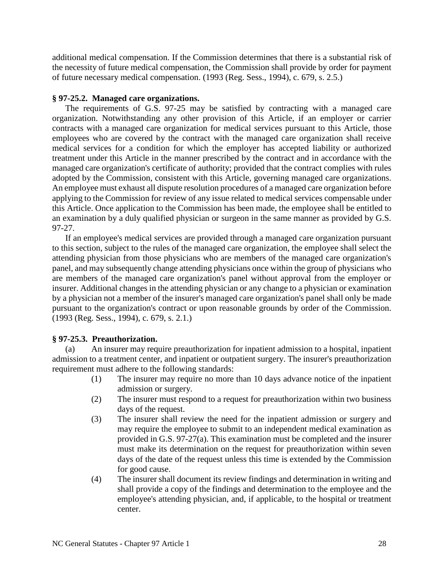additional medical compensation. If the Commission determines that there is a substantial risk of the necessity of future medical compensation, the Commission shall provide by order for payment of future necessary medical compensation. (1993 (Reg. Sess., 1994), c. 679, s. 2.5.)

#### **§ 97-25.2. Managed care organizations.**

The requirements of G.S. 97-25 may be satisfied by contracting with a managed care organization. Notwithstanding any other provision of this Article, if an employer or carrier contracts with a managed care organization for medical services pursuant to this Article, those employees who are covered by the contract with the managed care organization shall receive medical services for a condition for which the employer has accepted liability or authorized treatment under this Article in the manner prescribed by the contract and in accordance with the managed care organization's certificate of authority; provided that the contract complies with rules adopted by the Commission, consistent with this Article, governing managed care organizations. An employee must exhaust all dispute resolution procedures of a managed care organization before applying to the Commission for review of any issue related to medical services compensable under this Article. Once application to the Commission has been made, the employee shall be entitled to an examination by a duly qualified physician or surgeon in the same manner as provided by G.S. 97-27.

If an employee's medical services are provided through a managed care organization pursuant to this section, subject to the rules of the managed care organization, the employee shall select the attending physician from those physicians who are members of the managed care organization's panel, and may subsequently change attending physicians once within the group of physicians who are members of the managed care organization's panel without approval from the employer or insurer. Additional changes in the attending physician or any change to a physician or examination by a physician not a member of the insurer's managed care organization's panel shall only be made pursuant to the organization's contract or upon reasonable grounds by order of the Commission. (1993 (Reg. Sess., 1994), c. 679, s. 2.1.)

### **§ 97-25.3. Preauthorization.**

(a) An insurer may require preauthorization for inpatient admission to a hospital, inpatient admission to a treatment center, and inpatient or outpatient surgery. The insurer's preauthorization requirement must adhere to the following standards:

- (1) The insurer may require no more than 10 days advance notice of the inpatient admission or surgery.
- (2) The insurer must respond to a request for preauthorization within two business days of the request.
- (3) The insurer shall review the need for the inpatient admission or surgery and may require the employee to submit to an independent medical examination as provided in G.S. 97-27(a). This examination must be completed and the insurer must make its determination on the request for preauthorization within seven days of the date of the request unless this time is extended by the Commission for good cause.
- (4) The insurer shall document its review findings and determination in writing and shall provide a copy of the findings and determination to the employee and the employee's attending physician, and, if applicable, to the hospital or treatment center.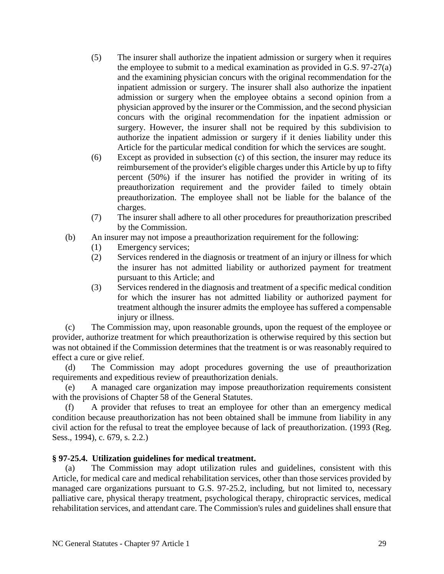- (5) The insurer shall authorize the inpatient admission or surgery when it requires the employee to submit to a medical examination as provided in G.S. 97-27(a) and the examining physician concurs with the original recommendation for the inpatient admission or surgery. The insurer shall also authorize the inpatient admission or surgery when the employee obtains a second opinion from a physician approved by the insurer or the Commission, and the second physician concurs with the original recommendation for the inpatient admission or surgery. However, the insurer shall not be required by this subdivision to authorize the inpatient admission or surgery if it denies liability under this Article for the particular medical condition for which the services are sought.
- (6) Except as provided in subsection (c) of this section, the insurer may reduce its reimbursement of the provider's eligible charges under this Article by up to fifty percent (50%) if the insurer has notified the provider in writing of its preauthorization requirement and the provider failed to timely obtain preauthorization. The employee shall not be liable for the balance of the charges.
- (7) The insurer shall adhere to all other procedures for preauthorization prescribed by the Commission.
- (b) An insurer may not impose a preauthorization requirement for the following:
	- (1) Emergency services;
	- (2) Services rendered in the diagnosis or treatment of an injury or illness for which the insurer has not admitted liability or authorized payment for treatment pursuant to this Article; and
	- (3) Services rendered in the diagnosis and treatment of a specific medical condition for which the insurer has not admitted liability or authorized payment for treatment although the insurer admits the employee has suffered a compensable injury or illness.

(c) The Commission may, upon reasonable grounds, upon the request of the employee or provider, authorize treatment for which preauthorization is otherwise required by this section but was not obtained if the Commission determines that the treatment is or was reasonably required to effect a cure or give relief.

(d) The Commission may adopt procedures governing the use of preauthorization requirements and expeditious review of preauthorization denials.

(e) A managed care organization may impose preauthorization requirements consistent with the provisions of Chapter 58 of the General Statutes.

(f) A provider that refuses to treat an employee for other than an emergency medical condition because preauthorization has not been obtained shall be immune from liability in any civil action for the refusal to treat the employee because of lack of preauthorization. (1993 (Reg. Sess., 1994), c. 679, s. 2.2.)

# **§ 97-25.4. Utilization guidelines for medical treatment.**

(a) The Commission may adopt utilization rules and guidelines, consistent with this Article, for medical care and medical rehabilitation services, other than those services provided by managed care organizations pursuant to G.S. 97-25.2, including, but not limited to, necessary palliative care, physical therapy treatment, psychological therapy, chiropractic services, medical rehabilitation services, and attendant care. The Commission's rules and guidelines shall ensure that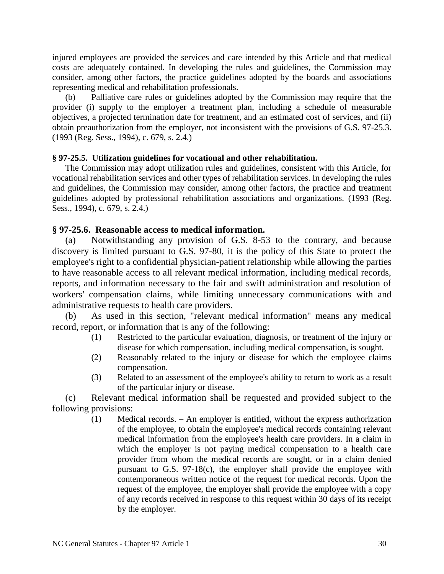injured employees are provided the services and care intended by this Article and that medical costs are adequately contained. In developing the rules and guidelines, the Commission may consider, among other factors, the practice guidelines adopted by the boards and associations representing medical and rehabilitation professionals.

(b) Palliative care rules or guidelines adopted by the Commission may require that the provider (i) supply to the employer a treatment plan, including a schedule of measurable objectives, a projected termination date for treatment, and an estimated cost of services, and (ii) obtain preauthorization from the employer, not inconsistent with the provisions of G.S. 97-25.3. (1993 (Reg. Sess., 1994), c. 679, s. 2.4.)

### **§ 97-25.5. Utilization guidelines for vocational and other rehabilitation.**

The Commission may adopt utilization rules and guidelines, consistent with this Article, for vocational rehabilitation services and other types of rehabilitation services. In developing the rules and guidelines, the Commission may consider, among other factors, the practice and treatment guidelines adopted by professional rehabilitation associations and organizations. (1993 (Reg. Sess., 1994), c. 679, s. 2.4.)

## **§ 97-25.6. Reasonable access to medical information.**

(a) Notwithstanding any provision of G.S. 8-53 to the contrary, and because discovery is limited pursuant to G.S. 97-80, it is the policy of this State to protect the employee's right to a confidential physician-patient relationship while allowing the parties to have reasonable access to all relevant medical information, including medical records, reports, and information necessary to the fair and swift administration and resolution of workers' compensation claims, while limiting unnecessary communications with and administrative requests to health care providers.

(b) As used in this section, "relevant medical information" means any medical record, report, or information that is any of the following:

- (1) Restricted to the particular evaluation, diagnosis, or treatment of the injury or disease for which compensation, including medical compensation, is sought.
- (2) Reasonably related to the injury or disease for which the employee claims compensation.
- (3) Related to an assessment of the employee's ability to return to work as a result of the particular injury or disease.

(c) Relevant medical information shall be requested and provided subject to the following provisions:

> (1) Medical records. – An employer is entitled, without the express authorization of the employee, to obtain the employee's medical records containing relevant medical information from the employee's health care providers. In a claim in which the employer is not paying medical compensation to a health care provider from whom the medical records are sought, or in a claim denied pursuant to G.S. 97-18(c), the employer shall provide the employee with contemporaneous written notice of the request for medical records. Upon the request of the employee, the employer shall provide the employee with a copy of any records received in response to this request within 30 days of its receipt by the employer.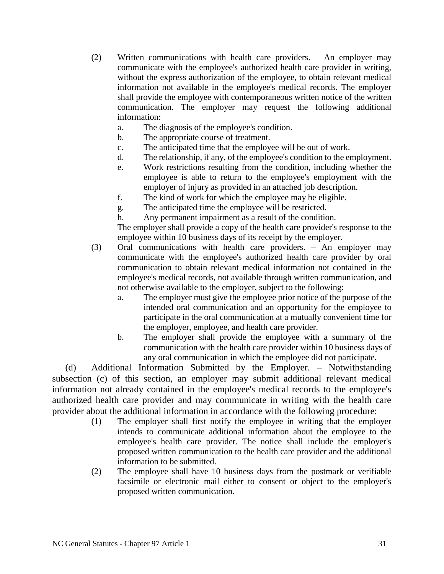- (2) Written communications with health care providers. An employer may communicate with the employee's authorized health care provider in writing, without the express authorization of the employee, to obtain relevant medical information not available in the employee's medical records. The employer shall provide the employee with contemporaneous written notice of the written communication. The employer may request the following additional information:
	- a. The diagnosis of the employee's condition.
	- b. The appropriate course of treatment.
	- c. The anticipated time that the employee will be out of work.
	- d. The relationship, if any, of the employee's condition to the employment.
	- e. Work restrictions resulting from the condition, including whether the employee is able to return to the employee's employment with the employer of injury as provided in an attached job description.
	- f. The kind of work for which the employee may be eligible.
	- g. The anticipated time the employee will be restricted.
	- h. Any permanent impairment as a result of the condition.

The employer shall provide a copy of the health care provider's response to the employee within 10 business days of its receipt by the employer.

- (3) Oral communications with health care providers. An employer may communicate with the employee's authorized health care provider by oral communication to obtain relevant medical information not contained in the employee's medical records, not available through written communication, and not otherwise available to the employer, subject to the following:
	- a. The employer must give the employee prior notice of the purpose of the intended oral communication and an opportunity for the employee to participate in the oral communication at a mutually convenient time for the employer, employee, and health care provider.
	- b. The employer shall provide the employee with a summary of the communication with the health care provider within 10 business days of any oral communication in which the employee did not participate.

(d) Additional Information Submitted by the Employer. – Notwithstanding subsection (c) of this section, an employer may submit additional relevant medical information not already contained in the employee's medical records to the employee's authorized health care provider and may communicate in writing with the health care provider about the additional information in accordance with the following procedure:

- (1) The employer shall first notify the employee in writing that the employer intends to communicate additional information about the employee to the employee's health care provider. The notice shall include the employer's proposed written communication to the health care provider and the additional information to be submitted.
- (2) The employee shall have 10 business days from the postmark or verifiable facsimile or electronic mail either to consent or object to the employer's proposed written communication.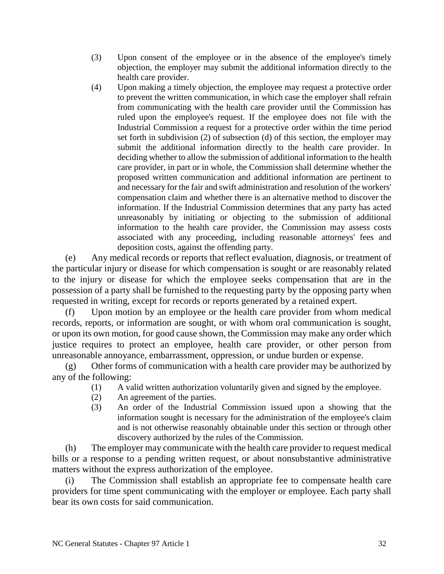- (3) Upon consent of the employee or in the absence of the employee's timely objection, the employer may submit the additional information directly to the health care provider.
- (4) Upon making a timely objection, the employee may request a protective order to prevent the written communication, in which case the employer shall refrain from communicating with the health care provider until the Commission has ruled upon the employee's request. If the employee does not file with the Industrial Commission a request for a protective order within the time period set forth in subdivision (2) of subsection (d) of this section, the employer may submit the additional information directly to the health care provider. In deciding whether to allow the submission of additional information to the health care provider, in part or in whole, the Commission shall determine whether the proposed written communication and additional information are pertinent to and necessary for the fair and swift administration and resolution of the workers' compensation claim and whether there is an alternative method to discover the information. If the Industrial Commission determines that any party has acted unreasonably by initiating or objecting to the submission of additional information to the health care provider, the Commission may assess costs associated with any proceeding, including reasonable attorneys' fees and deposition costs, against the offending party.

(e) Any medical records or reports that reflect evaluation, diagnosis, or treatment of the particular injury or disease for which compensation is sought or are reasonably related to the injury or disease for which the employee seeks compensation that are in the possession of a party shall be furnished to the requesting party by the opposing party when requested in writing, except for records or reports generated by a retained expert.

(f) Upon motion by an employee or the health care provider from whom medical records, reports, or information are sought, or with whom oral communication is sought, or upon its own motion, for good cause shown, the Commission may make any order which justice requires to protect an employee, health care provider, or other person from unreasonable annoyance, embarrassment, oppression, or undue burden or expense.

(g) Other forms of communication with a health care provider may be authorized by any of the following:

- (1) A valid written authorization voluntarily given and signed by the employee.
- (2) An agreement of the parties.
- (3) An order of the Industrial Commission issued upon a showing that the information sought is necessary for the administration of the employee's claim and is not otherwise reasonably obtainable under this section or through other discovery authorized by the rules of the Commission.

(h) The employer may communicate with the health care provider to request medical bills or a response to a pending written request, or about nonsubstantive administrative matters without the express authorization of the employee.

(i) The Commission shall establish an appropriate fee to compensate health care providers for time spent communicating with the employer or employee. Each party shall bear its own costs for said communication.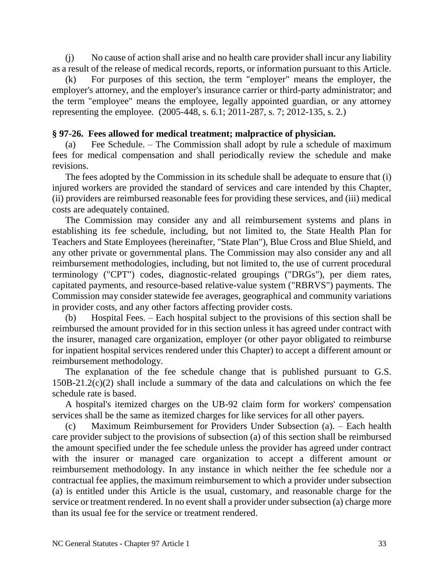(j) No cause of action shall arise and no health care provider shall incur any liability as a result of the release of medical records, reports, or information pursuant to this Article.

(k) For purposes of this section, the term "employer" means the employer, the employer's attorney, and the employer's insurance carrier or third-party administrator; and the term "employee" means the employee, legally appointed guardian, or any attorney representing the employee. (2005-448, s. 6.1; 2011-287, s. 7; 2012-135, s. 2.)

# **§ 97-26. Fees allowed for medical treatment; malpractice of physician.**

(a) Fee Schedule. – The Commission shall adopt by rule a schedule of maximum fees for medical compensation and shall periodically review the schedule and make revisions.

The fees adopted by the Commission in its schedule shall be adequate to ensure that (i) injured workers are provided the standard of services and care intended by this Chapter, (ii) providers are reimbursed reasonable fees for providing these services, and (iii) medical costs are adequately contained.

The Commission may consider any and all reimbursement systems and plans in establishing its fee schedule, including, but not limited to, the State Health Plan for Teachers and State Employees (hereinafter, "State Plan"), Blue Cross and Blue Shield, and any other private or governmental plans. The Commission may also consider any and all reimbursement methodologies, including, but not limited to, the use of current procedural terminology ("CPT") codes, diagnostic-related groupings ("DRGs"), per diem rates, capitated payments, and resource-based relative-value system ("RBRVS") payments. The Commission may consider statewide fee averages, geographical and community variations in provider costs, and any other factors affecting provider costs.

(b) Hospital Fees. – Each hospital subject to the provisions of this section shall be reimbursed the amount provided for in this section unless it has agreed under contract with the insurer, managed care organization, employer (or other payor obligated to reimburse for inpatient hospital services rendered under this Chapter) to accept a different amount or reimbursement methodology.

The explanation of the fee schedule change that is published pursuant to G.S. 150B-21.2(c)(2) shall include a summary of the data and calculations on which the fee schedule rate is based.

A hospital's itemized charges on the UB-92 claim form for workers' compensation services shall be the same as itemized charges for like services for all other payers.

(c) Maximum Reimbursement for Providers Under Subsection (a). – Each health care provider subject to the provisions of subsection (a) of this section shall be reimbursed the amount specified under the fee schedule unless the provider has agreed under contract with the insurer or managed care organization to accept a different amount or reimbursement methodology. In any instance in which neither the fee schedule nor a contractual fee applies, the maximum reimbursement to which a provider under subsection (a) is entitled under this Article is the usual, customary, and reasonable charge for the service or treatment rendered. In no event shall a provider under subsection (a) charge more than its usual fee for the service or treatment rendered.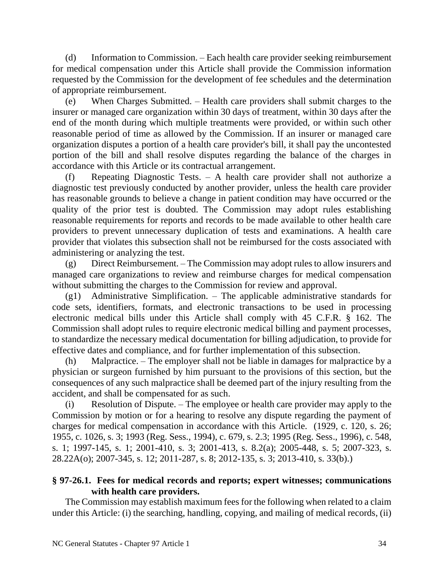(d) Information to Commission. – Each health care provider seeking reimbursement for medical compensation under this Article shall provide the Commission information requested by the Commission for the development of fee schedules and the determination of appropriate reimbursement.

(e) When Charges Submitted. – Health care providers shall submit charges to the insurer or managed care organization within 30 days of treatment, within 30 days after the end of the month during which multiple treatments were provided, or within such other reasonable period of time as allowed by the Commission. If an insurer or managed care organization disputes a portion of a health care provider's bill, it shall pay the uncontested portion of the bill and shall resolve disputes regarding the balance of the charges in accordance with this Article or its contractual arrangement.

(f) Repeating Diagnostic Tests. – A health care provider shall not authorize a diagnostic test previously conducted by another provider, unless the health care provider has reasonable grounds to believe a change in patient condition may have occurred or the quality of the prior test is doubted. The Commission may adopt rules establishing reasonable requirements for reports and records to be made available to other health care providers to prevent unnecessary duplication of tests and examinations. A health care provider that violates this subsection shall not be reimbursed for the costs associated with administering or analyzing the test.

(g) Direct Reimbursement. – The Commission may adopt rules to allow insurers and managed care organizations to review and reimburse charges for medical compensation without submitting the charges to the Commission for review and approval.

 $(g1)$  Administrative Simplification. – The applicable administrative standards for code sets, identifiers, formats, and electronic transactions to be used in processing electronic medical bills under this Article shall comply with 45 C.F.R. § 162. The Commission shall adopt rules to require electronic medical billing and payment processes, to standardize the necessary medical documentation for billing adjudication, to provide for effective dates and compliance, and for further implementation of this subsection.

Malpractice. – The employer shall not be liable in damages for malpractice by a physician or surgeon furnished by him pursuant to the provisions of this section, but the consequences of any such malpractice shall be deemed part of the injury resulting from the accident, and shall be compensated for as such.

(i) Resolution of Dispute. – The employee or health care provider may apply to the Commission by motion or for a hearing to resolve any dispute regarding the payment of charges for medical compensation in accordance with this Article. (1929, c. 120, s. 26; 1955, c. 1026, s. 3; 1993 (Reg. Sess., 1994), c. 679, s. 2.3; 1995 (Reg. Sess., 1996), c. 548, s. 1; 1997-145, s. 1; 2001-410, s. 3; 2001-413, s. 8.2(a); 2005-448, s. 5; 2007-323, s. 28.22A(o); 2007-345, s. 12; 2011-287, s. 8; 2012-135, s. 3; 2013-410, s. 33(b).)

# **§ 97-26.1. Fees for medical records and reports; expert witnesses; communications with health care providers.**

The Commission may establish maximum fees for the following when related to a claim under this Article: (i) the searching, handling, copying, and mailing of medical records, (ii)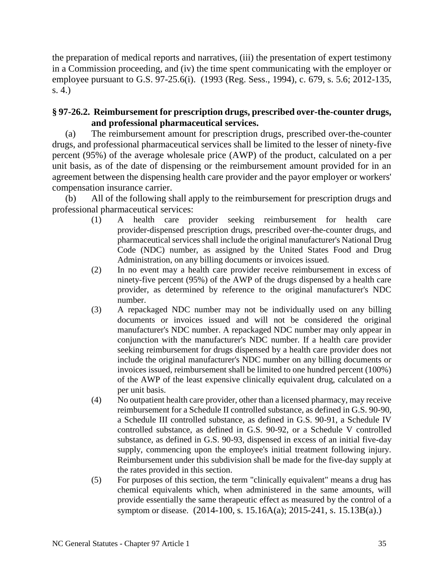the preparation of medical reports and narratives, (iii) the presentation of expert testimony in a Commission proceeding, and (iv) the time spent communicating with the employer or employee pursuant to G.S. 97-25.6(i). (1993 (Reg. Sess., 1994), c. 679, s. 5.6; 2012-135, s. 4.)

# **§ 97-26.2. Reimbursement for prescription drugs, prescribed over-the-counter drugs, and professional pharmaceutical services.**

(a) The reimbursement amount for prescription drugs, prescribed over-the-counter drugs, and professional pharmaceutical services shall be limited to the lesser of ninety-five percent (95%) of the average wholesale price (AWP) of the product, calculated on a per unit basis, as of the date of dispensing or the reimbursement amount provided for in an agreement between the dispensing health care provider and the payor employer or workers' compensation insurance carrier.

(b) All of the following shall apply to the reimbursement for prescription drugs and professional pharmaceutical services:

- (1) A health care provider seeking reimbursement for health care provider-dispensed prescription drugs, prescribed over-the-counter drugs, and pharmaceutical services shall include the original manufacturer's National Drug Code (NDC) number, as assigned by the United States Food and Drug Administration, on any billing documents or invoices issued.
- (2) In no event may a health care provider receive reimbursement in excess of ninety-five percent (95%) of the AWP of the drugs dispensed by a health care provider, as determined by reference to the original manufacturer's NDC number.
- (3) A repackaged NDC number may not be individually used on any billing documents or invoices issued and will not be considered the original manufacturer's NDC number. A repackaged NDC number may only appear in conjunction with the manufacturer's NDC number. If a health care provider seeking reimbursement for drugs dispensed by a health care provider does not include the original manufacturer's NDC number on any billing documents or invoices issued, reimbursement shall be limited to one hundred percent (100%) of the AWP of the least expensive clinically equivalent drug, calculated on a per unit basis.
- (4) No outpatient health care provider, other than a licensed pharmacy, may receive reimbursement for a Schedule II controlled substance, as defined in G.S. 90-90, a Schedule III controlled substance, as defined in G.S. 90-91, a Schedule IV controlled substance, as defined in G.S. 90-92, or a Schedule V controlled substance, as defined in G.S. 90-93, dispensed in excess of an initial five-day supply, commencing upon the employee's initial treatment following injury. Reimbursement under this subdivision shall be made for the five-day supply at the rates provided in this section.
- (5) For purposes of this section, the term "clinically equivalent" means a drug has chemical equivalents which, when administered in the same amounts, will provide essentially the same therapeutic effect as measured by the control of a symptom or disease. (2014-100, s. 15.16A(a); 2015-241, s. 15.13B(a).)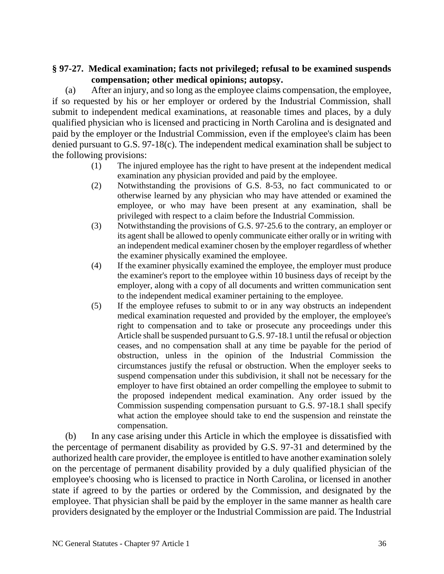# **§ 97-27. Medical examination; facts not privileged; refusal to be examined suspends compensation; other medical opinions; autopsy.**

(a) After an injury, and so long as the employee claims compensation, the employee, if so requested by his or her employer or ordered by the Industrial Commission, shall submit to independent medical examinations, at reasonable times and places, by a duly qualified physician who is licensed and practicing in North Carolina and is designated and paid by the employer or the Industrial Commission, even if the employee's claim has been denied pursuant to G.S. 97-18(c). The independent medical examination shall be subject to the following provisions:

- (1) The injured employee has the right to have present at the independent medical examination any physician provided and paid by the employee.
- (2) Notwithstanding the provisions of G.S. 8-53, no fact communicated to or otherwise learned by any physician who may have attended or examined the employee, or who may have been present at any examination, shall be privileged with respect to a claim before the Industrial Commission.
- (3) Notwithstanding the provisions of G.S. 97-25.6 to the contrary, an employer or its agent shall be allowed to openly communicate either orally or in writing with an independent medical examiner chosen by the employer regardless of whether the examiner physically examined the employee.
- (4) If the examiner physically examined the employee, the employer must produce the examiner's report to the employee within 10 business days of receipt by the employer, along with a copy of all documents and written communication sent to the independent medical examiner pertaining to the employee.
- (5) If the employee refuses to submit to or in any way obstructs an independent medical examination requested and provided by the employer, the employee's right to compensation and to take or prosecute any proceedings under this Article shall be suspended pursuant to G.S. 97-18.1 until the refusal or objection ceases, and no compensation shall at any time be payable for the period of obstruction, unless in the opinion of the Industrial Commission the circumstances justify the refusal or obstruction. When the employer seeks to suspend compensation under this subdivision, it shall not be necessary for the employer to have first obtained an order compelling the employee to submit to the proposed independent medical examination. Any order issued by the Commission suspending compensation pursuant to G.S. 97-18.1 shall specify what action the employee should take to end the suspension and reinstate the compensation.

(b) In any case arising under this Article in which the employee is dissatisfied with the percentage of permanent disability as provided by G.S. 97-31 and determined by the authorized health care provider, the employee is entitled to have another examination solely on the percentage of permanent disability provided by a duly qualified physician of the employee's choosing who is licensed to practice in North Carolina, or licensed in another state if agreed to by the parties or ordered by the Commission, and designated by the employee. That physician shall be paid by the employer in the same manner as health care providers designated by the employer or the Industrial Commission are paid. The Industrial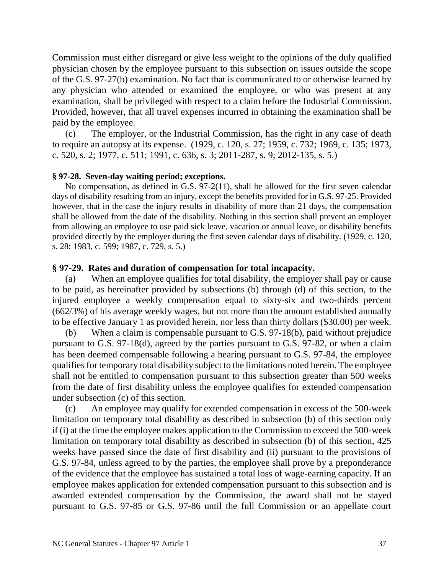Commission must either disregard or give less weight to the opinions of the duly qualified physician chosen by the employee pursuant to this subsection on issues outside the scope of the G.S. 97-27(b) examination. No fact that is communicated to or otherwise learned by any physician who attended or examined the employee, or who was present at any examination, shall be privileged with respect to a claim before the Industrial Commission. Provided, however, that all travel expenses incurred in obtaining the examination shall be paid by the employee.

(c) The employer, or the Industrial Commission, has the right in any case of death to require an autopsy at its expense. (1929, c. 120, s. 27; 1959, c. 732; 1969, c. 135; 1973, c. 520, s. 2; 1977, c. 511; 1991, c. 636, s. 3; 2011-287, s. 9; 2012-135, s. 5.)

### **§ 97-28. Seven-day waiting period; exceptions.**

No compensation, as defined in G.S. 97-2(11), shall be allowed for the first seven calendar days of disability resulting from an injury, except the benefits provided for in G.S. 97-25. Provided however, that in the case the injury results in disability of more than 21 days, the compensation shall be allowed from the date of the disability. Nothing in this section shall prevent an employer from allowing an employee to use paid sick leave, vacation or annual leave, or disability benefits provided directly by the employer during the first seven calendar days of disability. (1929, c. 120, s. 28; 1983, c. 599; 1987, c. 729, s. 5.)

## **§ 97-29. Rates and duration of compensation for total incapacity.**

(a) When an employee qualifies for total disability, the employer shall pay or cause to be paid, as hereinafter provided by subsections (b) through (d) of this section, to the injured employee a weekly compensation equal to sixty-six and two-thirds percent (662/3%) of his average weekly wages, but not more than the amount established annually to be effective January 1 as provided herein, nor less than thirty dollars (\$30.00) per week.

(b) When a claim is compensable pursuant to G.S. 97-18(b), paid without prejudice pursuant to G.S. 97-18(d), agreed by the parties pursuant to G.S. 97-82, or when a claim has been deemed compensable following a hearing pursuant to G.S. 97-84, the employee qualifies for temporary total disability subject to the limitations noted herein. The employee shall not be entitled to compensation pursuant to this subsection greater than 500 weeks from the date of first disability unless the employee qualifies for extended compensation under subsection (c) of this section.

(c) An employee may qualify for extended compensation in excess of the 500-week limitation on temporary total disability as described in subsection (b) of this section only if (i) at the time the employee makes application to the Commission to exceed the 500-week limitation on temporary total disability as described in subsection (b) of this section, 425 weeks have passed since the date of first disability and (ii) pursuant to the provisions of G.S. 97-84, unless agreed to by the parties, the employee shall prove by a preponderance of the evidence that the employee has sustained a total loss of wage-earning capacity. If an employee makes application for extended compensation pursuant to this subsection and is awarded extended compensation by the Commission, the award shall not be stayed pursuant to G.S. 97-85 or G.S. 97-86 until the full Commission or an appellate court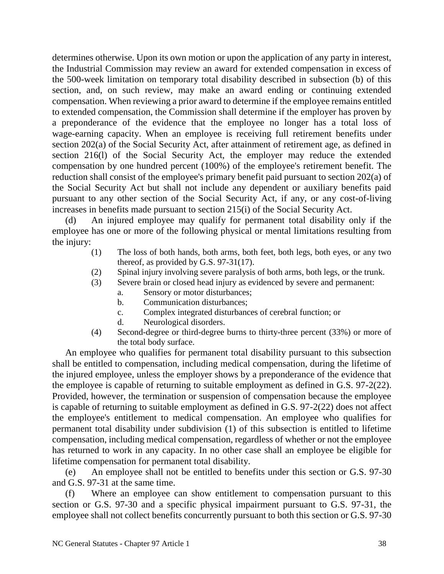determines otherwise. Upon its own motion or upon the application of any party in interest, the Industrial Commission may review an award for extended compensation in excess of the 500-week limitation on temporary total disability described in subsection (b) of this section, and, on such review, may make an award ending or continuing extended compensation. When reviewing a prior award to determine if the employee remains entitled to extended compensation, the Commission shall determine if the employer has proven by a preponderance of the evidence that the employee no longer has a total loss of wage-earning capacity. When an employee is receiving full retirement benefits under section 202(a) of the Social Security Act, after attainment of retirement age, as defined in section 216(l) of the Social Security Act, the employer may reduce the extended compensation by one hundred percent (100%) of the employee's retirement benefit. The reduction shall consist of the employee's primary benefit paid pursuant to section 202(a) of the Social Security Act but shall not include any dependent or auxiliary benefits paid pursuant to any other section of the Social Security Act, if any, or any cost-of-living increases in benefits made pursuant to section 215(i) of the Social Security Act.

(d) An injured employee may qualify for permanent total disability only if the employee has one or more of the following physical or mental limitations resulting from the injury:

- (1) The loss of both hands, both arms, both feet, both legs, both eyes, or any two thereof, as provided by G.S. 97-31(17).
- (2) Spinal injury involving severe paralysis of both arms, both legs, or the trunk.
- (3) Severe brain or closed head injury as evidenced by severe and permanent:
	- a. Sensory or motor disturbances;
	- b. Communication disturbances;
	- c. Complex integrated disturbances of cerebral function; or
	- d. Neurological disorders.
- (4) Second-degree or third-degree burns to thirty-three percent (33%) or more of the total body surface.

An employee who qualifies for permanent total disability pursuant to this subsection shall be entitled to compensation, including medical compensation, during the lifetime of the injured employee, unless the employer shows by a preponderance of the evidence that the employee is capable of returning to suitable employment as defined in G.S. 97-2(22). Provided, however, the termination or suspension of compensation because the employee is capable of returning to suitable employment as defined in G.S. 97-2(22) does not affect the employee's entitlement to medical compensation. An employee who qualifies for permanent total disability under subdivision (1) of this subsection is entitled to lifetime compensation, including medical compensation, regardless of whether or not the employee has returned to work in any capacity. In no other case shall an employee be eligible for lifetime compensation for permanent total disability.

(e) An employee shall not be entitled to benefits under this section or G.S. 97-30 and G.S. 97-31 at the same time.

(f) Where an employee can show entitlement to compensation pursuant to this section or G.S. 97-30 and a specific physical impairment pursuant to G.S. 97-31, the employee shall not collect benefits concurrently pursuant to both this section or G.S. 97-30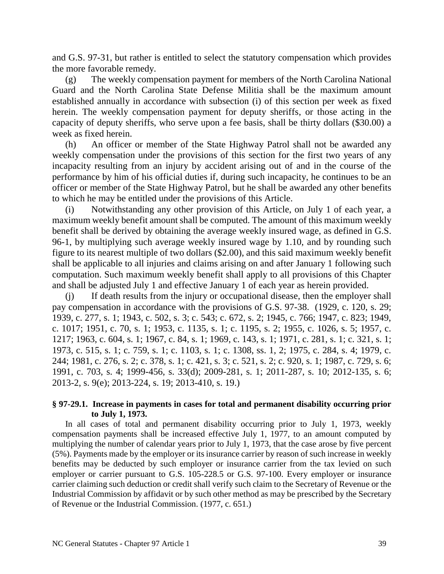and G.S. 97-31, but rather is entitled to select the statutory compensation which provides the more favorable remedy.

(g) The weekly compensation payment for members of the North Carolina National Guard and the North Carolina State Defense Militia shall be the maximum amount established annually in accordance with subsection (i) of this section per week as fixed herein. The weekly compensation payment for deputy sheriffs, or those acting in the capacity of deputy sheriffs, who serve upon a fee basis, shall be thirty dollars (\$30.00) a week as fixed herein.

(h) An officer or member of the State Highway Patrol shall not be awarded any weekly compensation under the provisions of this section for the first two years of any incapacity resulting from an injury by accident arising out of and in the course of the performance by him of his official duties if, during such incapacity, he continues to be an officer or member of the State Highway Patrol, but he shall be awarded any other benefits to which he may be entitled under the provisions of this Article.

(i) Notwithstanding any other provision of this Article, on July 1 of each year, a maximum weekly benefit amount shall be computed. The amount of this maximum weekly benefit shall be derived by obtaining the average weekly insured wage, as defined in G.S. 96-1, by multiplying such average weekly insured wage by 1.10, and by rounding such figure to its nearest multiple of two dollars (\$2.00), and this said maximum weekly benefit shall be applicable to all injuries and claims arising on and after January 1 following such computation. Such maximum weekly benefit shall apply to all provisions of this Chapter and shall be adjusted July 1 and effective January 1 of each year as herein provided.

(j) If death results from the injury or occupational disease, then the employer shall pay compensation in accordance with the provisions of G.S. 97-38. (1929, c. 120, s. 29; 1939, c. 277, s. 1; 1943, c. 502, s. 3; c. 543; c. 672, s. 2; 1945, c. 766; 1947, c. 823; 1949, c. 1017; 1951, c. 70, s. 1; 1953, c. 1135, s. 1; c. 1195, s. 2; 1955, c. 1026, s. 5; 1957, c. 1217; 1963, c. 604, s. 1; 1967, c. 84, s. 1; 1969, c. 143, s. 1; 1971, c. 281, s. 1; c. 321, s. 1; 1973, c. 515, s. 1; c. 759, s. 1; c. 1103, s. 1; c. 1308, ss. 1, 2; 1975, c. 284, s. 4; 1979, c. 244; 1981, c. 276, s. 2; c. 378, s. 1; c. 421, s. 3; c. 521, s. 2; c. 920, s. 1; 1987, c. 729, s. 6; 1991, c. 703, s. 4; 1999-456, s. 33(d); 2009-281, s. 1; 2011-287, s. 10; 2012-135, s. 6; 2013-2, s. 9(e); 2013-224, s. 19; 2013-410, s. 19.)

### **§ 97-29.1. Increase in payments in cases for total and permanent disability occurring prior to July 1, 1973.**

In all cases of total and permanent disability occurring prior to July 1, 1973, weekly compensation payments shall be increased effective July 1, 1977, to an amount computed by multiplying the number of calendar years prior to July 1, 1973, that the case arose by five percent (5%). Payments made by the employer or its insurance carrier by reason of such increase in weekly benefits may be deducted by such employer or insurance carrier from the tax levied on such employer or carrier pursuant to G.S. 105-228.5 or G.S. 97-100. Every employer or insurance carrier claiming such deduction or credit shall verify such claim to the Secretary of Revenue or the Industrial Commission by affidavit or by such other method as may be prescribed by the Secretary of Revenue or the Industrial Commission. (1977, c. 651.)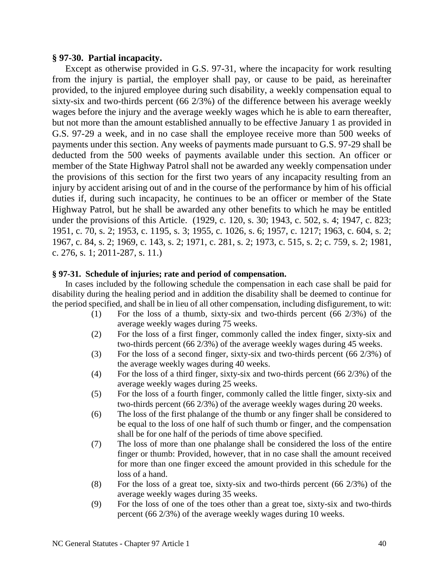#### **§ 97-30. Partial incapacity.**

Except as otherwise provided in G.S. 97-31, where the incapacity for work resulting from the injury is partial, the employer shall pay, or cause to be paid, as hereinafter provided, to the injured employee during such disability, a weekly compensation equal to sixty-six and two-thirds percent (66 2/3%) of the difference between his average weekly wages before the injury and the average weekly wages which he is able to earn thereafter, but not more than the amount established annually to be effective January 1 as provided in G.S. 97-29 a week, and in no case shall the employee receive more than 500 weeks of payments under this section. Any weeks of payments made pursuant to G.S. 97-29 shall be deducted from the 500 weeks of payments available under this section. An officer or member of the State Highway Patrol shall not be awarded any weekly compensation under the provisions of this section for the first two years of any incapacity resulting from an injury by accident arising out of and in the course of the performance by him of his official duties if, during such incapacity, he continues to be an officer or member of the State Highway Patrol, but he shall be awarded any other benefits to which he may be entitled under the provisions of this Article. (1929, c. 120, s. 30; 1943, c. 502, s. 4; 1947, c. 823; 1951, c. 70, s. 2; 1953, c. 1195, s. 3; 1955, c. 1026, s. 6; 1957, c. 1217; 1963, c. 604, s. 2; 1967, c. 84, s. 2; 1969, c. 143, s. 2; 1971, c. 281, s. 2; 1973, c. 515, s. 2; c. 759, s. 2; 1981, c. 276, s. 1; 2011-287, s. 11.)

### **§ 97-31. Schedule of injuries; rate and period of compensation.**

In cases included by the following schedule the compensation in each case shall be paid for disability during the healing period and in addition the disability shall be deemed to continue for the period specified, and shall be in lieu of all other compensation, including disfigurement, to wit:

- (1) For the loss of a thumb, sixty-six and two-thirds percent (66 2/3%) of the average weekly wages during 75 weeks.
- (2) For the loss of a first finger, commonly called the index finger, sixty-six and two-thirds percent (66 2/3%) of the average weekly wages during 45 weeks.
- (3) For the loss of a second finger, sixty-six and two-thirds percent (66 2/3%) of the average weekly wages during 40 weeks.
- (4) For the loss of a third finger, sixty-six and two-thirds percent (66 2/3%) of the average weekly wages during 25 weeks.
- (5) For the loss of a fourth finger, commonly called the little finger, sixty-six and two-thirds percent (66 2/3%) of the average weekly wages during 20 weeks.
- (6) The loss of the first phalange of the thumb or any finger shall be considered to be equal to the loss of one half of such thumb or finger, and the compensation shall be for one half of the periods of time above specified.
- (7) The loss of more than one phalange shall be considered the loss of the entire finger or thumb: Provided, however, that in no case shall the amount received for more than one finger exceed the amount provided in this schedule for the loss of a hand.
- (8) For the loss of a great toe, sixty-six and two-thirds percent (66 2/3%) of the average weekly wages during 35 weeks.
- (9) For the loss of one of the toes other than a great toe, sixty-six and two-thirds percent (66 2/3%) of the average weekly wages during 10 weeks.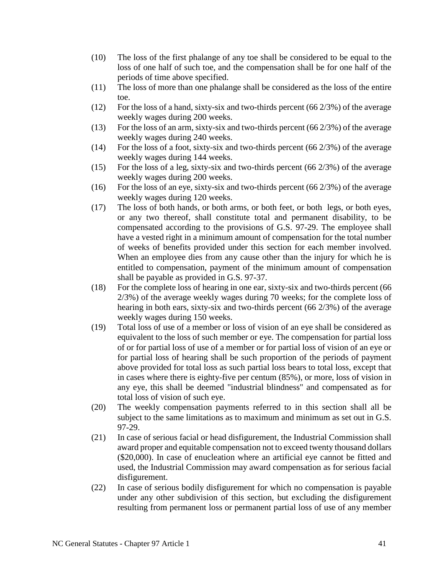- (10) The loss of the first phalange of any toe shall be considered to be equal to the loss of one half of such toe, and the compensation shall be for one half of the periods of time above specified.
- (11) The loss of more than one phalange shall be considered as the loss of the entire toe.
- (12) For the loss of a hand, sixty-six and two-thirds percent (66 2/3%) of the average weekly wages during 200 weeks.
- (13) For the loss of an arm, sixty-six and two-thirds percent (66  $2/3\%$ ) of the average weekly wages during 240 weeks.
- (14) For the loss of a foot, sixty-six and two-thirds percent (66 2/3%) of the average weekly wages during 144 weeks.
- (15) For the loss of a leg, sixty-six and two-thirds percent (66 2/3%) of the average weekly wages during 200 weeks.
- (16) For the loss of an eye, sixty-six and two-thirds percent (66  $2/3\%$ ) of the average weekly wages during 120 weeks.
- (17) The loss of both hands, or both arms, or both feet, or both legs, or both eyes, or any two thereof, shall constitute total and permanent disability, to be compensated according to the provisions of G.S. 97-29. The employee shall have a vested right in a minimum amount of compensation for the total number of weeks of benefits provided under this section for each member involved. When an employee dies from any cause other than the injury for which he is entitled to compensation, payment of the minimum amount of compensation shall be payable as provided in G.S. 97-37.
- (18) For the complete loss of hearing in one ear, sixty-six and two-thirds percent (66 2/3%) of the average weekly wages during 70 weeks; for the complete loss of hearing in both ears, sixty-six and two-thirds percent (66 2/3%) of the average weekly wages during 150 weeks.
- (19) Total loss of use of a member or loss of vision of an eye shall be considered as equivalent to the loss of such member or eye. The compensation for partial loss of or for partial loss of use of a member or for partial loss of vision of an eye or for partial loss of hearing shall be such proportion of the periods of payment above provided for total loss as such partial loss bears to total loss, except that in cases where there is eighty-five per centum (85%), or more, loss of vision in any eye, this shall be deemed "industrial blindness" and compensated as for total loss of vision of such eye.
- (20) The weekly compensation payments referred to in this section shall all be subject to the same limitations as to maximum and minimum as set out in G.S. 97-29.
- (21) In case of serious facial or head disfigurement, the Industrial Commission shall award proper and equitable compensation not to exceed twenty thousand dollars (\$20,000). In case of enucleation where an artificial eye cannot be fitted and used, the Industrial Commission may award compensation as for serious facial disfigurement.
- (22) In case of serious bodily disfigurement for which no compensation is payable under any other subdivision of this section, but excluding the disfigurement resulting from permanent loss or permanent partial loss of use of any member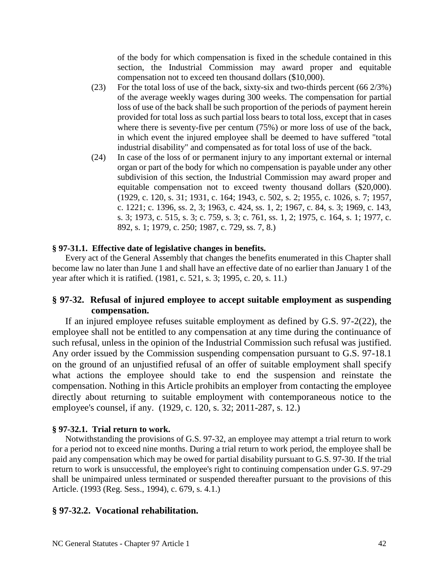of the body for which compensation is fixed in the schedule contained in this section, the Industrial Commission may award proper and equitable compensation not to exceed ten thousand dollars (\$10,000).

- (23) For the total loss of use of the back, sixty-six and two-thirds percent (66 2/3%) of the average weekly wages during 300 weeks. The compensation for partial loss of use of the back shall be such proportion of the periods of payment herein provided for total loss as such partial loss bears to total loss, except that in cases where there is seventy-five per centum (75%) or more loss of use of the back, in which event the injured employee shall be deemed to have suffered "total industrial disability" and compensated as for total loss of use of the back.
- (24) In case of the loss of or permanent injury to any important external or internal organ or part of the body for which no compensation is payable under any other subdivision of this section, the Industrial Commission may award proper and equitable compensation not to exceed twenty thousand dollars (\$20,000). (1929, c. 120, s. 31; 1931, c. 164; 1943, c. 502, s. 2; 1955, c. 1026, s. 7; 1957, c. 1221; c. 1396, ss. 2, 3; 1963, c. 424, ss. 1, 2; 1967, c. 84, s. 3; 1969, c. 143, s. 3; 1973, c. 515, s. 3; c. 759, s. 3; c. 761, ss. 1, 2; 1975, c. 164, s. 1; 1977, c. 892, s. 1; 1979, c. 250; 1987, c. 729, ss. 7, 8.)

### **§ 97-31.1. Effective date of legislative changes in benefits.**

Every act of the General Assembly that changes the benefits enumerated in this Chapter shall become law no later than June 1 and shall have an effective date of no earlier than January 1 of the year after which it is ratified. (1981, c. 521, s. 3; 1995, c. 20, s. 11.)

## **§ 97-32. Refusal of injured employee to accept suitable employment as suspending compensation.**

If an injured employee refuses suitable employment as defined by G.S. 97-2(22), the employee shall not be entitled to any compensation at any time during the continuance of such refusal, unless in the opinion of the Industrial Commission such refusal was justified. Any order issued by the Commission suspending compensation pursuant to G.S. 97-18.1 on the ground of an unjustified refusal of an offer of suitable employment shall specify what actions the employee should take to end the suspension and reinstate the compensation. Nothing in this Article prohibits an employer from contacting the employee directly about returning to suitable employment with contemporaneous notice to the employee's counsel, if any. (1929, c. 120, s. 32; 2011-287, s. 12.)

#### **§ 97-32.1. Trial return to work.**

Notwithstanding the provisions of G.S. 97-32, an employee may attempt a trial return to work for a period not to exceed nine months. During a trial return to work period, the employee shall be paid any compensation which may be owed for partial disability pursuant to G.S. 97-30. If the trial return to work is unsuccessful, the employee's right to continuing compensation under G.S. 97-29 shall be unimpaired unless terminated or suspended thereafter pursuant to the provisions of this Article. (1993 (Reg. Sess., 1994), c. 679, s. 4.1.)

### **§ 97-32.2. Vocational rehabilitation.**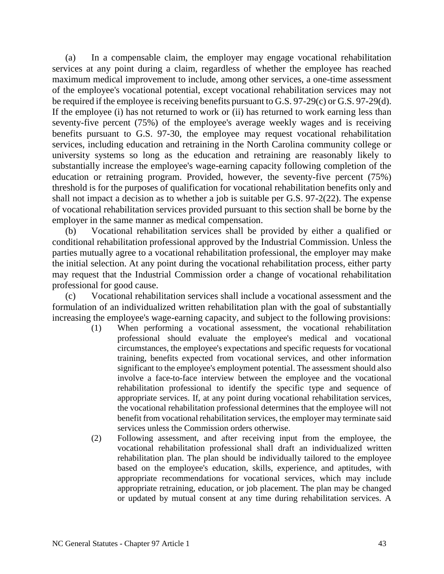(a) In a compensable claim, the employer may engage vocational rehabilitation services at any point during a claim, regardless of whether the employee has reached maximum medical improvement to include, among other services, a one-time assessment of the employee's vocational potential, except vocational rehabilitation services may not be required if the employee is receiving benefits pursuant to G.S. 97-29(c) or G.S. 97-29(d). If the employee (i) has not returned to work or (ii) has returned to work earning less than seventy-five percent (75%) of the employee's average weekly wages and is receiving benefits pursuant to G.S. 97-30, the employee may request vocational rehabilitation services, including education and retraining in the North Carolina community college or university systems so long as the education and retraining are reasonably likely to substantially increase the employee's wage-earning capacity following completion of the education or retraining program. Provided, however, the seventy-five percent (75%) threshold is for the purposes of qualification for vocational rehabilitation benefits only and shall not impact a decision as to whether a job is suitable per G.S. 97-2(22). The expense of vocational rehabilitation services provided pursuant to this section shall be borne by the employer in the same manner as medical compensation.

(b) Vocational rehabilitation services shall be provided by either a qualified or conditional rehabilitation professional approved by the Industrial Commission. Unless the parties mutually agree to a vocational rehabilitation professional, the employer may make the initial selection. At any point during the vocational rehabilitation process, either party may request that the Industrial Commission order a change of vocational rehabilitation professional for good cause.

(c) Vocational rehabilitation services shall include a vocational assessment and the formulation of an individualized written rehabilitation plan with the goal of substantially increasing the employee's wage-earning capacity, and subject to the following provisions:

- (1) When performing a vocational assessment, the vocational rehabilitation professional should evaluate the employee's medical and vocational circumstances, the employee's expectations and specific requests for vocational training, benefits expected from vocational services, and other information significant to the employee's employment potential. The assessment should also involve a face-to-face interview between the employee and the vocational rehabilitation professional to identify the specific type and sequence of appropriate services. If, at any point during vocational rehabilitation services, the vocational rehabilitation professional determines that the employee will not benefit from vocational rehabilitation services, the employer may terminate said services unless the Commission orders otherwise.
- (2) Following assessment, and after receiving input from the employee, the vocational rehabilitation professional shall draft an individualized written rehabilitation plan. The plan should be individually tailored to the employee based on the employee's education, skills, experience, and aptitudes, with appropriate recommendations for vocational services, which may include appropriate retraining, education, or job placement. The plan may be changed or updated by mutual consent at any time during rehabilitation services. A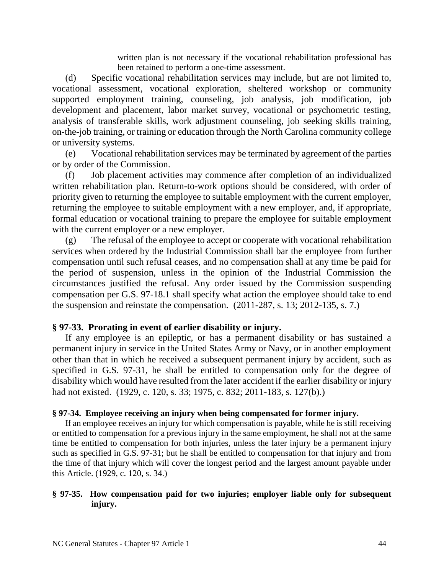written plan is not necessary if the vocational rehabilitation professional has been retained to perform a one-time assessment.

(d) Specific vocational rehabilitation services may include, but are not limited to, vocational assessment, vocational exploration, sheltered workshop or community supported employment training, counseling, job analysis, job modification, job development and placement, labor market survey, vocational or psychometric testing, analysis of transferable skills, work adjustment counseling, job seeking skills training, on-the-job training, or training or education through the North Carolina community college or university systems.

(e) Vocational rehabilitation services may be terminated by agreement of the parties or by order of the Commission.

(f) Job placement activities may commence after completion of an individualized written rehabilitation plan. Return-to-work options should be considered, with order of priority given to returning the employee to suitable employment with the current employer, returning the employee to suitable employment with a new employer, and, if appropriate, formal education or vocational training to prepare the employee for suitable employment with the current employer or a new employer.

(g) The refusal of the employee to accept or cooperate with vocational rehabilitation services when ordered by the Industrial Commission shall bar the employee from further compensation until such refusal ceases, and no compensation shall at any time be paid for the period of suspension, unless in the opinion of the Industrial Commission the circumstances justified the refusal. Any order issued by the Commission suspending compensation per G.S. 97-18.1 shall specify what action the employee should take to end the suspension and reinstate the compensation. (2011-287, s. 13; 2012-135, s. 7.)

### **§ 97-33. Prorating in event of earlier disability or injury.**

If any employee is an epileptic, or has a permanent disability or has sustained a permanent injury in service in the United States Army or Navy, or in another employment other than that in which he received a subsequent permanent injury by accident, such as specified in G.S. 97-31, he shall be entitled to compensation only for the degree of disability which would have resulted from the later accident if the earlier disability or injury had not existed. (1929, c. 120, s. 33; 1975, c. 832; 2011-183, s. 127(b).)

#### **§ 97-34. Employee receiving an injury when being compensated for former injury.**

If an employee receives an injury for which compensation is payable, while he is still receiving or entitled to compensation for a previous injury in the same employment, he shall not at the same time be entitled to compensation for both injuries, unless the later injury be a permanent injury such as specified in G.S. 97-31; but he shall be entitled to compensation for that injury and from the time of that injury which will cover the longest period and the largest amount payable under this Article. (1929, c. 120, s. 34.)

### **§ 97-35. How compensation paid for two injuries; employer liable only for subsequent injury.**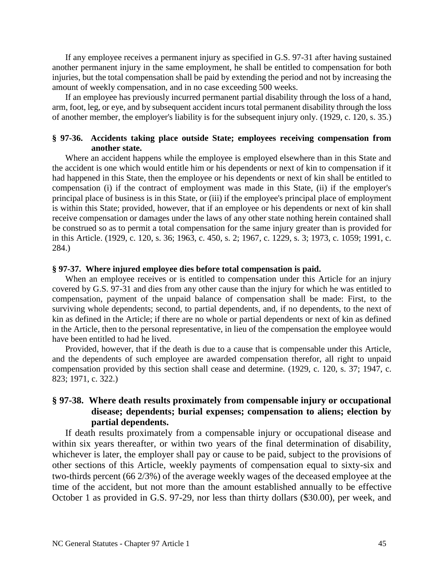If any employee receives a permanent injury as specified in G.S. 97-31 after having sustained another permanent injury in the same employment, he shall be entitled to compensation for both injuries, but the total compensation shall be paid by extending the period and not by increasing the amount of weekly compensation, and in no case exceeding 500 weeks.

If an employee has previously incurred permanent partial disability through the loss of a hand, arm, foot, leg, or eye, and by subsequent accident incurs total permanent disability through the loss of another member, the employer's liability is for the subsequent injury only. (1929, c. 120, s. 35.)

### **§ 97-36. Accidents taking place outside State; employees receiving compensation from another state.**

Where an accident happens while the employee is employed elsewhere than in this State and the accident is one which would entitle him or his dependents or next of kin to compensation if it had happened in this State, then the employee or his dependents or next of kin shall be entitled to compensation (i) if the contract of employment was made in this State, (ii) if the employer's principal place of business is in this State, or (iii) if the employee's principal place of employment is within this State; provided, however, that if an employee or his dependents or next of kin shall receive compensation or damages under the laws of any other state nothing herein contained shall be construed so as to permit a total compensation for the same injury greater than is provided for in this Article. (1929, c. 120, s. 36; 1963, c. 450, s. 2; 1967, c. 1229, s. 3; 1973, c. 1059; 1991, c. 284.)

#### **§ 97-37. Where injured employee dies before total compensation is paid.**

When an employee receives or is entitled to compensation under this Article for an injury covered by G.S. 97-31 and dies from any other cause than the injury for which he was entitled to compensation, payment of the unpaid balance of compensation shall be made: First, to the surviving whole dependents; second, to partial dependents, and, if no dependents, to the next of kin as defined in the Article; if there are no whole or partial dependents or next of kin as defined in the Article, then to the personal representative, in lieu of the compensation the employee would have been entitled to had he lived.

Provided, however, that if the death is due to a cause that is compensable under this Article, and the dependents of such employee are awarded compensation therefor, all right to unpaid compensation provided by this section shall cease and determine. (1929, c. 120, s. 37; 1947, c. 823; 1971, c. 322.)

# **§ 97-38. Where death results proximately from compensable injury or occupational disease; dependents; burial expenses; compensation to aliens; election by partial dependents.**

If death results proximately from a compensable injury or occupational disease and within six years thereafter, or within two years of the final determination of disability, whichever is later, the employer shall pay or cause to be paid, subject to the provisions of other sections of this Article, weekly payments of compensation equal to sixty-six and two-thirds percent (66 2/3%) of the average weekly wages of the deceased employee at the time of the accident, but not more than the amount established annually to be effective October 1 as provided in G.S. 97-29, nor less than thirty dollars (\$30.00), per week, and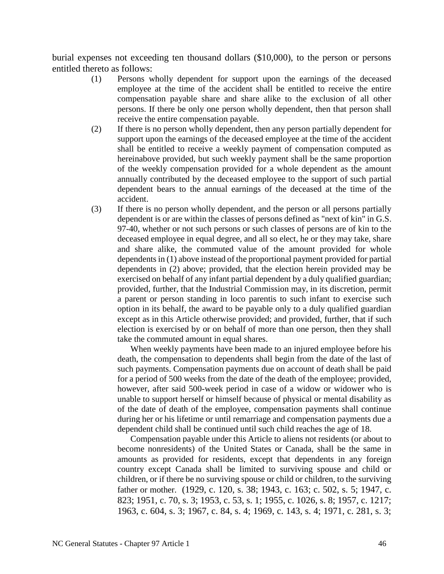burial expenses not exceeding ten thousand dollars (\$10,000), to the person or persons entitled thereto as follows:

- (1) Persons wholly dependent for support upon the earnings of the deceased employee at the time of the accident shall be entitled to receive the entire compensation payable share and share alike to the exclusion of all other persons. If there be only one person wholly dependent, then that person shall receive the entire compensation payable.
- (2) If there is no person wholly dependent, then any person partially dependent for support upon the earnings of the deceased employee at the time of the accident shall be entitled to receive a weekly payment of compensation computed as hereinabove provided, but such weekly payment shall be the same proportion of the weekly compensation provided for a whole dependent as the amount annually contributed by the deceased employee to the support of such partial dependent bears to the annual earnings of the deceased at the time of the accident.
- (3) If there is no person wholly dependent, and the person or all persons partially dependent is or are within the classes of persons defined as "next of kin" in G.S. 97-40, whether or not such persons or such classes of persons are of kin to the deceased employee in equal degree, and all so elect, he or they may take, share and share alike, the commuted value of the amount provided for whole dependents in (1) above instead of the proportional payment provided for partial dependents in (2) above; provided, that the election herein provided may be exercised on behalf of any infant partial dependent by a duly qualified guardian; provided, further, that the Industrial Commission may, in its discretion, permit a parent or person standing in loco parentis to such infant to exercise such option in its behalf, the award to be payable only to a duly qualified guardian except as in this Article otherwise provided; and provided, further, that if such election is exercised by or on behalf of more than one person, then they shall take the commuted amount in equal shares.

When weekly payments have been made to an injured employee before his death, the compensation to dependents shall begin from the date of the last of such payments. Compensation payments due on account of death shall be paid for a period of 500 weeks from the date of the death of the employee; provided, however, after said 500-week period in case of a widow or widower who is unable to support herself or himself because of physical or mental disability as of the date of death of the employee, compensation payments shall continue during her or his lifetime or until remarriage and compensation payments due a dependent child shall be continued until such child reaches the age of 18.

Compensation payable under this Article to aliens not residents (or about to become nonresidents) of the United States or Canada, shall be the same in amounts as provided for residents, except that dependents in any foreign country except Canada shall be limited to surviving spouse and child or children, or if there be no surviving spouse or child or children, to the surviving father or mother. (1929, c. 120, s. 38; 1943, c. 163; c. 502, s. 5; 1947, c. 823; 1951, c. 70, s. 3; 1953, c. 53, s. 1; 1955, c. 1026, s. 8; 1957, c. 1217; 1963, c. 604, s. 3; 1967, c. 84, s. 4; 1969, c. 143, s. 4; 1971, c. 281, s. 3;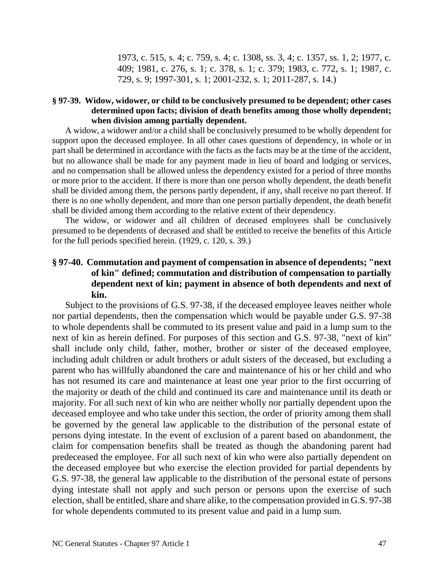1973, c. 515, s. 4; c. 759, s. 4; c. 1308, ss. 3, 4; c. 1357, ss. 1, 2; 1977, c. 409; 1981, c. 276, s. 1; c. 378, s. 1; c. 379; 1983, c. 772, s. 1; 1987, c. 729, s. 9; 1997-301, s. 1; 2001-232, s. 1; 2011-287, s. 14.)

### **§ 97-39. Widow, widower, or child to be conclusively presumed to be dependent; other cases determined upon facts; division of death benefits among those wholly dependent; when division among partially dependent.**

A widow, a widower and/or a child shall be conclusively presumed to be wholly dependent for support upon the deceased employee. In all other cases questions of dependency, in whole or in part shall be determined in accordance with the facts as the facts may be at the time of the accident, but no allowance shall be made for any payment made in lieu of board and lodging or services, and no compensation shall be allowed unless the dependency existed for a period of three months or more prior to the accident. If there is more than one person wholly dependent, the death benefit shall be divided among them, the persons partly dependent, if any, shall receive no part thereof. If there is no one wholly dependent, and more than one person partially dependent, the death benefit shall be divided among them according to the relative extent of their dependency.

The widow, or widower and all children of deceased employees shall be conclusively presumed to be dependents of deceased and shall be entitled to receive the benefits of this Article for the full periods specified herein. (1929, c. 120, s. 39.)

## **§ 97-40. Commutation and payment of compensation in absence of dependents; "next of kin" defined; commutation and distribution of compensation to partially dependent next of kin; payment in absence of both dependents and next of kin.**

Subject to the provisions of G.S. 97-38, if the deceased employee leaves neither whole nor partial dependents, then the compensation which would be payable under G.S. 97-38 to whole dependents shall be commuted to its present value and paid in a lump sum to the next of kin as herein defined. For purposes of this section and G.S. 97-38, "next of kin" shall include only child, father, mother, brother or sister of the deceased employee, including adult children or adult brothers or adult sisters of the deceased, but excluding a parent who has willfully abandoned the care and maintenance of his or her child and who has not resumed its care and maintenance at least one year prior to the first occurring of the majority or death of the child and continued its care and maintenance until its death or majority. For all such next of kin who are neither wholly nor partially dependent upon the deceased employee and who take under this section, the order of priority among them shall be governed by the general law applicable to the distribution of the personal estate of persons dying intestate. In the event of exclusion of a parent based on abandonment, the claim for compensation benefits shall be treated as though the abandoning parent had predeceased the employee. For all such next of kin who were also partially dependent on the deceased employee but who exercise the election provided for partial dependents by G.S. 97-38, the general law applicable to the distribution of the personal estate of persons dying intestate shall not apply and such person or persons upon the exercise of such election, shall be entitled, share and share alike, to the compensation provided in G.S. 97-38 for whole dependents commuted to its present value and paid in a lump sum.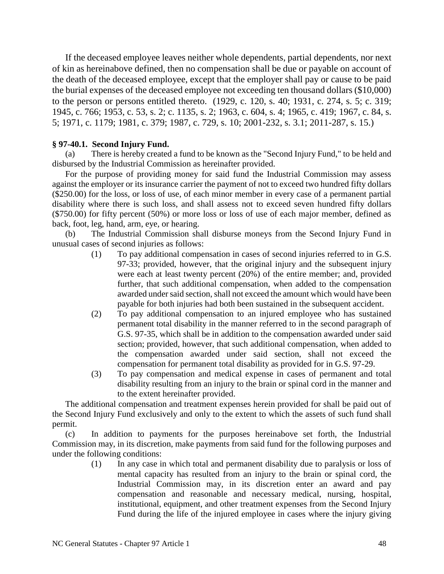If the deceased employee leaves neither whole dependents, partial dependents, nor next of kin as hereinabove defined, then no compensation shall be due or payable on account of the death of the deceased employee, except that the employer shall pay or cause to be paid the burial expenses of the deceased employee not exceeding ten thousand dollars (\$10,000) to the person or persons entitled thereto. (1929, c. 120, s. 40; 1931, c. 274, s. 5; c. 319; 1945, c. 766; 1953, c. 53, s. 2; c. 1135, s. 2; 1963, c. 604, s. 4; 1965, c. 419; 1967, c. 84, s. 5; 1971, c. 1179; 1981, c. 379; 1987, c. 729, s. 10; 2001-232, s. 3.1; 2011-287, s. 15.)

### **§ 97-40.1. Second Injury Fund.**

(a) There is hereby created a fund to be known as the "Second Injury Fund," to be held and disbursed by the Industrial Commission as hereinafter provided.

For the purpose of providing money for said fund the Industrial Commission may assess against the employer or its insurance carrier the payment of not to exceed two hundred fifty dollars (\$250.00) for the loss, or loss of use, of each minor member in every case of a permanent partial disability where there is such loss, and shall assess not to exceed seven hundred fifty dollars (\$750.00) for fifty percent (50%) or more loss or loss of use of each major member, defined as back, foot, leg, hand, arm, eye, or hearing.

(b) The Industrial Commission shall disburse moneys from the Second Injury Fund in unusual cases of second injuries as follows:

- (1) To pay additional compensation in cases of second injuries referred to in G.S. 97-33; provided, however, that the original injury and the subsequent injury were each at least twenty percent (20%) of the entire member; and, provided further, that such additional compensation, when added to the compensation awarded under said section, shall not exceed the amount which would have been payable for both injuries had both been sustained in the subsequent accident.
- (2) To pay additional compensation to an injured employee who has sustained permanent total disability in the manner referred to in the second paragraph of G.S. 97-35, which shall be in addition to the compensation awarded under said section; provided, however, that such additional compensation, when added to the compensation awarded under said section, shall not exceed the compensation for permanent total disability as provided for in G.S. 97-29.
- (3) To pay compensation and medical expense in cases of permanent and total disability resulting from an injury to the brain or spinal cord in the manner and to the extent hereinafter provided.

The additional compensation and treatment expenses herein provided for shall be paid out of the Second Injury Fund exclusively and only to the extent to which the assets of such fund shall permit.

(c) In addition to payments for the purposes hereinabove set forth, the Industrial Commission may, in its discretion, make payments from said fund for the following purposes and under the following conditions:

> (1) In any case in which total and permanent disability due to paralysis or loss of mental capacity has resulted from an injury to the brain or spinal cord, the Industrial Commission may, in its discretion enter an award and pay compensation and reasonable and necessary medical, nursing, hospital, institutional, equipment, and other treatment expenses from the Second Injury Fund during the life of the injured employee in cases where the injury giving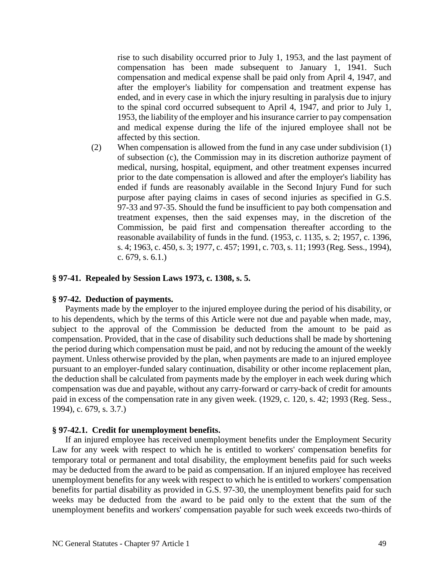rise to such disability occurred prior to July 1, 1953, and the last payment of compensation has been made subsequent to January 1, 1941. Such compensation and medical expense shall be paid only from April 4, 1947, and after the employer's liability for compensation and treatment expense has ended, and in every case in which the injury resulting in paralysis due to injury to the spinal cord occurred subsequent to April 4, 1947, and prior to July 1, 1953, the liability of the employer and his insurance carrier to pay compensation and medical expense during the life of the injured employee shall not be affected by this section.

(2) When compensation is allowed from the fund in any case under subdivision (1) of subsection (c), the Commission may in its discretion authorize payment of medical, nursing, hospital, equipment, and other treatment expenses incurred prior to the date compensation is allowed and after the employer's liability has ended if funds are reasonably available in the Second Injury Fund for such purpose after paying claims in cases of second injuries as specified in G.S. 97-33 and 97-35. Should the fund be insufficient to pay both compensation and treatment expenses, then the said expenses may, in the discretion of the Commission, be paid first and compensation thereafter according to the reasonable availability of funds in the fund. (1953, c. 1135, s. 2; 1957, c. 1396, s. 4; 1963, c. 450, s. 3; 1977, c. 457; 1991, c. 703, s. 11; 1993 (Reg. Sess., 1994), c. 679, s. 6.1.)

#### **§ 97-41. Repealed by Session Laws 1973, c. 1308, s. 5.**

#### **§ 97-42. Deduction of payments.**

Payments made by the employer to the injured employee during the period of his disability, or to his dependents, which by the terms of this Article were not due and payable when made, may, subject to the approval of the Commission be deducted from the amount to be paid as compensation. Provided, that in the case of disability such deductions shall be made by shortening the period during which compensation must be paid, and not by reducing the amount of the weekly payment. Unless otherwise provided by the plan, when payments are made to an injured employee pursuant to an employer-funded salary continuation, disability or other income replacement plan, the deduction shall be calculated from payments made by the employer in each week during which compensation was due and payable, without any carry-forward or carry-back of credit for amounts paid in excess of the compensation rate in any given week. (1929, c. 120, s. 42; 1993 (Reg. Sess., 1994), c. 679, s. 3.7.)

#### **§ 97-42.1. Credit for unemployment benefits.**

If an injured employee has received unemployment benefits under the Employment Security Law for any week with respect to which he is entitled to workers' compensation benefits for temporary total or permanent and total disability, the employment benefits paid for such weeks may be deducted from the award to be paid as compensation. If an injured employee has received unemployment benefits for any week with respect to which he is entitled to workers' compensation benefits for partial disability as provided in G.S. 97-30, the unemployment benefits paid for such weeks may be deducted from the award to be paid only to the extent that the sum of the unemployment benefits and workers' compensation payable for such week exceeds two-thirds of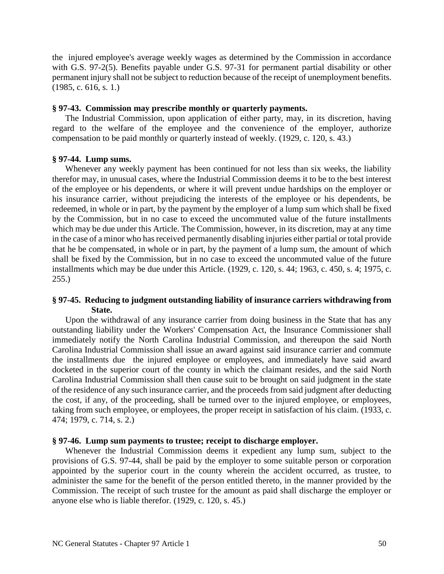the injured employee's average weekly wages as determined by the Commission in accordance with G.S. 97-2(5). Benefits payable under G.S. 97-31 for permanent partial disability or other permanent injury shall not be subject to reduction because of the receipt of unemployment benefits. (1985, c. 616, s. 1.)

#### **§ 97-43. Commission may prescribe monthly or quarterly payments.**

The Industrial Commission, upon application of either party, may, in its discretion, having regard to the welfare of the employee and the convenience of the employer, authorize compensation to be paid monthly or quarterly instead of weekly. (1929, c. 120, s. 43.)

### **§ 97-44. Lump sums.**

Whenever any weekly payment has been continued for not less than six weeks, the liability therefor may, in unusual cases, where the Industrial Commission deems it to be to the best interest of the employee or his dependents, or where it will prevent undue hardships on the employer or his insurance carrier, without prejudicing the interests of the employee or his dependents, be redeemed, in whole or in part, by the payment by the employer of a lump sum which shall be fixed by the Commission, but in no case to exceed the uncommuted value of the future installments which may be due under this Article. The Commission, however, in its discretion, may at any time in the case of a minor who has received permanently disabling injuries either partial or total provide that he be compensated, in whole or in part, by the payment of a lump sum, the amount of which shall be fixed by the Commission, but in no case to exceed the uncommuted value of the future installments which may be due under this Article. (1929, c. 120, s. 44; 1963, c. 450, s. 4; 1975, c. 255.)

### **§ 97-45. Reducing to judgment outstanding liability of insurance carriers withdrawing from State.**

Upon the withdrawal of any insurance carrier from doing business in the State that has any outstanding liability under the Workers' Compensation Act, the Insurance Commissioner shall immediately notify the North Carolina Industrial Commission, and thereupon the said North Carolina Industrial Commission shall issue an award against said insurance carrier and commute the installments due the injured employee or employees, and immediately have said award docketed in the superior court of the county in which the claimant resides, and the said North Carolina Industrial Commission shall then cause suit to be brought on said judgment in the state of the residence of any such insurance carrier, and the proceeds from said judgment after deducting the cost, if any, of the proceeding, shall be turned over to the injured employee, or employees, taking from such employee, or employees, the proper receipt in satisfaction of his claim. (1933, c. 474; 1979, c. 714, s. 2.)

### **§ 97-46. Lump sum payments to trustee; receipt to discharge employer.**

Whenever the Industrial Commission deems it expedient any lump sum, subject to the provisions of G.S. 97-44, shall be paid by the employer to some suitable person or corporation appointed by the superior court in the county wherein the accident occurred, as trustee, to administer the same for the benefit of the person entitled thereto, in the manner provided by the Commission. The receipt of such trustee for the amount as paid shall discharge the employer or anyone else who is liable therefor. (1929, c. 120, s. 45.)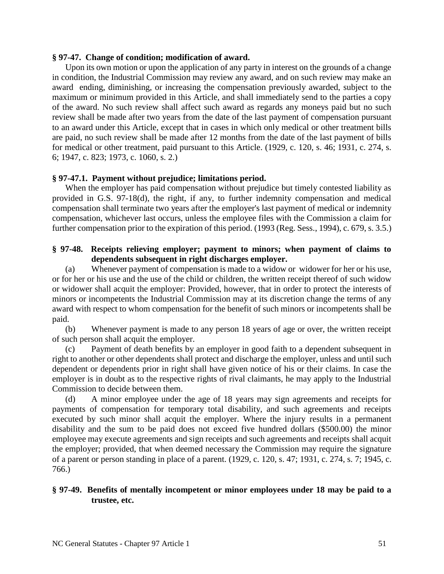### **§ 97-47. Change of condition; modification of award.**

Upon its own motion or upon the application of any party in interest on the grounds of a change in condition, the Industrial Commission may review any award, and on such review may make an award ending, diminishing, or increasing the compensation previously awarded, subject to the maximum or minimum provided in this Article, and shall immediately send to the parties a copy of the award. No such review shall affect such award as regards any moneys paid but no such review shall be made after two years from the date of the last payment of compensation pursuant to an award under this Article, except that in cases in which only medical or other treatment bills are paid, no such review shall be made after 12 months from the date of the last payment of bills for medical or other treatment, paid pursuant to this Article. (1929, c. 120, s. 46; 1931, c. 274, s. 6; 1947, c. 823; 1973, c. 1060, s. 2.)

### **§ 97-47.1. Payment without prejudice; limitations period.**

When the employer has paid compensation without prejudice but timely contested liability as provided in G.S. 97-18(d), the right, if any, to further indemnity compensation and medical compensation shall terminate two years after the employer's last payment of medical or indemnity compensation, whichever last occurs, unless the employee files with the Commission a claim for further compensation prior to the expiration of this period. (1993 (Reg. Sess., 1994), c. 679, s. 3.5.)

### **§ 97-48. Receipts relieving employer; payment to minors; when payment of claims to dependents subsequent in right discharges employer.**

(a) Whenever payment of compensation is made to a widow or widower for her or his use, or for her or his use and the use of the child or children, the written receipt thereof of such widow or widower shall acquit the employer: Provided, however, that in order to protect the interests of minors or incompetents the Industrial Commission may at its discretion change the terms of any award with respect to whom compensation for the benefit of such minors or incompetents shall be paid.

(b) Whenever payment is made to any person 18 years of age or over, the written receipt of such person shall acquit the employer.

(c) Payment of death benefits by an employer in good faith to a dependent subsequent in right to another or other dependents shall protect and discharge the employer, unless and until such dependent or dependents prior in right shall have given notice of his or their claims. In case the employer is in doubt as to the respective rights of rival claimants, he may apply to the Industrial Commission to decide between them.

(d) A minor employee under the age of 18 years may sign agreements and receipts for payments of compensation for temporary total disability, and such agreements and receipts executed by such minor shall acquit the employer. Where the injury results in a permanent disability and the sum to be paid does not exceed five hundred dollars (\$500.00) the minor employee may execute agreements and sign receipts and such agreements and receipts shall acquit the employer; provided, that when deemed necessary the Commission may require the signature of a parent or person standing in place of a parent. (1929, c. 120, s. 47; 1931, c. 274, s. 7; 1945, c. 766.)

## **§ 97-49. Benefits of mentally incompetent or minor employees under 18 may be paid to a trustee, etc.**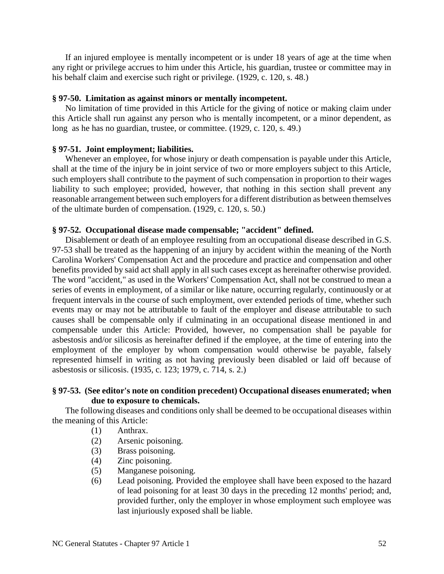If an injured employee is mentally incompetent or is under 18 years of age at the time when any right or privilege accrues to him under this Article, his guardian, trustee or committee may in his behalf claim and exercise such right or privilege. (1929, c. 120, s. 48.)

#### **§ 97-50. Limitation as against minors or mentally incompetent.**

No limitation of time provided in this Article for the giving of notice or making claim under this Article shall run against any person who is mentally incompetent, or a minor dependent, as long as he has no guardian, trustee, or committee. (1929, c. 120, s. 49.)

#### **§ 97-51. Joint employment; liabilities.**

Whenever an employee, for whose injury or death compensation is payable under this Article, shall at the time of the injury be in joint service of two or more employers subject to this Article, such employers shall contribute to the payment of such compensation in proportion to their wages liability to such employee; provided, however, that nothing in this section shall prevent any reasonable arrangement between such employers for a different distribution as between themselves of the ultimate burden of compensation. (1929, c. 120, s. 50.)

#### **§ 97-52. Occupational disease made compensable; "accident" defined.**

Disablement or death of an employee resulting from an occupational disease described in G.S. 97-53 shall be treated as the happening of an injury by accident within the meaning of the North Carolina Workers' Compensation Act and the procedure and practice and compensation and other benefits provided by said act shall apply in all such cases except as hereinafter otherwise provided. The word "accident," as used in the Workers' Compensation Act, shall not be construed to mean a series of events in employment, of a similar or like nature, occurring regularly, continuously or at frequent intervals in the course of such employment, over extended periods of time, whether such events may or may not be attributable to fault of the employer and disease attributable to such causes shall be compensable only if culminating in an occupational disease mentioned in and compensable under this Article: Provided, however, no compensation shall be payable for asbestosis and/or silicosis as hereinafter defined if the employee, at the time of entering into the employment of the employer by whom compensation would otherwise be payable, falsely represented himself in writing as not having previously been disabled or laid off because of asbestosis or silicosis. (1935, c. 123; 1979, c. 714, s. 2.)

### **§ 97-53. (See editor's note on condition precedent) Occupational diseases enumerated; when due to exposure to chemicals.**

The following diseases and conditions only shall be deemed to be occupational diseases within the meaning of this Article:

- (1) Anthrax.
- (2) Arsenic poisoning.
- (3) Brass poisoning.
- (4) Zinc poisoning.
- (5) Manganese poisoning.
- (6) Lead poisoning. Provided the employee shall have been exposed to the hazard of lead poisoning for at least 30 days in the preceding 12 months' period; and, provided further, only the employer in whose employment such employee was last injuriously exposed shall be liable.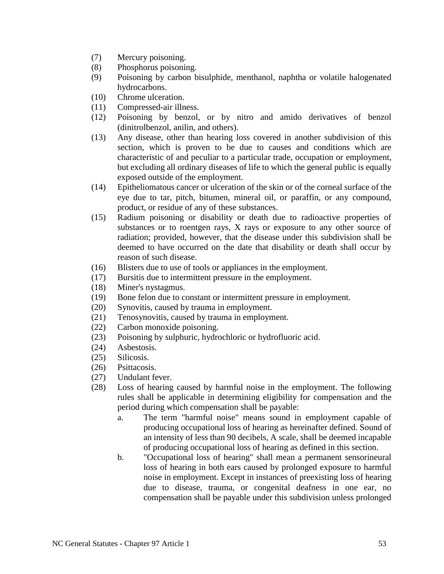- (7) Mercury poisoning.
- (8) Phosphorus poisoning.
- (9) Poisoning by carbon bisulphide, menthanol, naphtha or volatile halogenated hydrocarbons.
- (10) Chrome ulceration.
- (11) Compressed-air illness.
- (12) Poisoning by benzol, or by nitro and amido derivatives of benzol (dinitrolbenzol, anilin, and others).
- (13) Any disease, other than hearing loss covered in another subdivision of this section, which is proven to be due to causes and conditions which are characteristic of and peculiar to a particular trade, occupation or employment, but excluding all ordinary diseases of life to which the general public is equally exposed outside of the employment.
- (14) Epitheliomatous cancer or ulceration of the skin or of the corneal surface of the eye due to tar, pitch, bitumen, mineral oil, or paraffin, or any compound, product, or residue of any of these substances.
- (15) Radium poisoning or disability or death due to radioactive properties of substances or to roentgen rays, X rays or exposure to any other source of radiation; provided, however, that the disease under this subdivision shall be deemed to have occurred on the date that disability or death shall occur by reason of such disease.
- (16) Blisters due to use of tools or appliances in the employment.
- (17) Bursitis due to intermittent pressure in the employment.
- (18) Miner's nystagmus.
- (19) Bone felon due to constant or intermittent pressure in employment.
- (20) Synovitis, caused by trauma in employment.
- (21) Tenosynovitis, caused by trauma in employment.
- (22) Carbon monoxide poisoning.
- (23) Poisoning by sulphuric, hydrochloric or hydrofluoric acid.
- (24) Asbestosis.
- (25) Silicosis.
- (26) Psittacosis.
- (27) Undulant fever.
- (28) Loss of hearing caused by harmful noise in the employment. The following rules shall be applicable in determining eligibility for compensation and the period during which compensation shall be payable:
	- a. The term "harmful noise" means sound in employment capable of producing occupational loss of hearing as hereinafter defined. Sound of an intensity of less than 90 decibels, A scale, shall be deemed incapable of producing occupational loss of hearing as defined in this section.
	- b. "Occupational loss of hearing" shall mean a permanent sensorineural loss of hearing in both ears caused by prolonged exposure to harmful noise in employment. Except in instances of preexisting loss of hearing due to disease, trauma, or congenital deafness in one ear, no compensation shall be payable under this subdivision unless prolonged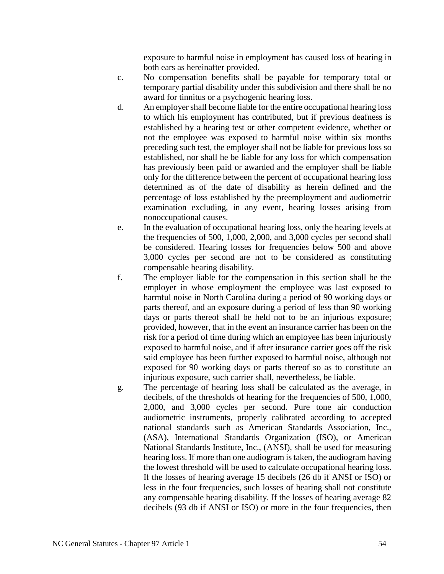exposure to harmful noise in employment has caused loss of hearing in both ears as hereinafter provided.

- c. No compensation benefits shall be payable for temporary total or temporary partial disability under this subdivision and there shall be no award for tinnitus or a psychogenic hearing loss.
- d. An employer shall become liable for the entire occupational hearing loss to which his employment has contributed, but if previous deafness is established by a hearing test or other competent evidence, whether or not the employee was exposed to harmful noise within six months preceding such test, the employer shall not be liable for previous loss so established, nor shall he be liable for any loss for which compensation has previously been paid or awarded and the employer shall be liable only for the difference between the percent of occupational hearing loss determined as of the date of disability as herein defined and the percentage of loss established by the preemployment and audiometric examination excluding, in any event, hearing losses arising from nonoccupational causes.
- e. In the evaluation of occupational hearing loss, only the hearing levels at the frequencies of 500, 1,000, 2,000, and 3,000 cycles per second shall be considered. Hearing losses for frequencies below 500 and above 3,000 cycles per second are not to be considered as constituting compensable hearing disability.
- f. The employer liable for the compensation in this section shall be the employer in whose employment the employee was last exposed to harmful noise in North Carolina during a period of 90 working days or parts thereof, and an exposure during a period of less than 90 working days or parts thereof shall be held not to be an injurious exposure; provided, however, that in the event an insurance carrier has been on the risk for a period of time during which an employee has been injuriously exposed to harmful noise, and if after insurance carrier goes off the risk said employee has been further exposed to harmful noise, although not exposed for 90 working days or parts thereof so as to constitute an injurious exposure, such carrier shall, nevertheless, be liable.
- g. The percentage of hearing loss shall be calculated as the average, in decibels, of the thresholds of hearing for the frequencies of 500, 1,000, 2,000, and 3,000 cycles per second. Pure tone air conduction audiometric instruments, properly calibrated according to accepted national standards such as American Standards Association, Inc., (ASA), International Standards Organization (ISO), or American National Standards Institute, Inc., (ANSI), shall be used for measuring hearing loss. If more than one audiogram is taken, the audiogram having the lowest threshold will be used to calculate occupational hearing loss. If the losses of hearing average 15 decibels (26 db if ANSI or ISO) or less in the four frequencies, such losses of hearing shall not constitute any compensable hearing disability. If the losses of hearing average 82 decibels (93 db if ANSI or ISO) or more in the four frequencies, then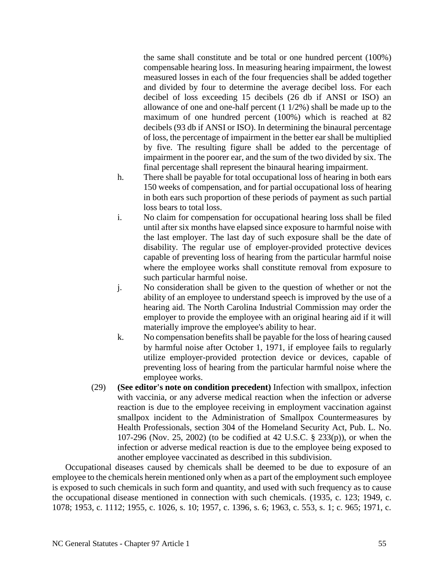the same shall constitute and be total or one hundred percent (100%) compensable hearing loss. In measuring hearing impairment, the lowest measured losses in each of the four frequencies shall be added together and divided by four to determine the average decibel loss. For each decibel of loss exceeding 15 decibels (26 db if ANSI or ISO) an allowance of one and one-half percent (1 1/2%) shall be made up to the maximum of one hundred percent (100%) which is reached at 82 decibels (93 db if ANSI or ISO). In determining the binaural percentage of loss, the percentage of impairment in the better ear shall be multiplied by five. The resulting figure shall be added to the percentage of impairment in the poorer ear, and the sum of the two divided by six. The final percentage shall represent the binaural hearing impairment.

- h. There shall be payable for total occupational loss of hearing in both ears 150 weeks of compensation, and for partial occupational loss of hearing in both ears such proportion of these periods of payment as such partial loss bears to total loss.
- i. No claim for compensation for occupational hearing loss shall be filed until after six months have elapsed since exposure to harmful noise with the last employer. The last day of such exposure shall be the date of disability. The regular use of employer-provided protective devices capable of preventing loss of hearing from the particular harmful noise where the employee works shall constitute removal from exposure to such particular harmful noise.
- j. No consideration shall be given to the question of whether or not the ability of an employee to understand speech is improved by the use of a hearing aid. The North Carolina Industrial Commission may order the employer to provide the employee with an original hearing aid if it will materially improve the employee's ability to hear.
- k. No compensation benefits shall be payable for the loss of hearing caused by harmful noise after October 1, 1971, if employee fails to regularly utilize employer-provided protection device or devices, capable of preventing loss of hearing from the particular harmful noise where the employee works.
- (29) **(See editor's note on condition precedent)** Infection with smallpox, infection with vaccinia, or any adverse medical reaction when the infection or adverse reaction is due to the employee receiving in employment vaccination against smallpox incident to the Administration of Smallpox Countermeasures by Health Professionals, section 304 of the Homeland Security Act, Pub. L. No. 107-296 (Nov. 25, 2002) (to be codified at 42 U.S.C. § 233(p)), or when the infection or adverse medical reaction is due to the employee being exposed to another employee vaccinated as described in this subdivision.

Occupational diseases caused by chemicals shall be deemed to be due to exposure of an employee to the chemicals herein mentioned only when as a part of the employment such employee is exposed to such chemicals in such form and quantity, and used with such frequency as to cause the occupational disease mentioned in connection with such chemicals. (1935, c. 123; 1949, c. 1078; 1953, c. 1112; 1955, c. 1026, s. 10; 1957, c. 1396, s. 6; 1963, c. 553, s. 1; c. 965; 1971, c.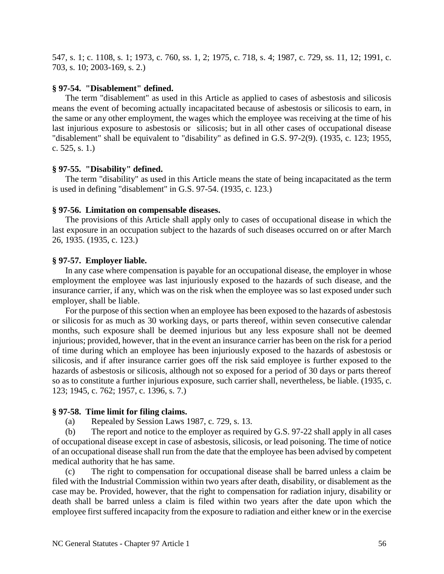547, s. 1; c. 1108, s. 1; 1973, c. 760, ss. 1, 2; 1975, c. 718, s. 4; 1987, c. 729, ss. 11, 12; 1991, c. 703, s. 10; 2003-169, s. 2.)

#### **§ 97-54. "Disablement" defined.**

The term "disablement" as used in this Article as applied to cases of asbestosis and silicosis means the event of becoming actually incapacitated because of asbestosis or silicosis to earn, in the same or any other employment, the wages which the employee was receiving at the time of his last injurious exposure to asbestosis or silicosis; but in all other cases of occupational disease "disablement" shall be equivalent to "disability" as defined in G.S. 97-2(9). (1935, c. 123; 1955, c. 525, s. 1.)

#### **§ 97-55. "Disability" defined.**

The term "disability" as used in this Article means the state of being incapacitated as the term is used in defining "disablement" in G.S. 97-54. (1935, c. 123.)

#### **§ 97-56. Limitation on compensable diseases.**

The provisions of this Article shall apply only to cases of occupational disease in which the last exposure in an occupation subject to the hazards of such diseases occurred on or after March 26, 1935. (1935, c. 123.)

#### **§ 97-57. Employer liable.**

In any case where compensation is payable for an occupational disease, the employer in whose employment the employee was last injuriously exposed to the hazards of such disease, and the insurance carrier, if any, which was on the risk when the employee was so last exposed under such employer, shall be liable.

For the purpose of this section when an employee has been exposed to the hazards of asbestosis or silicosis for as much as 30 working days, or parts thereof, within seven consecutive calendar months, such exposure shall be deemed injurious but any less exposure shall not be deemed injurious; provided, however, that in the event an insurance carrier has been on the risk for a period of time during which an employee has been injuriously exposed to the hazards of asbestosis or silicosis, and if after insurance carrier goes off the risk said employee is further exposed to the hazards of asbestosis or silicosis, although not so exposed for a period of 30 days or parts thereof so as to constitute a further injurious exposure, such carrier shall, nevertheless, be liable. (1935, c. 123; 1945, c. 762; 1957, c. 1396, s. 7.)

#### **§ 97-58. Time limit for filing claims.**

(a) Repealed by Session Laws 1987, c. 729, s. 13.

(b) The report and notice to the employer as required by G.S. 97-22 shall apply in all cases of occupational disease except in case of asbestosis, silicosis, or lead poisoning. The time of notice of an occupational disease shall run from the date that the employee has been advised by competent medical authority that he has same.

(c) The right to compensation for occupational disease shall be barred unless a claim be filed with the Industrial Commission within two years after death, disability, or disablement as the case may be. Provided, however, that the right to compensation for radiation injury, disability or death shall be barred unless a claim is filed within two years after the date upon which the employee first suffered incapacity from the exposure to radiation and either knew or in the exercise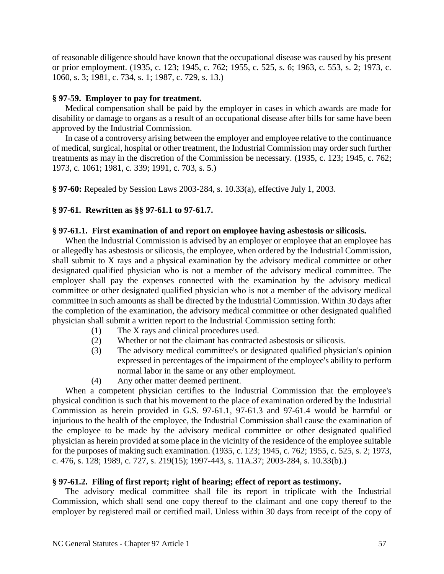of reasonable diligence should have known that the occupational disease was caused by his present or prior employment. (1935, c. 123; 1945, c. 762; 1955, c. 525, s. 6; 1963, c. 553, s. 2; 1973, c. 1060, s. 3; 1981, c. 734, s. 1; 1987, c. 729, s. 13.)

### **§ 97-59. Employer to pay for treatment.**

Medical compensation shall be paid by the employer in cases in which awards are made for disability or damage to organs as a result of an occupational disease after bills for same have been approved by the Industrial Commission.

In case of a controversy arising between the employer and employee relative to the continuance of medical, surgical, hospital or other treatment, the Industrial Commission may order such further treatments as may in the discretion of the Commission be necessary. (1935, c. 123; 1945, c. 762; 1973, c. 1061; 1981, c. 339; 1991, c. 703, s. 5.)

**§ 97-60:** Repealed by Session Laws 2003-284, s. 10.33(a), effective July 1, 2003.

### **§ 97-61. Rewritten as §§ 97-61.1 to 97-61.7.**

### **§ 97-61.1. First examination of and report on employee having asbestosis or silicosis.**

When the Industrial Commission is advised by an employer or employee that an employee has or allegedly has asbestosis or silicosis, the employee, when ordered by the Industrial Commission, shall submit to X rays and a physical examination by the advisory medical committee or other designated qualified physician who is not a member of the advisory medical committee. The employer shall pay the expenses connected with the examination by the advisory medical committee or other designated qualified physician who is not a member of the advisory medical committee in such amounts as shall be directed by the Industrial Commission. Within 30 days after the completion of the examination, the advisory medical committee or other designated qualified physician shall submit a written report to the Industrial Commission setting forth:

- (1) The X rays and clinical procedures used.
- (2) Whether or not the claimant has contracted asbestosis or silicosis.
- (3) The advisory medical committee's or designated qualified physician's opinion expressed in percentages of the impairment of the employee's ability to perform normal labor in the same or any other employment.
- (4) Any other matter deemed pertinent.

When a competent physician certifies to the Industrial Commission that the employee's physical condition is such that his movement to the place of examination ordered by the Industrial Commission as herein provided in G.S. 97-61.1, 97-61.3 and 97-61.4 would be harmful or injurious to the health of the employee, the Industrial Commission shall cause the examination of the employee to be made by the advisory medical committee or other designated qualified physician as herein provided at some place in the vicinity of the residence of the employee suitable for the purposes of making such examination. (1935, c. 123; 1945, c. 762; 1955, c. 525, s. 2; 1973, c. 476, s. 128; 1989, c. 727, s. 219(15); 1997-443, s. 11A.37; 2003-284, s. 10.33(b).)

#### **§ 97-61.2. Filing of first report; right of hearing; effect of report as testimony.**

The advisory medical committee shall file its report in triplicate with the Industrial Commission, which shall send one copy thereof to the claimant and one copy thereof to the employer by registered mail or certified mail. Unless within 30 days from receipt of the copy of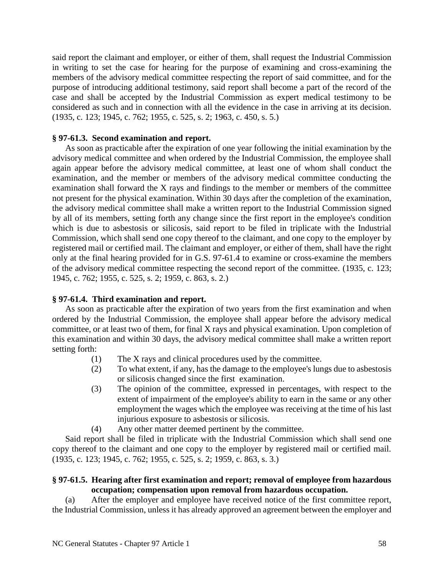said report the claimant and employer, or either of them, shall request the Industrial Commission in writing to set the case for hearing for the purpose of examining and cross-examining the members of the advisory medical committee respecting the report of said committee, and for the purpose of introducing additional testimony, said report shall become a part of the record of the case and shall be accepted by the Industrial Commission as expert medical testimony to be considered as such and in connection with all the evidence in the case in arriving at its decision. (1935, c. 123; 1945, c. 762; 1955, c. 525, s. 2; 1963, c. 450, s. 5.)

### **§ 97-61.3. Second examination and report.**

As soon as practicable after the expiration of one year following the initial examination by the advisory medical committee and when ordered by the Industrial Commission, the employee shall again appear before the advisory medical committee, at least one of whom shall conduct the examination, and the member or members of the advisory medical committee conducting the examination shall forward the X rays and findings to the member or members of the committee not present for the physical examination. Within 30 days after the completion of the examination, the advisory medical committee shall make a written report to the Industrial Commission signed by all of its members, setting forth any change since the first report in the employee's condition which is due to asbestosis or silicosis, said report to be filed in triplicate with the Industrial Commission, which shall send one copy thereof to the claimant, and one copy to the employer by registered mail or certified mail. The claimant and employer, or either of them, shall have the right only at the final hearing provided for in G.S. 97-61.4 to examine or cross-examine the members of the advisory medical committee respecting the second report of the committee. (1935, c. 123; 1945, c. 762; 1955, c. 525, s. 2; 1959, c. 863, s. 2.)

### **§ 97-61.4. Third examination and report.**

As soon as practicable after the expiration of two years from the first examination and when ordered by the Industrial Commission, the employee shall appear before the advisory medical committee, or at least two of them, for final X rays and physical examination. Upon completion of this examination and within 30 days, the advisory medical committee shall make a written report setting forth:

- (1) The X rays and clinical procedures used by the committee.
- (2) To what extent, if any, has the damage to the employee's lungs due to asbestosis or silicosis changed since the first examination.
- (3) The opinion of the committee, expressed in percentages, with respect to the extent of impairment of the employee's ability to earn in the same or any other employment the wages which the employee was receiving at the time of his last injurious exposure to asbestosis or silicosis.
- (4) Any other matter deemed pertinent by the committee.

Said report shall be filed in triplicate with the Industrial Commission which shall send one copy thereof to the claimant and one copy to the employer by registered mail or certified mail. (1935, c. 123; 1945, c. 762; 1955, c. 525, s. 2; 1959, c. 863, s. 3.)

### **§ 97-61.5. Hearing after first examination and report; removal of employee from hazardous occupation; compensation upon removal from hazardous occupation.**

(a) After the employer and employee have received notice of the first committee report, the Industrial Commission, unless it has already approved an agreement between the employer and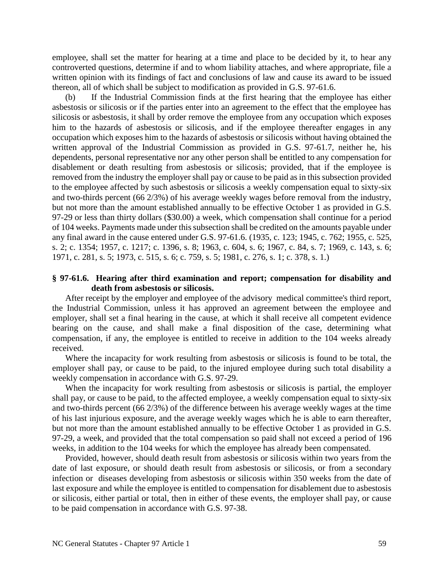employee, shall set the matter for hearing at a time and place to be decided by it, to hear any controverted questions, determine if and to whom liability attaches, and where appropriate, file a written opinion with its findings of fact and conclusions of law and cause its award to be issued thereon, all of which shall be subject to modification as provided in G.S. 97-61.6.

(b) If the Industrial Commission finds at the first hearing that the employee has either asbestosis or silicosis or if the parties enter into an agreement to the effect that the employee has silicosis or asbestosis, it shall by order remove the employee from any occupation which exposes him to the hazards of asbestosis or silicosis, and if the employee thereafter engages in any occupation which exposes him to the hazards of asbestosis or silicosis without having obtained the written approval of the Industrial Commission as provided in G.S. 97-61.7, neither he, his dependents, personal representative nor any other person shall be entitled to any compensation for disablement or death resulting from asbestosis or silicosis; provided, that if the employee is removed from the industry the employer shall pay or cause to be paid as in this subsection provided to the employee affected by such asbestosis or silicosis a weekly compensation equal to sixty-six and two-thirds percent (66 2/3%) of his average weekly wages before removal from the industry, but not more than the amount established annually to be effective October 1 as provided in G.S. 97-29 or less than thirty dollars (\$30.00) a week, which compensation shall continue for a period of 104 weeks. Payments made under this subsection shall be credited on the amounts payable under any final award in the cause entered under G.S. 97-61.6. (1935, c. 123; 1945, c. 762; 1955, c. 525, s. 2; c. 1354; 1957, c. 1217; c. 1396, s. 8; 1963, c. 604, s. 6; 1967, c. 84, s. 7; 1969, c. 143, s. 6; 1971, c. 281, s. 5; 1973, c. 515, s. 6; c. 759, s. 5; 1981, c. 276, s. 1; c. 378, s. 1.)

### **§ 97-61.6. Hearing after third examination and report; compensation for disability and death from asbestosis or silicosis.**

After receipt by the employer and employee of the advisory medical committee's third report, the Industrial Commission, unless it has approved an agreement between the employee and employer, shall set a final hearing in the cause, at which it shall receive all competent evidence bearing on the cause, and shall make a final disposition of the case, determining what compensation, if any, the employee is entitled to receive in addition to the 104 weeks already received.

Where the incapacity for work resulting from asbestosis or silicosis is found to be total, the employer shall pay, or cause to be paid, to the injured employee during such total disability a weekly compensation in accordance with G.S. 97-29.

When the incapacity for work resulting from asbestosis or silicosis is partial, the employer shall pay, or cause to be paid, to the affected employee, a weekly compensation equal to sixty-six and two-thirds percent (66 2/3%) of the difference between his average weekly wages at the time of his last injurious exposure, and the average weekly wages which he is able to earn thereafter, but not more than the amount established annually to be effective October 1 as provided in G.S. 97-29, a week, and provided that the total compensation so paid shall not exceed a period of 196 weeks, in addition to the 104 weeks for which the employee has already been compensated.

Provided, however, should death result from asbestosis or silicosis within two years from the date of last exposure, or should death result from asbestosis or silicosis, or from a secondary infection or diseases developing from asbestosis or silicosis within 350 weeks from the date of last exposure and while the employee is entitled to compensation for disablement due to asbestosis or silicosis, either partial or total, then in either of these events, the employer shall pay, or cause to be paid compensation in accordance with G.S. 97-38.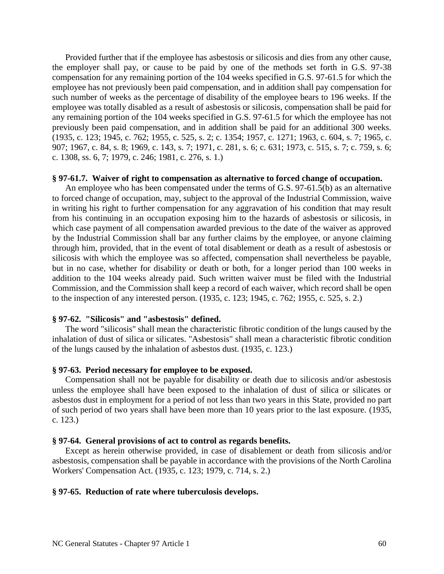Provided further that if the employee has asbestosis or silicosis and dies from any other cause, the employer shall pay, or cause to be paid by one of the methods set forth in G.S. 97-38 compensation for any remaining portion of the 104 weeks specified in G.S. 97-61.5 for which the employee has not previously been paid compensation, and in addition shall pay compensation for such number of weeks as the percentage of disability of the employee bears to 196 weeks. If the employee was totally disabled as a result of asbestosis or silicosis, compensation shall be paid for any remaining portion of the 104 weeks specified in G.S. 97-61.5 for which the employee has not previously been paid compensation, and in addition shall be paid for an additional 300 weeks. (1935, c. 123; 1945, c. 762; 1955, c. 525, s. 2; c. 1354; 1957, c. 1271; 1963, c. 604, s. 7; 1965, c. 907; 1967, c. 84, s. 8; 1969, c. 143, s. 7; 1971, c. 281, s. 6; c. 631; 1973, c. 515, s. 7; c. 759, s. 6; c. 1308, ss. 6, 7; 1979, c. 246; 1981, c. 276, s. 1.)

#### **§ 97-61.7. Waiver of right to compensation as alternative to forced change of occupation.**

An employee who has been compensated under the terms of G.S. 97-61.5(b) as an alternative to forced change of occupation, may, subject to the approval of the Industrial Commission, waive in writing his right to further compensation for any aggravation of his condition that may result from his continuing in an occupation exposing him to the hazards of asbestosis or silicosis, in which case payment of all compensation awarded previous to the date of the waiver as approved by the Industrial Commission shall bar any further claims by the employee, or anyone claiming through him, provided, that in the event of total disablement or death as a result of asbestosis or silicosis with which the employee was so affected, compensation shall nevertheless be payable, but in no case, whether for disability or death or both, for a longer period than 100 weeks in addition to the 104 weeks already paid. Such written waiver must be filed with the Industrial Commission, and the Commission shall keep a record of each waiver, which record shall be open to the inspection of any interested person. (1935, c. 123; 1945, c. 762; 1955, c. 525, s. 2.)

#### **§ 97-62. "Silicosis" and "asbestosis" defined.**

The word "silicosis" shall mean the characteristic fibrotic condition of the lungs caused by the inhalation of dust of silica or silicates. "Asbestosis" shall mean a characteristic fibrotic condition of the lungs caused by the inhalation of asbestos dust. (1935, c. 123.)

### **§ 97-63. Period necessary for employee to be exposed.**

Compensation shall not be payable for disability or death due to silicosis and/or asbestosis unless the employee shall have been exposed to the inhalation of dust of silica or silicates or asbestos dust in employment for a period of not less than two years in this State, provided no part of such period of two years shall have been more than 10 years prior to the last exposure. (1935, c. 123.)

#### **§ 97-64. General provisions of act to control as regards benefits.**

Except as herein otherwise provided, in case of disablement or death from silicosis and/or asbestosis, compensation shall be payable in accordance with the provisions of the North Carolina Workers' Compensation Act. (1935, c. 123; 1979, c. 714, s. 2.)

#### **§ 97-65. Reduction of rate where tuberculosis develops.**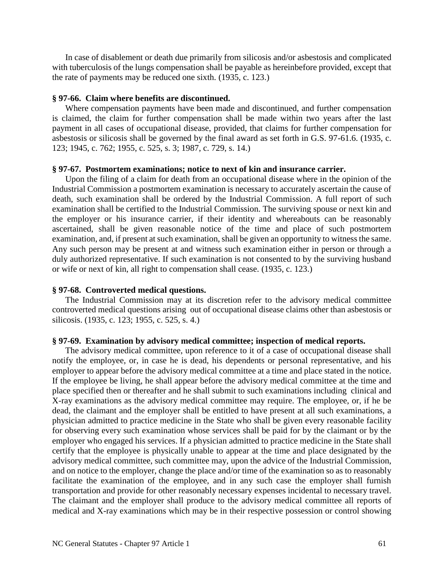In case of disablement or death due primarily from silicosis and/or asbestosis and complicated with tuberculosis of the lungs compensation shall be payable as hereinbefore provided, except that the rate of payments may be reduced one sixth. (1935, c. 123.)

#### **§ 97-66. Claim where benefits are discontinued.**

Where compensation payments have been made and discontinued, and further compensation is claimed, the claim for further compensation shall be made within two years after the last payment in all cases of occupational disease, provided, that claims for further compensation for asbestosis or silicosis shall be governed by the final award as set forth in G.S. 97-61.6. (1935, c. 123; 1945, c. 762; 1955, c. 525, s. 3; 1987, c. 729, s. 14.)

#### **§ 97-67. Postmortem examinations; notice to next of kin and insurance carrier.**

Upon the filing of a claim for death from an occupational disease where in the opinion of the Industrial Commission a postmortem examination is necessary to accurately ascertain the cause of death, such examination shall be ordered by the Industrial Commission. A full report of such examination shall be certified to the Industrial Commission. The surviving spouse or next kin and the employer or his insurance carrier, if their identity and whereabouts can be reasonably ascertained, shall be given reasonable notice of the time and place of such postmortem examination, and, if present at such examination, shall be given an opportunity to witness the same. Any such person may be present at and witness such examination either in person or through a duly authorized representative. If such examination is not consented to by the surviving husband or wife or next of kin, all right to compensation shall cease. (1935, c. 123.)

#### **§ 97-68. Controverted medical questions.**

The Industrial Commission may at its discretion refer to the advisory medical committee controverted medical questions arising out of occupational disease claims other than asbestosis or silicosis. (1935, c. 123; 1955, c. 525, s. 4.)

#### **§ 97-69. Examination by advisory medical committee; inspection of medical reports.**

The advisory medical committee, upon reference to it of a case of occupational disease shall notify the employee, or, in case he is dead, his dependents or personal representative, and his employer to appear before the advisory medical committee at a time and place stated in the notice. If the employee be living, he shall appear before the advisory medical committee at the time and place specified then or thereafter and he shall submit to such examinations including clinical and X-ray examinations as the advisory medical committee may require. The employee, or, if he be dead, the claimant and the employer shall be entitled to have present at all such examinations, a physician admitted to practice medicine in the State who shall be given every reasonable facility for observing every such examination whose services shall be paid for by the claimant or by the employer who engaged his services. If a physician admitted to practice medicine in the State shall certify that the employee is physically unable to appear at the time and place designated by the advisory medical committee, such committee may, upon the advice of the Industrial Commission, and on notice to the employer, change the place and/or time of the examination so as to reasonably facilitate the examination of the employee, and in any such case the employer shall furnish transportation and provide for other reasonably necessary expenses incidental to necessary travel. The claimant and the employer shall produce to the advisory medical committee all reports of medical and X-ray examinations which may be in their respective possession or control showing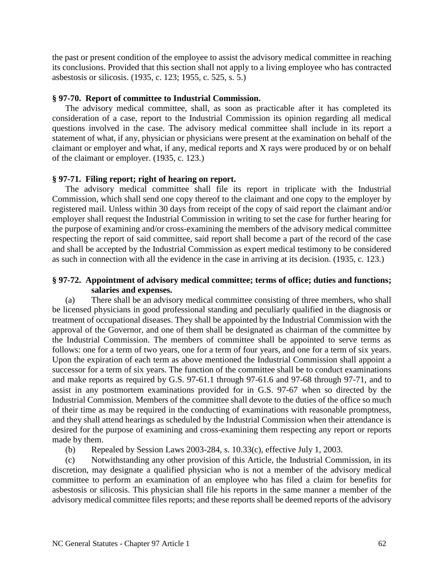the past or present condition of the employee to assist the advisory medical committee in reaching its conclusions. Provided that this section shall not apply to a living employee who has contracted asbestosis or silicosis. (1935, c. 123; 1955, c. 525, s. 5.)

#### **§ 97-70. Report of committee to Industrial Commission.**

The advisory medical committee, shall, as soon as practicable after it has completed its consideration of a case, report to the Industrial Commission its opinion regarding all medical questions involved in the case. The advisory medical committee shall include in its report a statement of what, if any, physician or physicians were present at the examination on behalf of the claimant or employer and what, if any, medical reports and X rays were produced by or on behalf of the claimant or employer. (1935, c. 123.)

#### **§ 97-71. Filing report; right of hearing on report.**

The advisory medical committee shall file its report in triplicate with the Industrial Commission, which shall send one copy thereof to the claimant and one copy to the employer by registered mail. Unless within 30 days from receipt of the copy of said report the claimant and/or employer shall request the Industrial Commission in writing to set the case for further hearing for the purpose of examining and/or cross-examining the members of the advisory medical committee respecting the report of said committee, said report shall become a part of the record of the case and shall be accepted by the Industrial Commission as expert medical testimony to be considered as such in connection with all the evidence in the case in arriving at its decision. (1935, c. 123.)

### **§ 97-72. Appointment of advisory medical committee; terms of office; duties and functions; salaries and expenses.**

(a) There shall be an advisory medical committee consisting of three members, who shall be licensed physicians in good professional standing and peculiarly qualified in the diagnosis or treatment of occupational diseases. They shall be appointed by the Industrial Commission with the approval of the Governor, and one of them shall be designated as chairman of the committee by the Industrial Commission. The members of committee shall be appointed to serve terms as follows: one for a term of two years, one for a term of four years, and one for a term of six years. Upon the expiration of each term as above mentioned the Industrial Commission shall appoint a successor for a term of six years. The function of the committee shall be to conduct examinations and make reports as required by G.S. 97-61.1 through 97-61.6 and 97-68 through 97-71, and to assist in any postmortem examinations provided for in G.S. 97-67 when so directed by the Industrial Commission. Members of the committee shall devote to the duties of the office so much of their time as may be required in the conducting of examinations with reasonable promptness, and they shall attend hearings as scheduled by the Industrial Commission when their attendance is desired for the purpose of examining and cross-examining them respecting any report or reports made by them.

(b) Repealed by Session Laws 2003-284, s. 10.33(c), effective July 1, 2003.

(c) Notwithstanding any other provision of this Article, the Industrial Commission, in its discretion, may designate a qualified physician who is not a member of the advisory medical committee to perform an examination of an employee who has filed a claim for benefits for asbestosis or silicosis. This physician shall file his reports in the same manner a member of the advisory medical committee files reports; and these reports shall be deemed reports of the advisory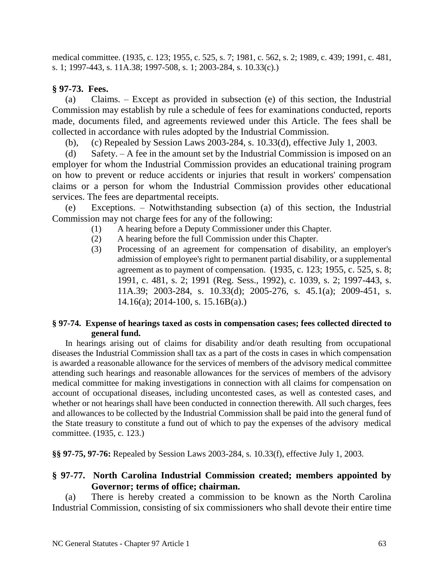medical committee. (1935, c. 123; 1955, c. 525, s. 7; 1981, c. 562, s. 2; 1989, c. 439; 1991, c. 481, s. 1; 1997-443, s. 11A.38; 1997-508, s. 1; 2003-284, s. 10.33(c).)

# **§ 97-73. Fees.**

(a) Claims. – Except as provided in subsection (e) of this section, the Industrial Commission may establish by rule a schedule of fees for examinations conducted, reports made, documents filed, and agreements reviewed under this Article. The fees shall be collected in accordance with rules adopted by the Industrial Commission.

(b), (c) Repealed by Session Laws 2003-284, s. 10.33(d), effective July 1, 2003.

(d) Safety. – A fee in the amount set by the Industrial Commission is imposed on an employer for whom the Industrial Commission provides an educational training program on how to prevent or reduce accidents or injuries that result in workers' compensation claims or a person for whom the Industrial Commission provides other educational services. The fees are departmental receipts.

Exceptions. – Notwithstanding subsection (a) of this section, the Industrial Commission may not charge fees for any of the following:

- (1) A hearing before a Deputy Commissioner under this Chapter.
- (2) A hearing before the full Commission under this Chapter.
- (3) Processing of an agreement for compensation of disability, an employer's admission of employee's right to permanent partial disability, or a supplemental agreement as to payment of compensation. (1935, c. 123; 1955, c. 525, s. 8; 1991, c. 481, s. 2; 1991 (Reg. Sess., 1992), c. 1039, s. 2; 1997-443, s. 11A.39; 2003-284, s. 10.33(d); 2005-276, s. 45.1(a); 2009-451, s.  $14.16(a)$ ; 2014-100, s. 15.16B(a).)

## **§ 97-74. Expense of hearings taxed as costs in compensation cases; fees collected directed to general fund.**

In hearings arising out of claims for disability and/or death resulting from occupational diseases the Industrial Commission shall tax as a part of the costs in cases in which compensation is awarded a reasonable allowance for the services of members of the advisory medical committee attending such hearings and reasonable allowances for the services of members of the advisory medical committee for making investigations in connection with all claims for compensation on account of occupational diseases, including uncontested cases, as well as contested cases, and whether or not hearings shall have been conducted in connection therewith. All such charges, fees and allowances to be collected by the Industrial Commission shall be paid into the general fund of the State treasury to constitute a fund out of which to pay the expenses of the advisory medical committee. (1935, c. 123.)

**§§ 97-75, 97-76:** Repealed by Session Laws 2003-284, s. 10.33(f), effective July 1, 2003.

# **§ 97-77. North Carolina Industrial Commission created; members appointed by Governor; terms of office; chairman.**

(a) There is hereby created a commission to be known as the North Carolina Industrial Commission, consisting of six commissioners who shall devote their entire time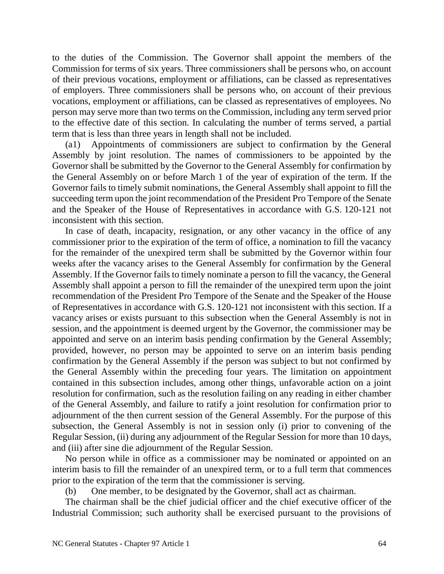to the duties of the Commission. The Governor shall appoint the members of the Commission for terms of six years. Three commissioners shall be persons who, on account of their previous vocations, employment or affiliations, can be classed as representatives of employers. Three commissioners shall be persons who, on account of their previous vocations, employment or affiliations, can be classed as representatives of employees. No person may serve more than two terms on the Commission, including any term served prior to the effective date of this section. In calculating the number of terms served, a partial term that is less than three years in length shall not be included.

(a1) Appointments of commissioners are subject to confirmation by the General Assembly by joint resolution. The names of commissioners to be appointed by the Governor shall be submitted by the Governor to the General Assembly for confirmation by the General Assembly on or before March 1 of the year of expiration of the term. If the Governor fails to timely submit nominations, the General Assembly shall appoint to fill the succeeding term upon the joint recommendation of the President Pro Tempore of the Senate and the Speaker of the House of Representatives in accordance with G.S. 120-121 not inconsistent with this section.

In case of death, incapacity, resignation, or any other vacancy in the office of any commissioner prior to the expiration of the term of office, a nomination to fill the vacancy for the remainder of the unexpired term shall be submitted by the Governor within four weeks after the vacancy arises to the General Assembly for confirmation by the General Assembly. If the Governor fails to timely nominate a person to fill the vacancy, the General Assembly shall appoint a person to fill the remainder of the unexpired term upon the joint recommendation of the President Pro Tempore of the Senate and the Speaker of the House of Representatives in accordance with G.S. 120-121 not inconsistent with this section. If a vacancy arises or exists pursuant to this subsection when the General Assembly is not in session, and the appointment is deemed urgent by the Governor, the commissioner may be appointed and serve on an interim basis pending confirmation by the General Assembly; provided, however, no person may be appointed to serve on an interim basis pending confirmation by the General Assembly if the person was subject to but not confirmed by the General Assembly within the preceding four years. The limitation on appointment contained in this subsection includes, among other things, unfavorable action on a joint resolution for confirmation, such as the resolution failing on any reading in either chamber of the General Assembly, and failure to ratify a joint resolution for confirmation prior to adjournment of the then current session of the General Assembly. For the purpose of this subsection, the General Assembly is not in session only (i) prior to convening of the Regular Session, (ii) during any adjournment of the Regular Session for more than 10 days, and (iii) after sine die adjournment of the Regular Session.

No person while in office as a commissioner may be nominated or appointed on an interim basis to fill the remainder of an unexpired term, or to a full term that commences prior to the expiration of the term that the commissioner is serving.

(b) One member, to be designated by the Governor, shall act as chairman.

The chairman shall be the chief judicial officer and the chief executive officer of the Industrial Commission; such authority shall be exercised pursuant to the provisions of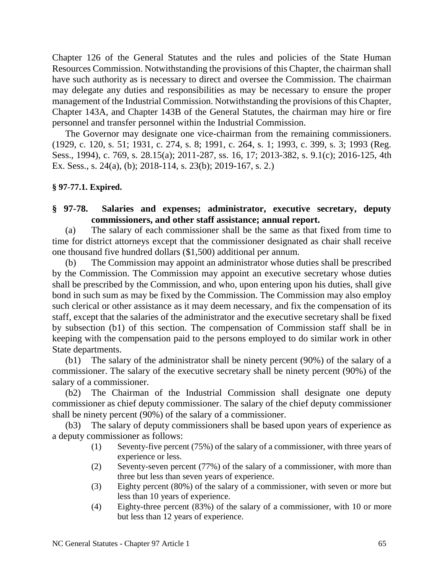Chapter 126 of the General Statutes and the rules and policies of the State Human Resources Commission. Notwithstanding the provisions of this Chapter, the chairman shall have such authority as is necessary to direct and oversee the Commission. The chairman may delegate any duties and responsibilities as may be necessary to ensure the proper management of the Industrial Commission. Notwithstanding the provisions of this Chapter, Chapter 143A, and Chapter 143B of the General Statutes, the chairman may hire or fire personnel and transfer personnel within the Industrial Commission.

The Governor may designate one vice-chairman from the remaining commissioners. (1929, c. 120, s. 51; 1931, c. 274, s. 8; 1991, c. 264, s. 1; 1993, c. 399, s. 3; 1993 (Reg. Sess., 1994), c. 769, s. 28.15(a); 2011-287, ss. 16, 17; 2013-382, s. 9.1(c); 2016-125, 4th Ex. Sess., s. 24(a), (b); 2018-114, s. 23(b); 2019-167, s. 2.)

## **§ 97**-**77.1. Expired.**

## **§ 97-78. Salaries and expenses; administrator, executive secretary, deputy commissioners, and other staff assistance; annual report.**

(a) The salary of each commissioner shall be the same as that fixed from time to time for district attorneys except that the commissioner designated as chair shall receive one thousand five hundred dollars (\$1,500) additional per annum.

(b) The Commission may appoint an administrator whose duties shall be prescribed by the Commission. The Commission may appoint an executive secretary whose duties shall be prescribed by the Commission, and who, upon entering upon his duties, shall give bond in such sum as may be fixed by the Commission. The Commission may also employ such clerical or other assistance as it may deem necessary, and fix the compensation of its staff, except that the salaries of the administrator and the executive secretary shall be fixed by subsection (b1) of this section. The compensation of Commission staff shall be in keeping with the compensation paid to the persons employed to do similar work in other State departments.

(b1) The salary of the administrator shall be ninety percent (90%) of the salary of a commissioner. The salary of the executive secretary shall be ninety percent (90%) of the salary of a commissioner.

(b2) The Chairman of the Industrial Commission shall designate one deputy commissioner as chief deputy commissioner. The salary of the chief deputy commissioner shall be ninety percent (90%) of the salary of a commissioner.

(b3) The salary of deputy commissioners shall be based upon years of experience as a deputy commissioner as follows:

- (1) Seventy-five percent (75%) of the salary of a commissioner, with three years of experience or less.
- (2) Seventy-seven percent (77%) of the salary of a commissioner, with more than three but less than seven years of experience.
- (3) Eighty percent (80%) of the salary of a commissioner, with seven or more but less than 10 years of experience.
- (4) Eighty-three percent (83%) of the salary of a commissioner, with 10 or more but less than 12 years of experience.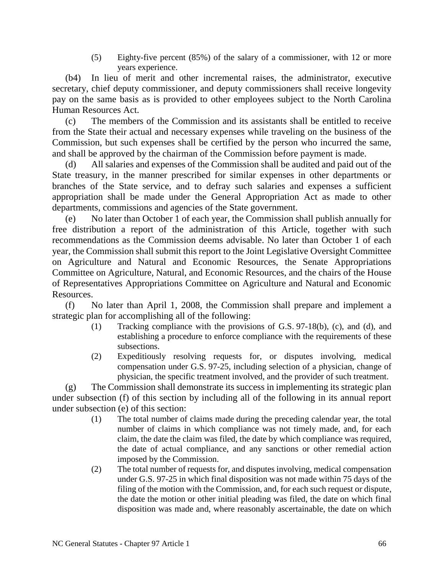(5) Eighty-five percent (85%) of the salary of a commissioner, with 12 or more years experience.

(b4) In lieu of merit and other incremental raises, the administrator, executive secretary, chief deputy commissioner, and deputy commissioners shall receive longevity pay on the same basis as is provided to other employees subject to the North Carolina Human Resources Act.

(c) The members of the Commission and its assistants shall be entitled to receive from the State their actual and necessary expenses while traveling on the business of the Commission, but such expenses shall be certified by the person who incurred the same, and shall be approved by the chairman of the Commission before payment is made.

(d) All salaries and expenses of the Commission shall be audited and paid out of the State treasury, in the manner prescribed for similar expenses in other departments or branches of the State service, and to defray such salaries and expenses a sufficient appropriation shall be made under the General Appropriation Act as made to other departments, commissions and agencies of the State government.

(e) No later than October 1 of each year, the Commission shall publish annually for free distribution a report of the administration of this Article, together with such recommendations as the Commission deems advisable. No later than October 1 of each year, the Commission shall submit this report to the Joint Legislative Oversight Committee on Agriculture and Natural and Economic Resources, the Senate Appropriations Committee on Agriculture, Natural, and Economic Resources, and the chairs of the House of Representatives Appropriations Committee on Agriculture and Natural and Economic Resources.

(f) No later than April 1, 2008, the Commission shall prepare and implement a strategic plan for accomplishing all of the following:

- (1) Tracking compliance with the provisions of G.S. 97-18(b), (c), and (d), and establishing a procedure to enforce compliance with the requirements of these subsections.
- (2) Expeditiously resolving requests for, or disputes involving, medical compensation under G.S. 97-25, including selection of a physician, change of physician, the specific treatment involved, and the provider of such treatment.

(g) The Commission shall demonstrate its success in implementing its strategic plan under subsection (f) of this section by including all of the following in its annual report under subsection (e) of this section:

- (1) The total number of claims made during the preceding calendar year, the total number of claims in which compliance was not timely made, and, for each claim, the date the claim was filed, the date by which compliance was required, the date of actual compliance, and any sanctions or other remedial action imposed by the Commission.
- (2) The total number of requests for, and disputes involving, medical compensation under G.S. 97-25 in which final disposition was not made within 75 days of the filing of the motion with the Commission, and, for each such request or dispute, the date the motion or other initial pleading was filed, the date on which final disposition was made and, where reasonably ascertainable, the date on which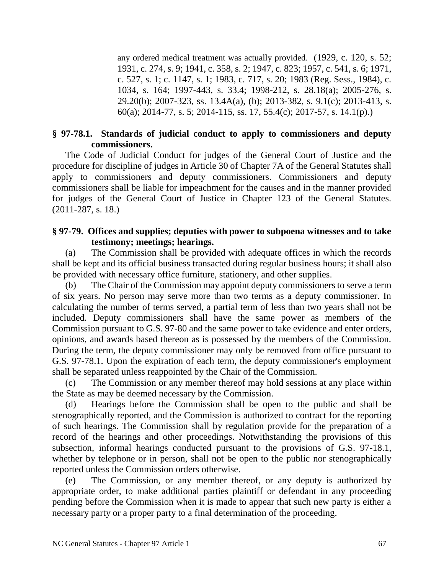any ordered medical treatment was actually provided. (1929, c. 120, s. 52; 1931, c. 274, s. 9; 1941, c. 358, s. 2; 1947, c. 823; 1957, c. 541, s. 6; 1971, c. 527, s. 1; c. 1147, s. 1; 1983, c. 717, s. 20; 1983 (Reg. Sess., 1984), c. 1034, s. 164; 1997-443, s. 33.4; 1998-212, s. 28.18(a); 2005-276, s. 29.20(b); 2007-323, ss. 13.4A(a), (b); 2013-382, s. 9.1(c); 2013-413, s. 60(a); 2014-77, s. 5; 2014-115, ss. 17, 55.4(c); 2017-57, s. 14.1(p).)

# **§ 97-78.1. Standards of judicial conduct to apply to commissioners and deputy commissioners.**

The Code of Judicial Conduct for judges of the General Court of Justice and the procedure for discipline of judges in Article 30 of Chapter 7A of the General Statutes shall apply to commissioners and deputy commissioners. Commissioners and deputy commissioners shall be liable for impeachment for the causes and in the manner provided for judges of the General Court of Justice in Chapter 123 of the General Statutes. (2011-287, s. 18.)

## **§ 97-79. Offices and supplies; deputies with power to subpoena witnesses and to take testimony; meetings; hearings.**

(a) The Commission shall be provided with adequate offices in which the records shall be kept and its official business transacted during regular business hours; it shall also be provided with necessary office furniture, stationery, and other supplies.

The Chair of the Commission may appoint deputy commissioners to serve a term of six years. No person may serve more than two terms as a deputy commissioner. In calculating the number of terms served, a partial term of less than two years shall not be included. Deputy commissioners shall have the same power as members of the Commission pursuant to G.S. 97-80 and the same power to take evidence and enter orders, opinions, and awards based thereon as is possessed by the members of the Commission. During the term, the deputy commissioner may only be removed from office pursuant to G.S. 97-78.1. Upon the expiration of each term, the deputy commissioner's employment shall be separated unless reappointed by the Chair of the Commission.

(c) The Commission or any member thereof may hold sessions at any place within the State as may be deemed necessary by the Commission.

(d) Hearings before the Commission shall be open to the public and shall be stenographically reported, and the Commission is authorized to contract for the reporting of such hearings. The Commission shall by regulation provide for the preparation of a record of the hearings and other proceedings. Notwithstanding the provisions of this subsection, informal hearings conducted pursuant to the provisions of G.S. 97-18.1, whether by telephone or in person, shall not be open to the public nor stenographically reported unless the Commission orders otherwise.

(e) The Commission, or any member thereof, or any deputy is authorized by appropriate order, to make additional parties plaintiff or defendant in any proceeding pending before the Commission when it is made to appear that such new party is either a necessary party or a proper party to a final determination of the proceeding.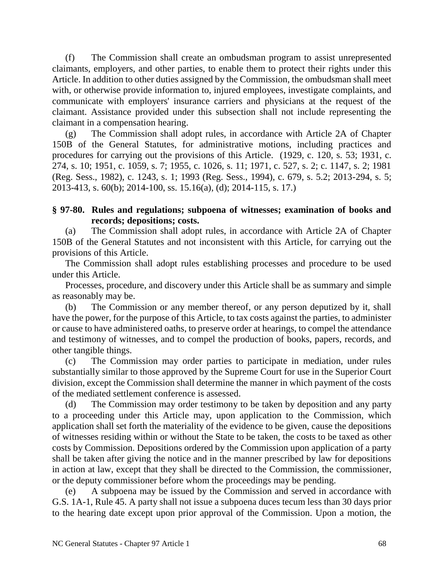(f) The Commission shall create an ombudsman program to assist unrepresented claimants, employers, and other parties, to enable them to protect their rights under this Article. In addition to other duties assigned by the Commission, the ombudsman shall meet with, or otherwise provide information to, injured employees, investigate complaints, and communicate with employers' insurance carriers and physicians at the request of the claimant. Assistance provided under this subsection shall not include representing the claimant in a compensation hearing.

(g) The Commission shall adopt rules, in accordance with Article 2A of Chapter 150B of the General Statutes, for administrative motions, including practices and procedures for carrying out the provisions of this Article. (1929, c. 120, s. 53; 1931, c. 274, s. 10; 1951, c. 1059, s. 7; 1955, c. 1026, s. 11; 1971, c. 527, s. 2; c. 1147, s. 2; 1981 (Reg. Sess., 1982), c. 1243, s. 1; 1993 (Reg. Sess., 1994), c. 679, s. 5.2; 2013-294, s. 5; 2013-413, s. 60(b); 2014-100, ss. 15.16(a), (d); 2014-115, s. 17.)

## **§ 97-80. Rules and regulations; subpoena of witnesses; examination of books and records; depositions; costs.**

(a) The Commission shall adopt rules, in accordance with Article 2A of Chapter 150B of the General Statutes and not inconsistent with this Article, for carrying out the provisions of this Article.

The Commission shall adopt rules establishing processes and procedure to be used under this Article.

Processes, procedure, and discovery under this Article shall be as summary and simple as reasonably may be.

(b) The Commission or any member thereof, or any person deputized by it, shall have the power, for the purpose of this Article, to tax costs against the parties, to administer or cause to have administered oaths, to preserve order at hearings, to compel the attendance and testimony of witnesses, and to compel the production of books, papers, records, and other tangible things.

(c) The Commission may order parties to participate in mediation, under rules substantially similar to those approved by the Supreme Court for use in the Superior Court division, except the Commission shall determine the manner in which payment of the costs of the mediated settlement conference is assessed.

(d) The Commission may order testimony to be taken by deposition and any party to a proceeding under this Article may, upon application to the Commission, which application shall set forth the materiality of the evidence to be given, cause the depositions of witnesses residing within or without the State to be taken, the costs to be taxed as other costs by Commission. Depositions ordered by the Commission upon application of a party shall be taken after giving the notice and in the manner prescribed by law for depositions in action at law, except that they shall be directed to the Commission, the commissioner, or the deputy commissioner before whom the proceedings may be pending.

(e) A subpoena may be issued by the Commission and served in accordance with G.S. 1A-1, Rule 45. A party shall not issue a subpoena duces tecum less than 30 days prior to the hearing date except upon prior approval of the Commission. Upon a motion, the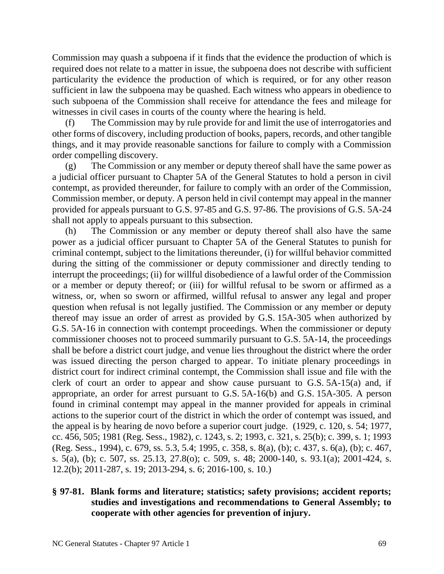Commission may quash a subpoena if it finds that the evidence the production of which is required does not relate to a matter in issue, the subpoena does not describe with sufficient particularity the evidence the production of which is required, or for any other reason sufficient in law the subpoena may be quashed. Each witness who appears in obedience to such subpoena of the Commission shall receive for attendance the fees and mileage for witnesses in civil cases in courts of the county where the hearing is held.

(f) The Commission may by rule provide for and limit the use of interrogatories and other forms of discovery, including production of books, papers, records, and other tangible things, and it may provide reasonable sanctions for failure to comply with a Commission order compelling discovery.

(g) The Commission or any member or deputy thereof shall have the same power as a judicial officer pursuant to Chapter 5A of the General Statutes to hold a person in civil contempt, as provided thereunder, for failure to comply with an order of the Commission, Commission member, or deputy. A person held in civil contempt may appeal in the manner provided for appeals pursuant to G.S. 97-85 and G.S. 97-86. The provisions of G.S. 5A-24 shall not apply to appeals pursuant to this subsection.

(h) The Commission or any member or deputy thereof shall also have the same power as a judicial officer pursuant to Chapter 5A of the General Statutes to punish for criminal contempt, subject to the limitations thereunder, (i) for willful behavior committed during the sitting of the commissioner or deputy commissioner and directly tending to interrupt the proceedings; (ii) for willful disobedience of a lawful order of the Commission or a member or deputy thereof; or (iii) for willful refusal to be sworn or affirmed as a witness, or, when so sworn or affirmed, willful refusal to answer any legal and proper question when refusal is not legally justified. The Commission or any member or deputy thereof may issue an order of arrest as provided by G.S. 15A-305 when authorized by G.S. 5A-16 in connection with contempt proceedings. When the commissioner or deputy commissioner chooses not to proceed summarily pursuant to G.S. 5A-14, the proceedings shall be before a district court judge, and venue lies throughout the district where the order was issued directing the person charged to appear. To initiate plenary proceedings in district court for indirect criminal contempt, the Commission shall issue and file with the clerk of court an order to appear and show cause pursuant to G.S. 5A-15(a) and, if appropriate, an order for arrest pursuant to G.S. 5A-16(b) and G.S. 15A-305. A person found in criminal contempt may appeal in the manner provided for appeals in criminal actions to the superior court of the district in which the order of contempt was issued, and the appeal is by hearing de novo before a superior court judge. (1929, c. 120, s. 54; 1977, cc. 456, 505; 1981 (Reg. Sess., 1982), c. 1243, s. 2; 1993, c. 321, s. 25(b); c. 399, s. 1; 1993 (Reg. Sess., 1994), c. 679, ss. 5.3, 5.4; 1995, c. 358, s. 8(a), (b); c. 437, s. 6(a), (b); c. 467, s. 5(a), (b); c. 507, ss. 25.13, 27.8(o); c. 509, s. 48; 2000-140, s. 93.1(a); 2001-424, s. 12.2(b); 2011-287, s. 19; 2013-294, s. 6; 2016-100, s. 10.)

# **§ 97-81. Blank forms and literature; statistics; safety provisions; accident reports; studies and investigations and recommendations to General Assembly; to cooperate with other agencies for prevention of injury.**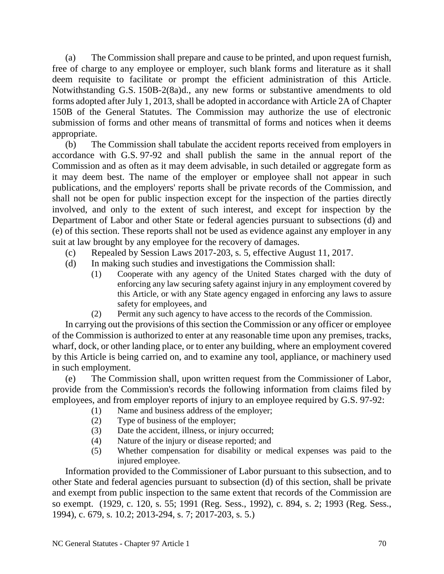(a) The Commission shall prepare and cause to be printed, and upon request furnish, free of charge to any employee or employer, such blank forms and literature as it shall deem requisite to facilitate or prompt the efficient administration of this Article. Notwithstanding G.S. 150B-2(8a)d., any new forms or substantive amendments to old forms adopted after July 1, 2013, shall be adopted in accordance with Article 2A of Chapter 150B of the General Statutes. The Commission may authorize the use of electronic submission of forms and other means of transmittal of forms and notices when it deems appropriate.

(b) The Commission shall tabulate the accident reports received from employers in accordance with G.S. 97-92 and shall publish the same in the annual report of the Commission and as often as it may deem advisable, in such detailed or aggregate form as it may deem best. The name of the employer or employee shall not appear in such publications, and the employers' reports shall be private records of the Commission, and shall not be open for public inspection except for the inspection of the parties directly involved, and only to the extent of such interest, and except for inspection by the Department of Labor and other State or federal agencies pursuant to subsections (d) and (e) of this section. These reports shall not be used as evidence against any employer in any suit at law brought by any employee for the recovery of damages.

- (c) Repealed by Session Laws 2017-203, s. 5, effective August 11, 2017.
- (d) In making such studies and investigations the Commission shall:
	- (1) Cooperate with any agency of the United States charged with the duty of enforcing any law securing safety against injury in any employment covered by this Article, or with any State agency engaged in enforcing any laws to assure safety for employees, and
	- (2) Permit any such agency to have access to the records of the Commission.

In carrying out the provisions of this section the Commission or any officer or employee of the Commission is authorized to enter at any reasonable time upon any premises, tracks, wharf, dock, or other landing place, or to enter any building, where an employment covered by this Article is being carried on, and to examine any tool, appliance, or machinery used in such employment.

(e) The Commission shall, upon written request from the Commissioner of Labor, provide from the Commission's records the following information from claims filed by employees, and from employer reports of injury to an employee required by G.S. 97-92:

- (1) Name and business address of the employer;
- (2) Type of business of the employer;
- (3) Date the accident, illness, or injury occurred;
- (4) Nature of the injury or disease reported; and
- (5) Whether compensation for disability or medical expenses was paid to the injured employee.

Information provided to the Commissioner of Labor pursuant to this subsection, and to other State and federal agencies pursuant to subsection (d) of this section, shall be private and exempt from public inspection to the same extent that records of the Commission are so exempt. (1929, c. 120, s. 55; 1991 (Reg. Sess., 1992), c. 894, s. 2; 1993 (Reg. Sess., 1994), c. 679, s. 10.2; 2013-294, s. 7; 2017-203, s. 5.)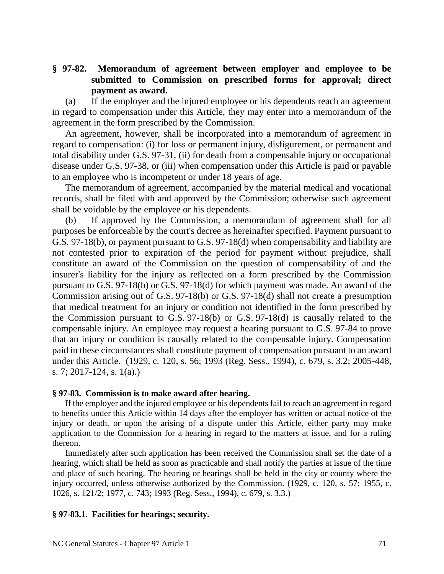## **§ 97-82. Memorandum of agreement between employer and employee to be submitted to Commission on prescribed forms for approval; direct payment as award.**

(a) If the employer and the injured employee or his dependents reach an agreement in regard to compensation under this Article, they may enter into a memorandum of the agreement in the form prescribed by the Commission.

An agreement, however, shall be incorporated into a memorandum of agreement in regard to compensation: (i) for loss or permanent injury, disfigurement, or permanent and total disability under G.S. 97-31, (ii) for death from a compensable injury or occupational disease under G.S. 97-38, or (iii) when compensation under this Article is paid or payable to an employee who is incompetent or under 18 years of age.

The memorandum of agreement, accompanied by the material medical and vocational records, shall be filed with and approved by the Commission; otherwise such agreement shall be voidable by the employee or his dependents.

(b) If approved by the Commission, a memorandum of agreement shall for all purposes be enforceable by the court's decree as hereinafter specified. Payment pursuant to G.S. 97-18(b), or payment pursuant to G.S. 97-18(d) when compensability and liability are not contested prior to expiration of the period for payment without prejudice, shall constitute an award of the Commission on the question of compensability of and the insurer's liability for the injury as reflected on a form prescribed by the Commission pursuant to G.S. 97-18(b) or G.S. 97-18(d) for which payment was made. An award of the Commission arising out of G.S. 97-18(b) or G.S. 97-18(d) shall not create a presumption that medical treatment for an injury or condition not identified in the form prescribed by the Commission pursuant to G.S. 97-18(b) or G.S. 97-18(d) is causally related to the compensable injury. An employee may request a hearing pursuant to G.S. 97-84 to prove that an injury or condition is causally related to the compensable injury. Compensation paid in these circumstances shall constitute payment of compensation pursuant to an award under this Article. (1929, c. 120, s. 56; 1993 (Reg. Sess., 1994), c. 679, s. 3.2; 2005-448, s. 7; 2017-124, s. 1(a).)

### **§ 97-83. Commission is to make award after hearing.**

If the employer and the injured employee or his dependents fail to reach an agreement in regard to benefits under this Article within 14 days after the employer has written or actual notice of the injury or death, or upon the arising of a dispute under this Article, either party may make application to the Commission for a hearing in regard to the matters at issue, and for a ruling thereon.

Immediately after such application has been received the Commission shall set the date of a hearing, which shall be held as soon as practicable and shall notify the parties at issue of the time and place of such hearing. The hearing or hearings shall be held in the city or county where the injury occurred, unless otherwise authorized by the Commission. (1929, c. 120, s. 57; 1955, c. 1026, s. 121/2; 1977, c. 743; 1993 (Reg. Sess., 1994), c. 679, s. 3.3.)

## **§ 97-83.1. Facilities for hearings; security.**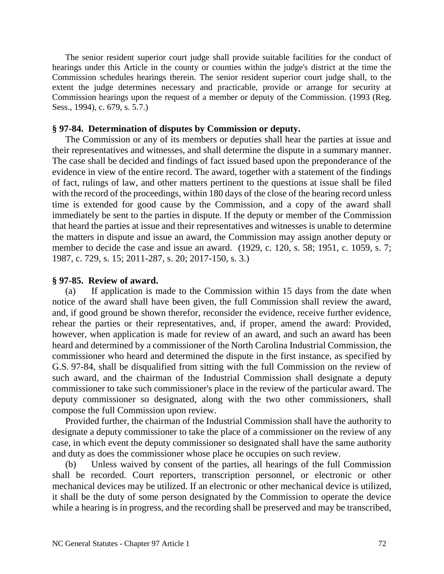The senior resident superior court judge shall provide suitable facilities for the conduct of hearings under this Article in the county or counties within the judge's district at the time the Commission schedules hearings therein. The senior resident superior court judge shall, to the extent the judge determines necessary and practicable, provide or arrange for security at Commission hearings upon the request of a member or deputy of the Commission. (1993 (Reg. Sess., 1994), c. 679, s. 5.7.)

### **§ 97-84. Determination of disputes by Commission or deputy.**

The Commission or any of its members or deputies shall hear the parties at issue and their representatives and witnesses, and shall determine the dispute in a summary manner. The case shall be decided and findings of fact issued based upon the preponderance of the evidence in view of the entire record. The award, together with a statement of the findings of fact, rulings of law, and other matters pertinent to the questions at issue shall be filed with the record of the proceedings, within 180 days of the close of the hearing record unless time is extended for good cause by the Commission, and a copy of the award shall immediately be sent to the parties in dispute. If the deputy or member of the Commission that heard the parties at issue and their representatives and witnesses is unable to determine the matters in dispute and issue an award, the Commission may assign another deputy or member to decide the case and issue an award. (1929, c. 120, s. 58; 1951, c. 1059, s. 7; 1987, c. 729, s. 15; 2011-287, s. 20; 2017-150, s. 3.)

### **§ 97-85. Review of award.**

(a) If application is made to the Commission within 15 days from the date when notice of the award shall have been given, the full Commission shall review the award, and, if good ground be shown therefor, reconsider the evidence, receive further evidence, rehear the parties or their representatives, and, if proper, amend the award: Provided, however, when application is made for review of an award, and such an award has been heard and determined by a commissioner of the North Carolina Industrial Commission, the commissioner who heard and determined the dispute in the first instance, as specified by G.S. 97-84, shall be disqualified from sitting with the full Commission on the review of such award, and the chairman of the Industrial Commission shall designate a deputy commissioner to take such commissioner's place in the review of the particular award. The deputy commissioner so designated, along with the two other commissioners, shall compose the full Commission upon review.

Provided further, the chairman of the Industrial Commission shall have the authority to designate a deputy commissioner to take the place of a commissioner on the review of any case, in which event the deputy commissioner so designated shall have the same authority and duty as does the commissioner whose place he occupies on such review.

(b) Unless waived by consent of the parties, all hearings of the full Commission shall be recorded. Court reporters, transcription personnel, or electronic or other mechanical devices may be utilized. If an electronic or other mechanical device is utilized, it shall be the duty of some person designated by the Commission to operate the device while a hearing is in progress, and the recording shall be preserved and may be transcribed,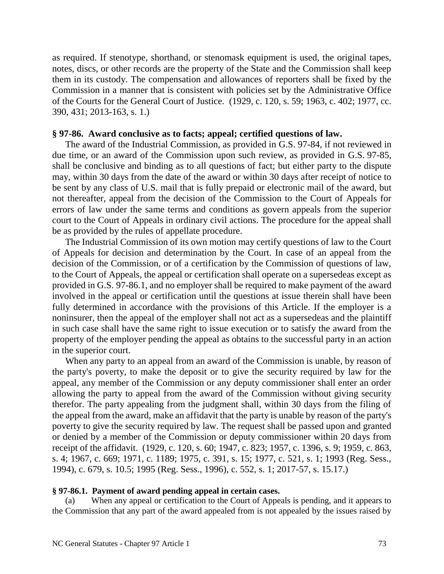as required. If stenotype, shorthand, or stenomask equipment is used, the original tapes, notes, discs, or other records are the property of the State and the Commission shall keep them in its custody. The compensation and allowances of reporters shall be fixed by the Commission in a manner that is consistent with policies set by the Administrative Office of the Courts for the General Court of Justice. (1929, c. 120, s. 59; 1963, c. 402; 1977, cc. 390, 431; 2013-163, s. 1.)

## **§ 97-86. Award conclusive as to facts; appeal; certified questions of law.**

The award of the Industrial Commission, as provided in G.S. 97-84, if not reviewed in due time, or an award of the Commission upon such review, as provided in G.S. 97-85, shall be conclusive and binding as to all questions of fact; but either party to the dispute may, within 30 days from the date of the award or within 30 days after receipt of notice to be sent by any class of U.S. mail that is fully prepaid or electronic mail of the award, but not thereafter, appeal from the decision of the Commission to the Court of Appeals for errors of law under the same terms and conditions as govern appeals from the superior court to the Court of Appeals in ordinary civil actions. The procedure for the appeal shall be as provided by the rules of appellate procedure.

The Industrial Commission of its own motion may certify questions of law to the Court of Appeals for decision and determination by the Court. In case of an appeal from the decision of the Commission, or of a certification by the Commission of questions of law, to the Court of Appeals, the appeal or certification shall operate on a supersedeas except as provided in G.S. 97-86.1, and no employer shall be required to make payment of the award involved in the appeal or certification until the questions at issue therein shall have been fully determined in accordance with the provisions of this Article. If the employer is a noninsurer, then the appeal of the employer shall not act as a supersedeas and the plaintiff in such case shall have the same right to issue execution or to satisfy the award from the property of the employer pending the appeal as obtains to the successful party in an action in the superior court.

When any party to an appeal from an award of the Commission is unable, by reason of the party's poverty, to make the deposit or to give the security required by law for the appeal, any member of the Commission or any deputy commissioner shall enter an order allowing the party to appeal from the award of the Commission without giving security therefor. The party appealing from the judgment shall, within 30 days from the filing of the appeal from the award, make an affidavit that the party is unable by reason of the party's poverty to give the security required by law. The request shall be passed upon and granted or denied by a member of the Commission or deputy commissioner within 20 days from receipt of the affidavit. (1929, c. 120, s. 60; 1947, c. 823; 1957, c. 1396, s. 9; 1959, c. 863, s. 4; 1967, c. 669; 1971, c. 1189; 1975, c. 391, s. 15; 1977, c. 521, s. 1; 1993 (Reg. Sess., 1994), c. 679, s. 10.5; 1995 (Reg. Sess., 1996), c. 552, s. 1; 2017-57, s. 15.17.)

#### **§ 97-86.1. Payment of award pending appeal in certain cases.**

When any appeal or certification to the Court of Appeals is pending, and it appears to the Commission that any part of the award appealed from is not appealed by the issues raised by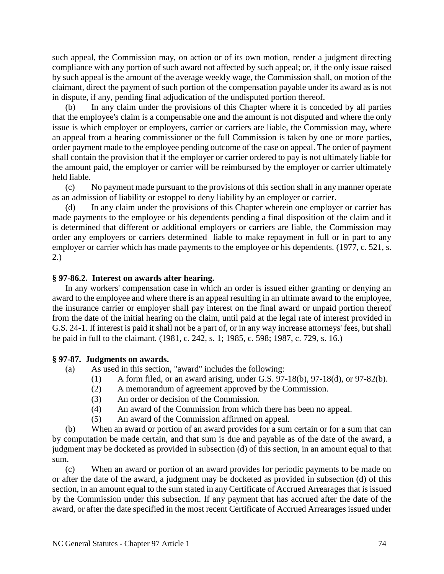such appeal, the Commission may, on action or of its own motion, render a judgment directing compliance with any portion of such award not affected by such appeal; or, if the only issue raised by such appeal is the amount of the average weekly wage, the Commission shall, on motion of the claimant, direct the payment of such portion of the compensation payable under its award as is not in dispute, if any, pending final adjudication of the undisputed portion thereof.

(b) In any claim under the provisions of this Chapter where it is conceded by all parties that the employee's claim is a compensable one and the amount is not disputed and where the only issue is which employer or employers, carrier or carriers are liable, the Commission may, where an appeal from a hearing commissioner or the full Commission is taken by one or more parties, order payment made to the employee pending outcome of the case on appeal. The order of payment shall contain the provision that if the employer or carrier ordered to pay is not ultimately liable for the amount paid, the employer or carrier will be reimbursed by the employer or carrier ultimately held liable.

(c) No payment made pursuant to the provisions of this section shall in any manner operate as an admission of liability or estoppel to deny liability by an employer or carrier.

(d) In any claim under the provisions of this Chapter wherein one employer or carrier has made payments to the employee or his dependents pending a final disposition of the claim and it is determined that different or additional employers or carriers are liable, the Commission may order any employers or carriers determined liable to make repayment in full or in part to any employer or carrier which has made payments to the employee or his dependents. (1977, c. 521, s. 2.)

#### **§ 97-86.2. Interest on awards after hearing.**

In any workers' compensation case in which an order is issued either granting or denying an award to the employee and where there is an appeal resulting in an ultimate award to the employee, the insurance carrier or employer shall pay interest on the final award or unpaid portion thereof from the date of the initial hearing on the claim, until paid at the legal rate of interest provided in G.S. 24-1. If interest is paid it shall not be a part of, or in any way increase attorneys' fees, but shall be paid in full to the claimant. (1981, c. 242, s. 1; 1985, c. 598; 1987, c. 729, s. 16.)

# **§ 97-87. Judgments on awards.**

- (a) As used in this section, "award" includes the following:
	- (1) A form filed, or an award arising, under G.S. 97-18(b), 97-18(d), or 97-82(b).
	- (2) A memorandum of agreement approved by the Commission.
	- (3) An order or decision of the Commission.
	- (4) An award of the Commission from which there has been no appeal.
	- (5) An award of the Commission affirmed on appeal.

(b) When an award or portion of an award provides for a sum certain or for a sum that can by computation be made certain, and that sum is due and payable as of the date of the award, a judgment may be docketed as provided in subsection (d) of this section, in an amount equal to that sum.

(c) When an award or portion of an award provides for periodic payments to be made on or after the date of the award, a judgment may be docketed as provided in subsection (d) of this section, in an amount equal to the sum stated in any Certificate of Accrued Arrearages that is issued by the Commission under this subsection. If any payment that has accrued after the date of the award, or after the date specified in the most recent Certificate of Accrued Arrearages issued under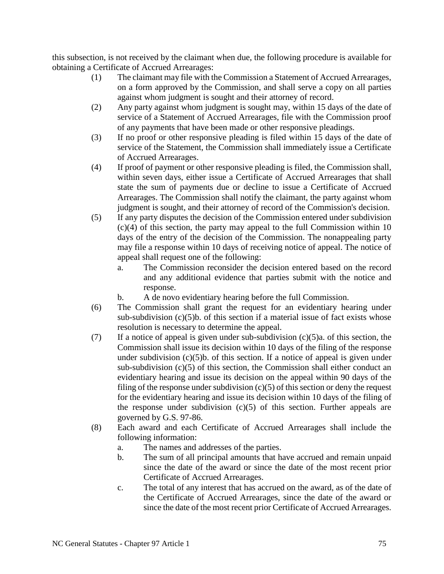this subsection, is not received by the claimant when due, the following procedure is available for obtaining a Certificate of Accrued Arrearages:

- (1) The claimant may file with the Commission a Statement of Accrued Arrearages, on a form approved by the Commission, and shall serve a copy on all parties against whom judgment is sought and their attorney of record.
- (2) Any party against whom judgment is sought may, within 15 days of the date of service of a Statement of Accrued Arrearages, file with the Commission proof of any payments that have been made or other responsive pleadings.
- (3) If no proof or other responsive pleading is filed within 15 days of the date of service of the Statement, the Commission shall immediately issue a Certificate of Accrued Arrearages.
- (4) If proof of payment or other responsive pleading is filed, the Commission shall, within seven days, either issue a Certificate of Accrued Arrearages that shall state the sum of payments due or decline to issue a Certificate of Accrued Arrearages. The Commission shall notify the claimant, the party against whom judgment is sought, and their attorney of record of the Commission's decision.
- (5) If any party disputes the decision of the Commission entered under subdivision (c)(4) of this section, the party may appeal to the full Commission within 10 days of the entry of the decision of the Commission. The nonappealing party may file a response within 10 days of receiving notice of appeal. The notice of appeal shall request one of the following:
	- a. The Commission reconsider the decision entered based on the record and any additional evidence that parties submit with the notice and response.
	- b. A de novo evidentiary hearing before the full Commission.
- (6) The Commission shall grant the request for an evidentiary hearing under sub-subdivision  $(c)(5)$ b. of this section if a material issue of fact exists whose resolution is necessary to determine the appeal.
- (7) If a notice of appeal is given under sub-subdivision  $(c)(5)a$ . of this section, the Commission shall issue its decision within 10 days of the filing of the response under subdivision  $(c)(5)$ b. of this section. If a notice of appeal is given under sub-subdivision  $(c)(5)$  of this section, the Commission shall either conduct an evidentiary hearing and issue its decision on the appeal within 90 days of the filing of the response under subdivision  $(c)(5)$  of this section or deny the request for the evidentiary hearing and issue its decision within 10 days of the filing of the response under subdivision  $(c)(5)$  of this section. Further appeals are governed by G.S. 97-86.
- (8) Each award and each Certificate of Accrued Arrearages shall include the following information:
	- a. The names and addresses of the parties.
	- b. The sum of all principal amounts that have accrued and remain unpaid since the date of the award or since the date of the most recent prior Certificate of Accrued Arrearages.
	- c. The total of any interest that has accrued on the award, as of the date of the Certificate of Accrued Arrearages, since the date of the award or since the date of the most recent prior Certificate of Accrued Arrearages.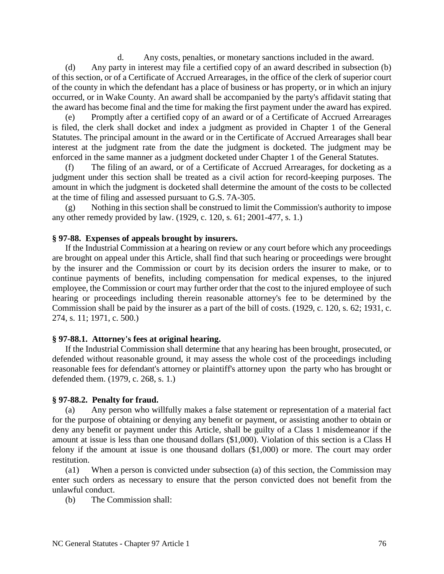d. Any costs, penalties, or monetary sanctions included in the award.

(d) Any party in interest may file a certified copy of an award described in subsection (b) of this section, or of a Certificate of Accrued Arrearages, in the office of the clerk of superior court of the county in which the defendant has a place of business or has property, or in which an injury occurred, or in Wake County. An award shall be accompanied by the party's affidavit stating that the award has become final and the time for making the first payment under the award has expired.

(e) Promptly after a certified copy of an award or of a Certificate of Accrued Arrearages is filed, the clerk shall docket and index a judgment as provided in Chapter 1 of the General Statutes. The principal amount in the award or in the Certificate of Accrued Arrearages shall bear interest at the judgment rate from the date the judgment is docketed. The judgment may be enforced in the same manner as a judgment docketed under Chapter 1 of the General Statutes.

(f) The filing of an award, or of a Certificate of Accrued Arrearages, for docketing as a judgment under this section shall be treated as a civil action for record-keeping purposes. The amount in which the judgment is docketed shall determine the amount of the costs to be collected at the time of filing and assessed pursuant to G.S. 7A-305.

(g) Nothing in this section shall be construed to limit the Commission's authority to impose any other remedy provided by law. (1929, c. 120, s. 61; 2001-477, s. 1.)

# **§ 97-88. Expenses of appeals brought by insurers.**

If the Industrial Commission at a hearing on review or any court before which any proceedings are brought on appeal under this Article, shall find that such hearing or proceedings were brought by the insurer and the Commission or court by its decision orders the insurer to make, or to continue payments of benefits, including compensation for medical expenses, to the injured employee, the Commission or court may further order that the cost to the injured employee of such hearing or proceedings including therein reasonable attorney's fee to be determined by the Commission shall be paid by the insurer as a part of the bill of costs. (1929, c. 120, s. 62; 1931, c. 274, s. 11; 1971, c. 500.)

# **§ 97-88.1. Attorney's fees at original hearing.**

If the Industrial Commission shall determine that any hearing has been brought, prosecuted, or defended without reasonable ground, it may assess the whole cost of the proceedings including reasonable fees for defendant's attorney or plaintiff's attorney upon the party who has brought or defended them. (1979, c. 268, s. 1.)

# **§ 97-88.2. Penalty for fraud.**

(a) Any person who willfully makes a false statement or representation of a material fact for the purpose of obtaining or denying any benefit or payment, or assisting another to obtain or deny any benefit or payment under this Article, shall be guilty of a Class 1 misdemeanor if the amount at issue is less than one thousand dollars (\$1,000). Violation of this section is a Class H felony if the amount at issue is one thousand dollars (\$1,000) or more. The court may order restitution.

(a1) When a person is convicted under subsection (a) of this section, the Commission may enter such orders as necessary to ensure that the person convicted does not benefit from the unlawful conduct.

(b) The Commission shall: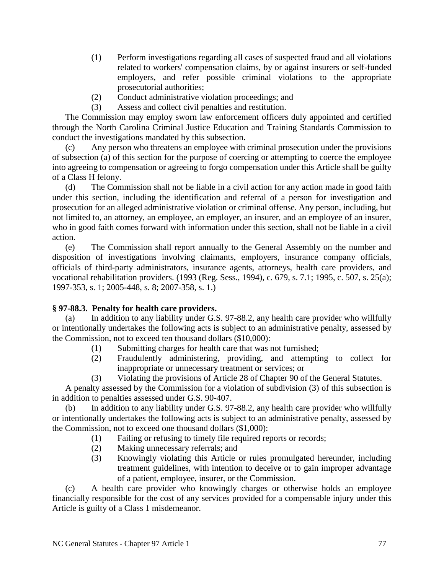- (1) Perform investigations regarding all cases of suspected fraud and all violations related to workers' compensation claims, by or against insurers or self-funded employers, and refer possible criminal violations to the appropriate prosecutorial authorities;
- (2) Conduct administrative violation proceedings; and
- (3) Assess and collect civil penalties and restitution.

The Commission may employ sworn law enforcement officers duly appointed and certified through the North Carolina Criminal Justice Education and Training Standards Commission to conduct the investigations mandated by this subsection.

Any person who threatens an employee with criminal prosecution under the provisions of subsection (a) of this section for the purpose of coercing or attempting to coerce the employee into agreeing to compensation or agreeing to forgo compensation under this Article shall be guilty of a Class H felony.

(d) The Commission shall not be liable in a civil action for any action made in good faith under this section, including the identification and referral of a person for investigation and prosecution for an alleged administrative violation or criminal offense. Any person, including, but not limited to, an attorney, an employee, an employer, an insurer, and an employee of an insurer, who in good faith comes forward with information under this section, shall not be liable in a civil action.

(e) The Commission shall report annually to the General Assembly on the number and disposition of investigations involving claimants, employers, insurance company officials, officials of third-party administrators, insurance agents, attorneys, health care providers, and vocational rehabilitation providers. (1993 (Reg. Sess., 1994), c. 679, s. 7.1; 1995, c. 507, s. 25(a); 1997-353, s. 1; 2005-448, s. 8; 2007-358, s. 1.)

# **§ 97-88.3. Penalty for health care providers.**

(a) In addition to any liability under G.S. 97-88.2, any health care provider who willfully or intentionally undertakes the following acts is subject to an administrative penalty, assessed by the Commission, not to exceed ten thousand dollars (\$10,000):

- (1) Submitting charges for health care that was not furnished;
- (2) Fraudulently administering, providing, and attempting to collect for inappropriate or unnecessary treatment or services; or
- (3) Violating the provisions of Article 28 of Chapter 90 of the General Statutes.

A penalty assessed by the Commission for a violation of subdivision (3) of this subsection is in addition to penalties assessed under G.S. 90-407.

(b) In addition to any liability under G.S. 97-88.2, any health care provider who willfully or intentionally undertakes the following acts is subject to an administrative penalty, assessed by the Commission, not to exceed one thousand dollars (\$1,000):

- (1) Failing or refusing to timely file required reports or records;
- (2) Making unnecessary referrals; and
- (3) Knowingly violating this Article or rules promulgated hereunder, including treatment guidelines, with intention to deceive or to gain improper advantage of a patient, employee, insurer, or the Commission.

(c) A health care provider who knowingly charges or otherwise holds an employee financially responsible for the cost of any services provided for a compensable injury under this Article is guilty of a Class 1 misdemeanor.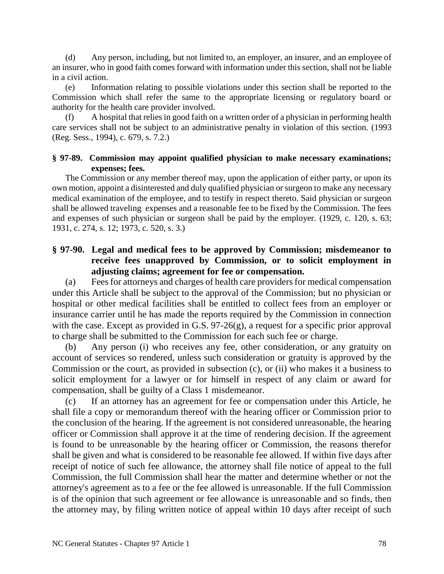(d) Any person, including, but not limited to, an employer, an insurer, and an employee of an insurer, who in good faith comes forward with information under this section, shall not be liable in a civil action.

(e) Information relating to possible violations under this section shall be reported to the Commission which shall refer the same to the appropriate licensing or regulatory board or authority for the health care provider involved.

(f) A hospital that relies in good faith on a written order of a physician in performing health care services shall not be subject to an administrative penalty in violation of this section. (1993 (Reg. Sess., 1994), c. 679, s. 7.2.)

# **§ 97-89. Commission may appoint qualified physician to make necessary examinations; expenses; fees.**

The Commission or any member thereof may, upon the application of either party, or upon its own motion, appoint a disinterested and duly qualified physician or surgeon to make any necessary medical examination of the employee, and to testify in respect thereto. Said physician or surgeon shall be allowed traveling expenses and a reasonable fee to be fixed by the Commission. The fees and expenses of such physician or surgeon shall be paid by the employer. (1929, c. 120, s. 63; 1931, c. 274, s. 12; 1973, c. 520, s. 3.)

# **§ 97-90. Legal and medical fees to be approved by Commission; misdemeanor to receive fees unapproved by Commission, or to solicit employment in adjusting claims; agreement for fee or compensation.**

(a) Fees for attorneys and charges of health care providers for medical compensation under this Article shall be subject to the approval of the Commission; but no physician or hospital or other medical facilities shall be entitled to collect fees from an employer or insurance carrier until he has made the reports required by the Commission in connection with the case. Except as provided in G.S. 97-26(g), a request for a specific prior approval to charge shall be submitted to the Commission for each such fee or charge.

(b) Any person (i) who receives any fee, other consideration, or any gratuity on account of services so rendered, unless such consideration or gratuity is approved by the Commission or the court, as provided in subsection (c), or (ii) who makes it a business to solicit employment for a lawyer or for himself in respect of any claim or award for compensation, shall be guilty of a Class 1 misdemeanor.

(c) If an attorney has an agreement for fee or compensation under this Article, he shall file a copy or memorandum thereof with the hearing officer or Commission prior to the conclusion of the hearing. If the agreement is not considered unreasonable, the hearing officer or Commission shall approve it at the time of rendering decision. If the agreement is found to be unreasonable by the hearing officer or Commission, the reasons therefor shall be given and what is considered to be reasonable fee allowed. If within five days after receipt of notice of such fee allowance, the attorney shall file notice of appeal to the full Commission, the full Commission shall hear the matter and determine whether or not the attorney's agreement as to a fee or the fee allowed is unreasonable. If the full Commission is of the opinion that such agreement or fee allowance is unreasonable and so finds, then the attorney may, by filing written notice of appeal within 10 days after receipt of such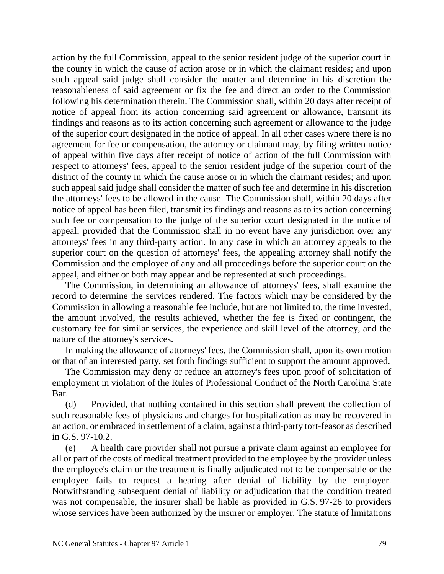action by the full Commission, appeal to the senior resident judge of the superior court in the county in which the cause of action arose or in which the claimant resides; and upon such appeal said judge shall consider the matter and determine in his discretion the reasonableness of said agreement or fix the fee and direct an order to the Commission following his determination therein. The Commission shall, within 20 days after receipt of notice of appeal from its action concerning said agreement or allowance, transmit its findings and reasons as to its action concerning such agreement or allowance to the judge of the superior court designated in the notice of appeal. In all other cases where there is no agreement for fee or compensation, the attorney or claimant may, by filing written notice of appeal within five days after receipt of notice of action of the full Commission with respect to attorneys' fees, appeal to the senior resident judge of the superior court of the district of the county in which the cause arose or in which the claimant resides; and upon such appeal said judge shall consider the matter of such fee and determine in his discretion the attorneys' fees to be allowed in the cause. The Commission shall, within 20 days after notice of appeal has been filed, transmit its findings and reasons as to its action concerning such fee or compensation to the judge of the superior court designated in the notice of appeal; provided that the Commission shall in no event have any jurisdiction over any attorneys' fees in any third-party action. In any case in which an attorney appeals to the superior court on the question of attorneys' fees, the appealing attorney shall notify the Commission and the employee of any and all proceedings before the superior court on the appeal, and either or both may appear and be represented at such proceedings.

The Commission, in determining an allowance of attorneys' fees, shall examine the record to determine the services rendered. The factors which may be considered by the Commission in allowing a reasonable fee include, but are not limited to, the time invested, the amount involved, the results achieved, whether the fee is fixed or contingent, the customary fee for similar services, the experience and skill level of the attorney, and the nature of the attorney's services.

In making the allowance of attorneys' fees, the Commission shall, upon its own motion or that of an interested party, set forth findings sufficient to support the amount approved.

The Commission may deny or reduce an attorney's fees upon proof of solicitation of employment in violation of the Rules of Professional Conduct of the North Carolina State Bar.

(d) Provided, that nothing contained in this section shall prevent the collection of such reasonable fees of physicians and charges for hospitalization as may be recovered in an action, or embraced in settlement of a claim, against a third-party tort-feasor as described in G.S. 97-10.2.

(e) A health care provider shall not pursue a private claim against an employee for all or part of the costs of medical treatment provided to the employee by the provider unless the employee's claim or the treatment is finally adjudicated not to be compensable or the employee fails to request a hearing after denial of liability by the employer. Notwithstanding subsequent denial of liability or adjudication that the condition treated was not compensable, the insurer shall be liable as provided in G.S. 97-26 to providers whose services have been authorized by the insurer or employer. The statute of limitations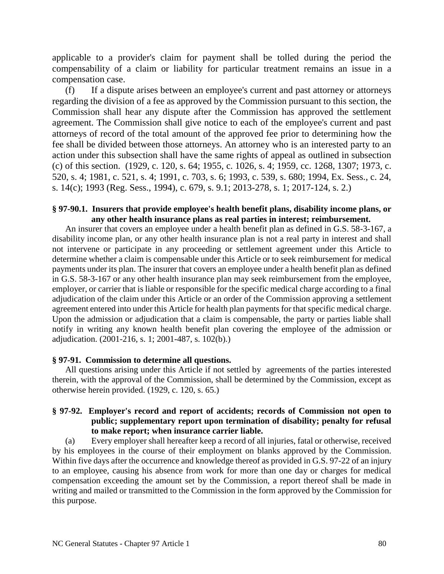applicable to a provider's claim for payment shall be tolled during the period the compensability of a claim or liability for particular treatment remains an issue in a compensation case.

(f) If a dispute arises between an employee's current and past attorney or attorneys regarding the division of a fee as approved by the Commission pursuant to this section, the Commission shall hear any dispute after the Commission has approved the settlement agreement. The Commission shall give notice to each of the employee's current and past attorneys of record of the total amount of the approved fee prior to determining how the fee shall be divided between those attorneys. An attorney who is an interested party to an action under this subsection shall have the same rights of appeal as outlined in subsection (c) of this section. (1929, c. 120, s. 64; 1955, c. 1026, s. 4; 1959, cc. 1268, 1307; 1973, c. 520, s. 4; 1981, c. 521, s. 4; 1991, c. 703, s. 6; 1993, c. 539, s. 680; 1994, Ex. Sess., c. 24, s. 14(c); 1993 (Reg. Sess., 1994), c. 679, s. 9.1; 2013-278, s. 1; 2017-124, s. 2.)

#### **§ 97-90.1. Insurers that provide employee's health benefit plans, disability income plans, or any other health insurance plans as real parties in interest; reimbursement.**

An insurer that covers an employee under a health benefit plan as defined in G.S. 58-3-167, a disability income plan, or any other health insurance plan is not a real party in interest and shall not intervene or participate in any proceeding or settlement agreement under this Article to determine whether a claim is compensable under this Article or to seek reimbursement for medical payments under its plan. The insurer that covers an employee under a health benefit plan as defined in G.S. 58-3-167 or any other health insurance plan may seek reimbursement from the employee, employer, or carrier that is liable or responsible for the specific medical charge according to a final adjudication of the claim under this Article or an order of the Commission approving a settlement agreement entered into under this Article for health plan payments for that specific medical charge. Upon the admission or adjudication that a claim is compensable, the party or parties liable shall notify in writing any known health benefit plan covering the employee of the admission or adjudication. (2001-216, s. 1; 2001-487, s. 102(b).)

# **§ 97-91. Commission to determine all questions.**

All questions arising under this Article if not settled by agreements of the parties interested therein, with the approval of the Commission, shall be determined by the Commission, except as otherwise herein provided. (1929, c. 120, s. 65.)

# **§ 97-92. Employer's record and report of accidents; records of Commission not open to public; supplementary report upon termination of disability; penalty for refusal to make report; when insurance carrier liable.**

(a) Every employer shall hereafter keep a record of all injuries, fatal or otherwise, received by his employees in the course of their employment on blanks approved by the Commission. Within five days after the occurrence and knowledge thereof as provided in G.S. 97-22 of an injury to an employee, causing his absence from work for more than one day or charges for medical compensation exceeding the amount set by the Commission, a report thereof shall be made in writing and mailed or transmitted to the Commission in the form approved by the Commission for this purpose.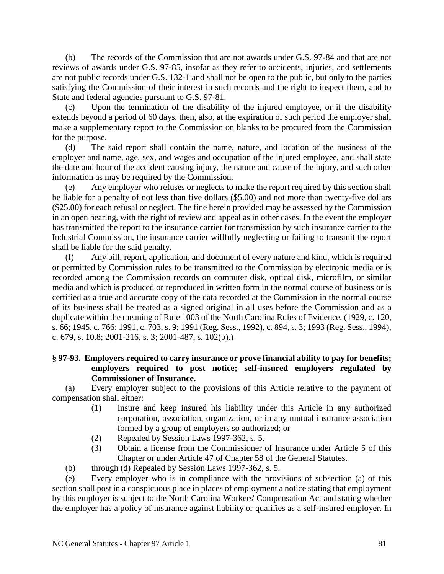(b) The records of the Commission that are not awards under G.S. 97-84 and that are not reviews of awards under G.S. 97-85, insofar as they refer to accidents, injuries, and settlements are not public records under G.S. 132-1 and shall not be open to the public, but only to the parties satisfying the Commission of their interest in such records and the right to inspect them, and to State and federal agencies pursuant to G.S. 97-81.

(c) Upon the termination of the disability of the injured employee, or if the disability extends beyond a period of 60 days, then, also, at the expiration of such period the employer shall make a supplementary report to the Commission on blanks to be procured from the Commission for the purpose.

(d) The said report shall contain the name, nature, and location of the business of the employer and name, age, sex, and wages and occupation of the injured employee, and shall state the date and hour of the accident causing injury, the nature and cause of the injury, and such other information as may be required by the Commission.

(e) Any employer who refuses or neglects to make the report required by this section shall be liable for a penalty of not less than five dollars (\$5.00) and not more than twenty-five dollars (\$25.00) for each refusal or neglect. The fine herein provided may be assessed by the Commission in an open hearing, with the right of review and appeal as in other cases. In the event the employer has transmitted the report to the insurance carrier for transmission by such insurance carrier to the Industrial Commission, the insurance carrier willfully neglecting or failing to transmit the report shall be liable for the said penalty.

(f) Any bill, report, application, and document of every nature and kind, which is required or permitted by Commission rules to be transmitted to the Commission by electronic media or is recorded among the Commission records on computer disk, optical disk, microfilm, or similar media and which is produced or reproduced in written form in the normal course of business or is certified as a true and accurate copy of the data recorded at the Commission in the normal course of its business shall be treated as a signed original in all uses before the Commission and as a duplicate within the meaning of Rule 1003 of the North Carolina Rules of Evidence. (1929, c. 120, s. 66; 1945, c. 766; 1991, c. 703, s. 9; 1991 (Reg. Sess., 1992), c. 894, s. 3; 1993 (Reg. Sess., 1994), c. 679, s. 10.8; 2001-216, s. 3; 2001-487, s. 102(b).)

# **§ 97-93. Employers required to carry insurance or prove financial ability to pay for benefits; employers required to post notice; self-insured employers regulated by Commissioner of Insurance.**

(a) Every employer subject to the provisions of this Article relative to the payment of compensation shall either:

- (1) Insure and keep insured his liability under this Article in any authorized corporation, association, organization, or in any mutual insurance association formed by a group of employers so authorized; or
- (2) Repealed by Session Laws 1997-362, s. 5.
- (3) Obtain a license from the Commissioner of Insurance under Article 5 of this Chapter or under Article 47 of Chapter 58 of the General Statutes.
- (b) through (d) Repealed by Session Laws 1997-362, s. 5.

(e) Every employer who is in compliance with the provisions of subsection (a) of this section shall post in a conspicuous place in places of employment a notice stating that employment by this employer is subject to the North Carolina Workers' Compensation Act and stating whether the employer has a policy of insurance against liability or qualifies as a self-insured employer. In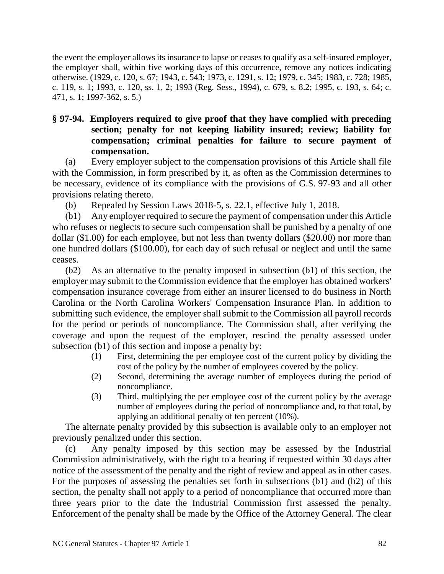the event the employer allows its insurance to lapse or ceases to qualify as a self-insured employer, the employer shall, within five working days of this occurrence, remove any notices indicating otherwise. (1929, c. 120, s. 67; 1943, c. 543; 1973, c. 1291, s. 12; 1979, c. 345; 1983, c. 728; 1985, c. 119, s. 1; 1993, c. 120, ss. 1, 2; 1993 (Reg. Sess., 1994), c. 679, s. 8.2; 1995, c. 193, s. 64; c. 471, s. 1; 1997-362, s. 5.)

# **§ 97-94. Employers required to give proof that they have complied with preceding section; penalty for not keeping liability insured; review; liability for compensation; criminal penalties for failure to secure payment of compensation.**

(a) Every employer subject to the compensation provisions of this Article shall file with the Commission, in form prescribed by it, as often as the Commission determines to be necessary, evidence of its compliance with the provisions of G.S. 97-93 and all other provisions relating thereto.

(b) Repealed by Session Laws 2018-5, s. 22.1, effective July 1, 2018.

(b1) Any employer required to secure the payment of compensation under this Article who refuses or neglects to secure such compensation shall be punished by a penalty of one dollar (\$1.00) for each employee, but not less than twenty dollars (\$20.00) nor more than one hundred dollars (\$100.00), for each day of such refusal or neglect and until the same ceases.

(b2) As an alternative to the penalty imposed in subsection (b1) of this section, the employer may submit to the Commission evidence that the employer has obtained workers' compensation insurance coverage from either an insurer licensed to do business in North Carolina or the North Carolina Workers' Compensation Insurance Plan. In addition to submitting such evidence, the employer shall submit to the Commission all payroll records for the period or periods of noncompliance. The Commission shall, after verifying the coverage and upon the request of the employer, rescind the penalty assessed under subsection (b1) of this section and impose a penalty by:

- (1) First, determining the per employee cost of the current policy by dividing the cost of the policy by the number of employees covered by the policy.
- (2) Second, determining the average number of employees during the period of noncompliance.
- (3) Third, multiplying the per employee cost of the current policy by the average number of employees during the period of noncompliance and, to that total, by applying an additional penalty of ten percent (10%).

The alternate penalty provided by this subsection is available only to an employer not previously penalized under this section.

(c) Any penalty imposed by this section may be assessed by the Industrial Commission administratively, with the right to a hearing if requested within 30 days after notice of the assessment of the penalty and the right of review and appeal as in other cases. For the purposes of assessing the penalties set forth in subsections (b1) and (b2) of this section, the penalty shall not apply to a period of noncompliance that occurred more than three years prior to the date the Industrial Commission first assessed the penalty. Enforcement of the penalty shall be made by the Office of the Attorney General. The clear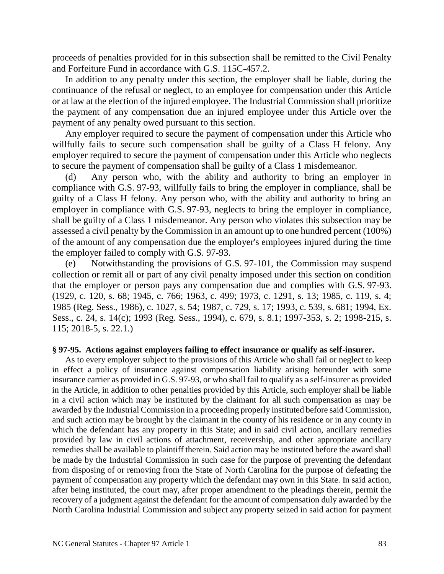proceeds of penalties provided for in this subsection shall be remitted to the Civil Penalty and Forfeiture Fund in accordance with G.S. 115C-457.2.

In addition to any penalty under this section, the employer shall be liable, during the continuance of the refusal or neglect, to an employee for compensation under this Article or at law at the election of the injured employee. The Industrial Commission shall prioritize the payment of any compensation due an injured employee under this Article over the payment of any penalty owed pursuant to this section.

Any employer required to secure the payment of compensation under this Article who willfully fails to secure such compensation shall be guilty of a Class H felony. Any employer required to secure the payment of compensation under this Article who neglects to secure the payment of compensation shall be guilty of a Class 1 misdemeanor.

(d) Any person who, with the ability and authority to bring an employer in compliance with G.S. 97-93, willfully fails to bring the employer in compliance, shall be guilty of a Class H felony. Any person who, with the ability and authority to bring an employer in compliance with G.S. 97-93, neglects to bring the employer in compliance, shall be guilty of a Class 1 misdemeanor. Any person who violates this subsection may be assessed a civil penalty by the Commission in an amount up to one hundred percent (100%) of the amount of any compensation due the employer's employees injured during the time the employer failed to comply with G.S. 97-93.

(e) Notwithstanding the provisions of G.S. 97-101, the Commission may suspend collection or remit all or part of any civil penalty imposed under this section on condition that the employer or person pays any compensation due and complies with G.S. 97-93. (1929, c. 120, s. 68; 1945, c. 766; 1963, c. 499; 1973, c. 1291, s. 13; 1985, c. 119, s. 4; 1985 (Reg. Sess., 1986), c. 1027, s. 54; 1987, c. 729, s. 17; 1993, c. 539, s. 681; 1994, Ex. Sess., c. 24, s. 14(c); 1993 (Reg. Sess., 1994), c. 679, s. 8.1; 1997-353, s. 2; 1998-215, s. 115; 2018-5, s. 22.1.)

#### **§ 97-95. Actions against employers failing to effect insurance or qualify as self-insurer.**

As to every employer subject to the provisions of this Article who shall fail or neglect to keep in effect a policy of insurance against compensation liability arising hereunder with some insurance carrier as provided in G.S. 97-93, or who shall fail to qualify as a self-insurer as provided in the Article, in addition to other penalties provided by this Article, such employer shall be liable in a civil action which may be instituted by the claimant for all such compensation as may be awarded by the Industrial Commission in a proceeding properly instituted before said Commission, and such action may be brought by the claimant in the county of his residence or in any county in which the defendant has any property in this State; and in said civil action, ancillary remedies provided by law in civil actions of attachment, receivership, and other appropriate ancillary remedies shall be available to plaintiff therein. Said action may be instituted before the award shall be made by the Industrial Commission in such case for the purpose of preventing the defendant from disposing of or removing from the State of North Carolina for the purpose of defeating the payment of compensation any property which the defendant may own in this State. In said action, after being instituted, the court may, after proper amendment to the pleadings therein, permit the recovery of a judgment against the defendant for the amount of compensation duly awarded by the North Carolina Industrial Commission and subject any property seized in said action for payment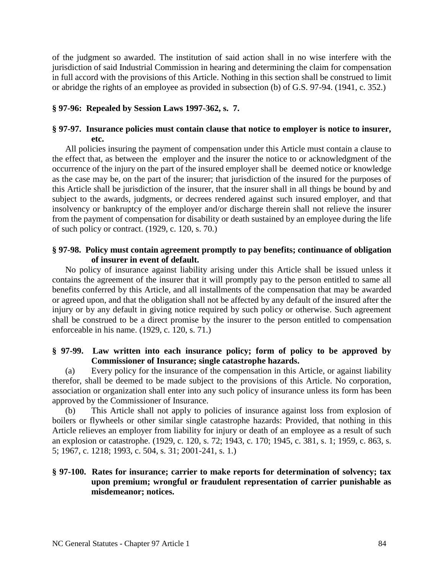of the judgment so awarded. The institution of said action shall in no wise interfere with the jurisdiction of said Industrial Commission in hearing and determining the claim for compensation in full accord with the provisions of this Article. Nothing in this section shall be construed to limit or abridge the rights of an employee as provided in subsection (b) of G.S. 97-94. (1941, c. 352.)

# **§ 97-96: Repealed by Session Laws 1997-362, s. 7.**

# **§ 97-97. Insurance policies must contain clause that notice to employer is notice to insurer, etc.**

All policies insuring the payment of compensation under this Article must contain a clause to the effect that, as between the employer and the insurer the notice to or acknowledgment of the occurrence of the injury on the part of the insured employer shall be deemed notice or knowledge as the case may be, on the part of the insurer; that jurisdiction of the insured for the purposes of this Article shall be jurisdiction of the insurer, that the insurer shall in all things be bound by and subject to the awards, judgments, or decrees rendered against such insured employer, and that insolvency or bankruptcy of the employer and/or discharge therein shall not relieve the insurer from the payment of compensation for disability or death sustained by an employee during the life of such policy or contract. (1929, c. 120, s. 70.)

# **§ 97-98. Policy must contain agreement promptly to pay benefits; continuance of obligation of insurer in event of default.**

No policy of insurance against liability arising under this Article shall be issued unless it contains the agreement of the insurer that it will promptly pay to the person entitled to same all benefits conferred by this Article, and all installments of the compensation that may be awarded or agreed upon, and that the obligation shall not be affected by any default of the insured after the injury or by any default in giving notice required by such policy or otherwise. Such agreement shall be construed to be a direct promise by the insurer to the person entitled to compensation enforceable in his name. (1929, c. 120, s. 71.)

# **§ 97-99. Law written into each insurance policy; form of policy to be approved by Commissioner of Insurance; single catastrophe hazards.**

(a) Every policy for the insurance of the compensation in this Article, or against liability therefor, shall be deemed to be made subject to the provisions of this Article. No corporation, association or organization shall enter into any such policy of insurance unless its form has been approved by the Commissioner of Insurance.

(b) This Article shall not apply to policies of insurance against loss from explosion of boilers or flywheels or other similar single catastrophe hazards: Provided, that nothing in this Article relieves an employer from liability for injury or death of an employee as a result of such an explosion or catastrophe. (1929, c. 120, s. 72; 1943, c. 170; 1945, c. 381, s. 1; 1959, c. 863, s. 5; 1967, c. 1218; 1993, c. 504, s. 31; 2001-241, s. 1.)

# **§ 97-100. Rates for insurance; carrier to make reports for determination of solvency; tax upon premium; wrongful or fraudulent representation of carrier punishable as misdemeanor; notices.**